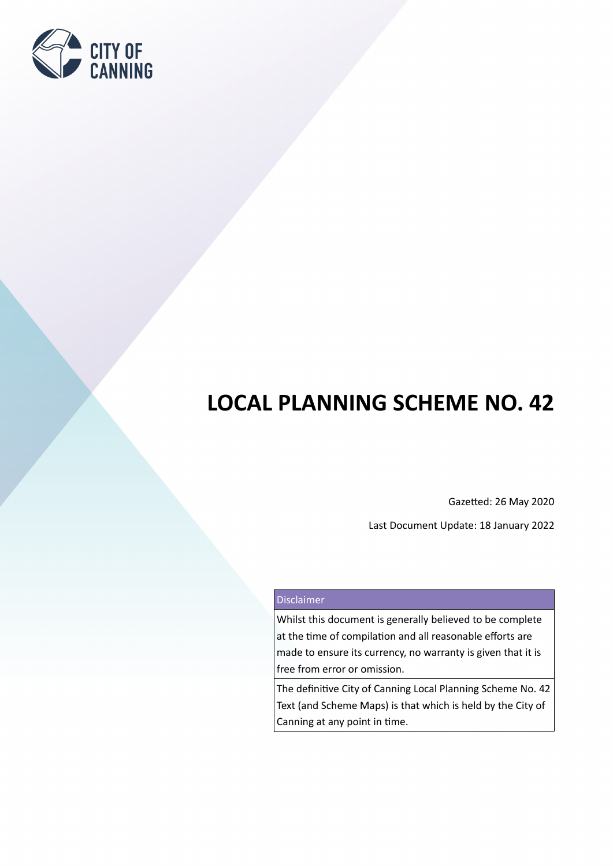

# **LOCAL PLANNING SCHEME NO. 42**

Gazetted: 26 May 2020

Last Document Update: 18 January 2022

#### Disclaimer

Whilst this document is generally believed to be complete at the time of compilation and all reasonable efforts are made to ensure its currency, no warranty is given that it is free from error or omission.

The definitive City of Canning Local Planning Scheme No. 42 Text (and Scheme Maps) is that which is held by the City of Canning at any point in time.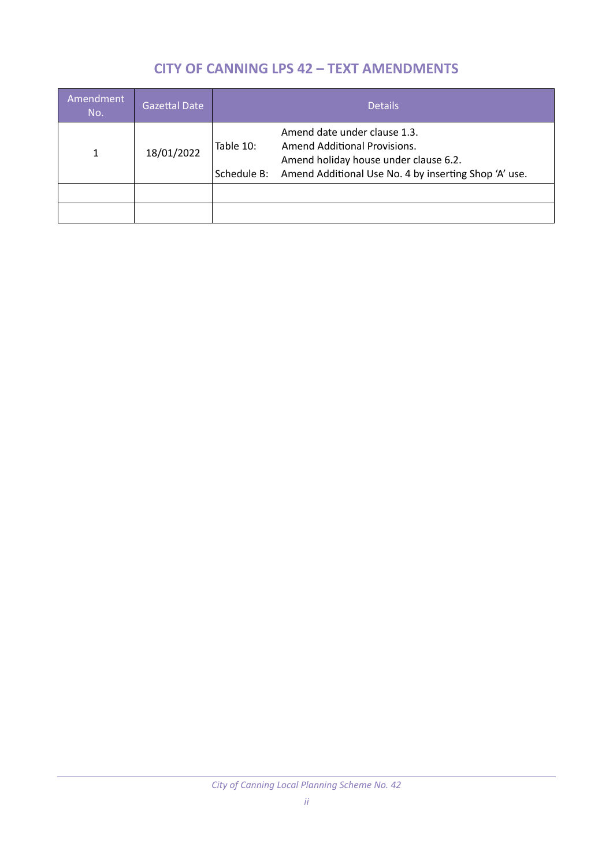# **CITY OF CANNING LPS 42 – TEXT AMENDMENTS**

| Amendment<br>No. | <b>Gazettal Date</b> | <b>Details</b>                                                                                                                                                                             |
|------------------|----------------------|--------------------------------------------------------------------------------------------------------------------------------------------------------------------------------------------|
|                  | 18/01/2022           | Amend date under clause 1.3.<br>Table 10:<br>Amend Additional Provisions.<br>Amend holiday house under clause 6.2.<br>Amend Additional Use No. 4 by inserting Shop 'A' use.<br>Schedule B: |
|                  |                      |                                                                                                                                                                                            |
|                  |                      |                                                                                                                                                                                            |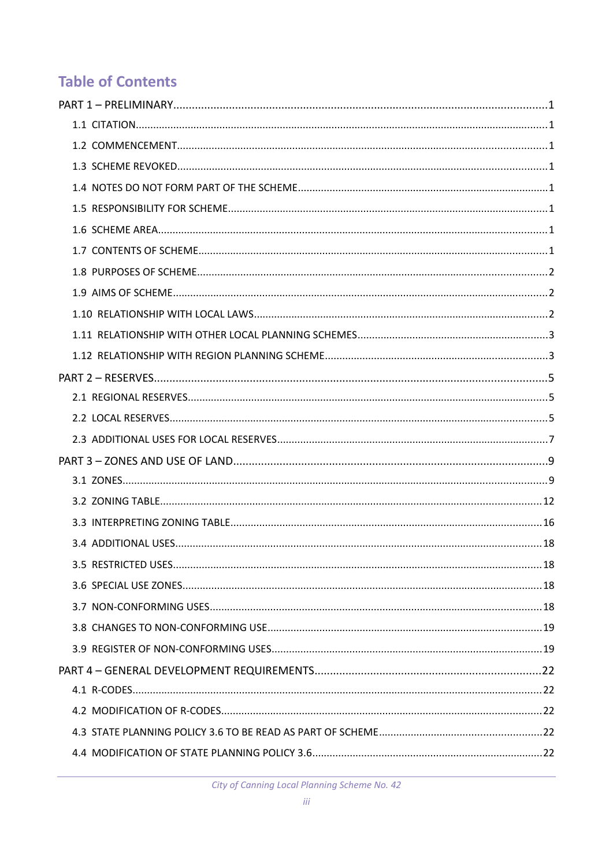# **Table of Contents**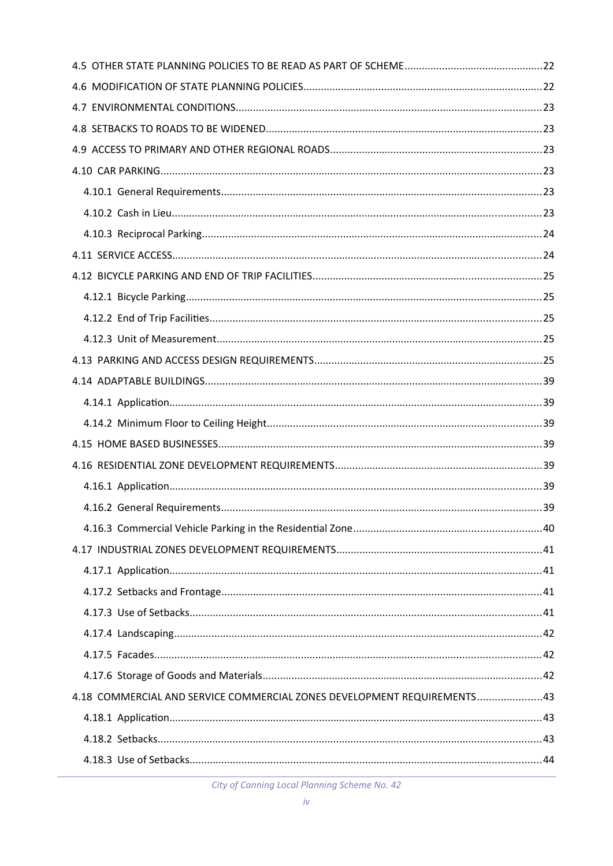| 43. COMMERCIAL AND SERVICE COMMERCIAL ZONES DEVELOPMENT REQUIREMENTS43 |
|------------------------------------------------------------------------|
|                                                                        |
|                                                                        |
|                                                                        |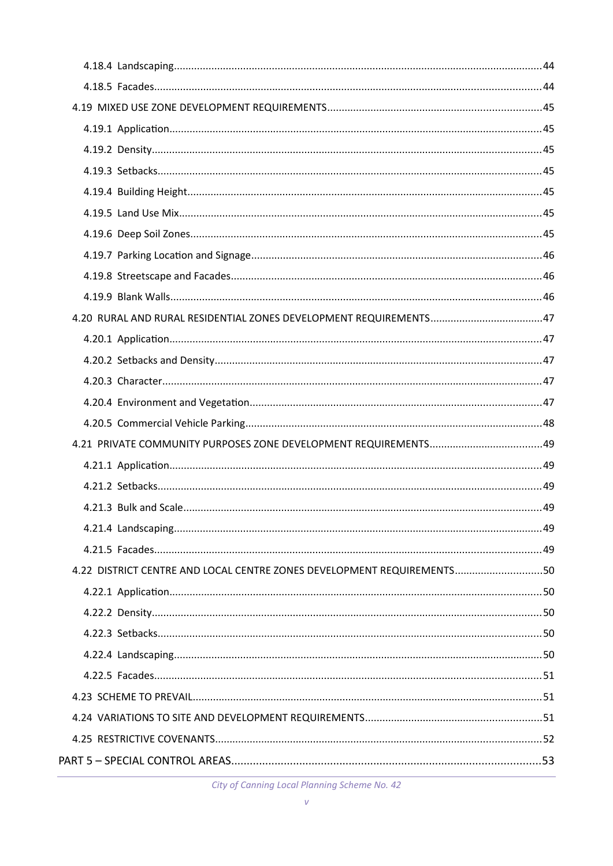| 4.22 DISTRICT CENTRE AND LOCAL CENTRE ZONES DEVELOPMENT REQUIREMENTS50 |  |
|------------------------------------------------------------------------|--|
|                                                                        |  |
|                                                                        |  |
|                                                                        |  |
|                                                                        |  |
|                                                                        |  |
|                                                                        |  |
|                                                                        |  |
|                                                                        |  |
|                                                                        |  |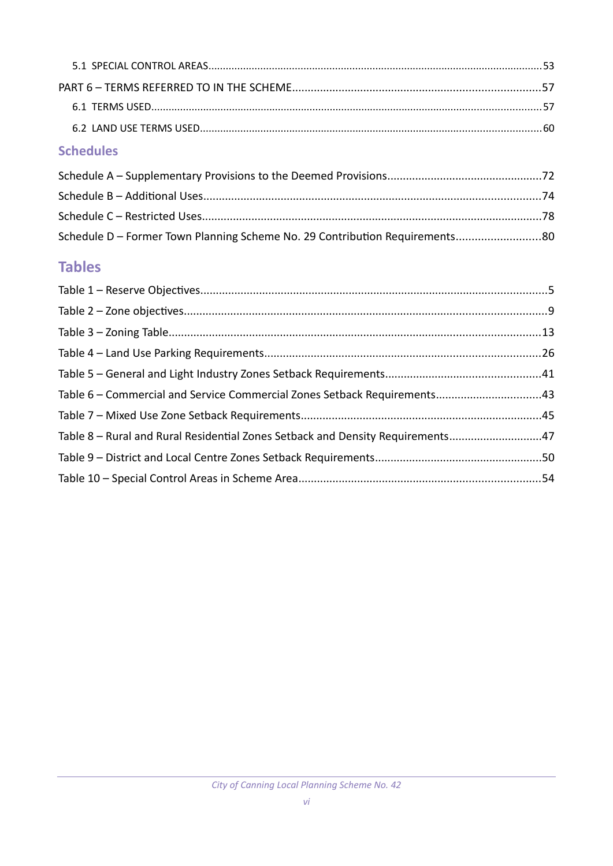# **Schedules**

| Schedule D - Former Town Planning Scheme No. 29 Contribution Requirements80 |  |
|-----------------------------------------------------------------------------|--|

# **Tables**

| Table 6 - Commercial and Service Commercial Zones Setback Requirements43       |  |
|--------------------------------------------------------------------------------|--|
|                                                                                |  |
| Table 8 - Rural and Rural Residential Zones Setback and Density Requirements47 |  |
|                                                                                |  |
|                                                                                |  |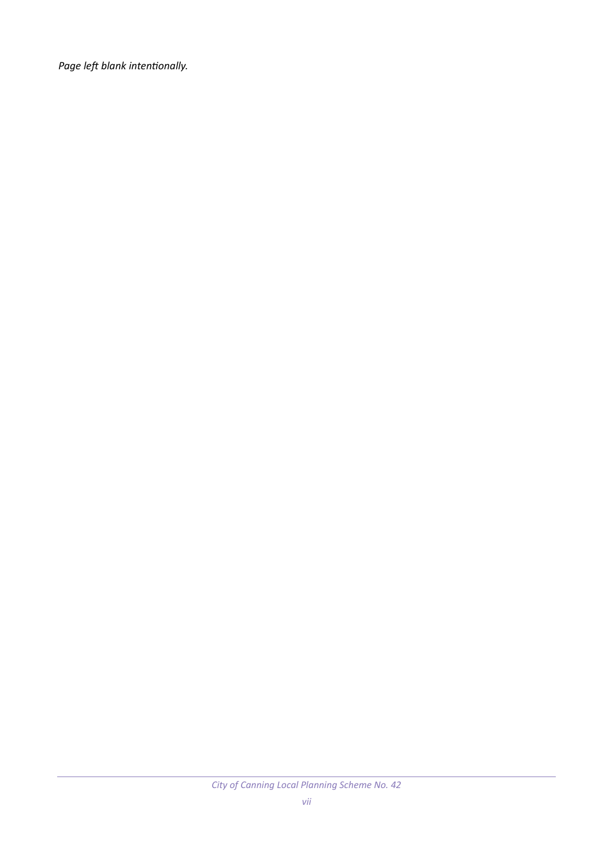*Page left blank intentionally.*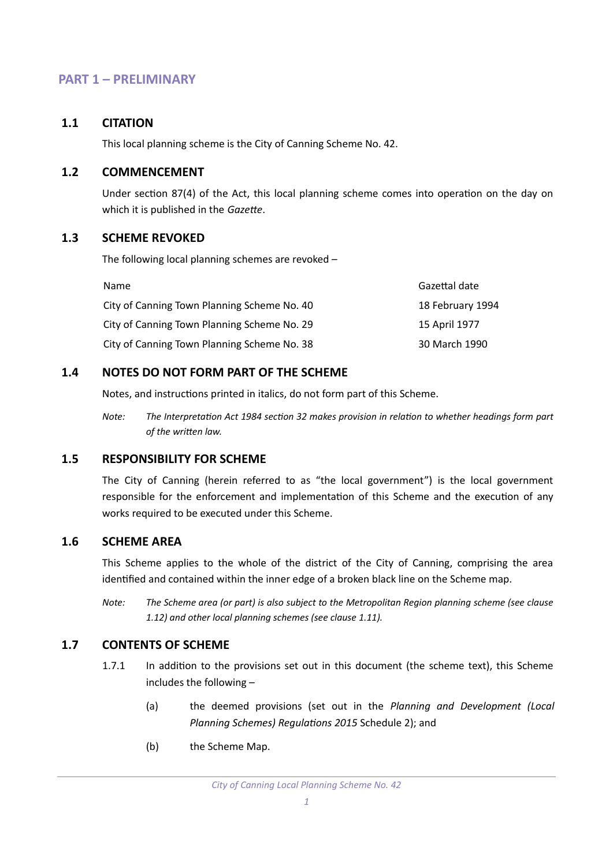#### <span id="page-7-7"></span>**PART 1 – PRELIMINARY**

#### **1.1 CITATION**

<span id="page-7-6"></span>This local planning scheme is the City of Canning Scheme No. 42.

#### **1.2 COMMENCEMENT**

<span id="page-7-5"></span>Under section 87(4) of the Act, this local planning scheme comes into operation on the day on which it is published in the *Gazette*.

#### **1.3 SCHEME REVOKED**

<span id="page-7-4"></span>The following local planning schemes are revoked –

| <b>Name</b>                                 | Gazettal date    |
|---------------------------------------------|------------------|
| City of Canning Town Planning Scheme No. 40 | 18 February 1994 |
| City of Canning Town Planning Scheme No. 29 | 15 April 1977    |
| City of Canning Town Planning Scheme No. 38 | 30 March 1990    |

#### **1.4 NOTES DO NOT FORM PART OF THE SCHEME**

<span id="page-7-3"></span>Notes, and instructions printed in italics, do not form part of this Scheme.

*Note: The Interpretation Act 1984 section 32 makes provision in relation to whether headings form part of the written law.*

#### **1.5 RESPONSIBILITY FOR SCHEME**

<span id="page-7-2"></span>The City of Canning (herein referred to as "the local government") is the local government responsible for the enforcement and implementation of this Scheme and the execution of any works required to be executed under this Scheme.

#### **1.6 SCHEME AREA**

<span id="page-7-1"></span>This Scheme applies to the whole of the district of the City of Canning, comprising the area identified and contained within the inner edge of a broken black line on the Scheme map.

*Note: The Scheme area (or part) is also subject to the Metropolitan Region planning scheme (see clause 1.12) and other local planning schemes (see clause 1.11).*

#### **1.7 CONTENTS OF SCHEME**

- <span id="page-7-0"></span>1.7.1 In addition to the provisions set out in this document (the scheme text), this Scheme includes the following –
	- (a) the deemed provisions (set out in the *Planning and Development (Local Planning Schemes) Regulations 2015* Schedule 2); and
	- (b) the Scheme Map.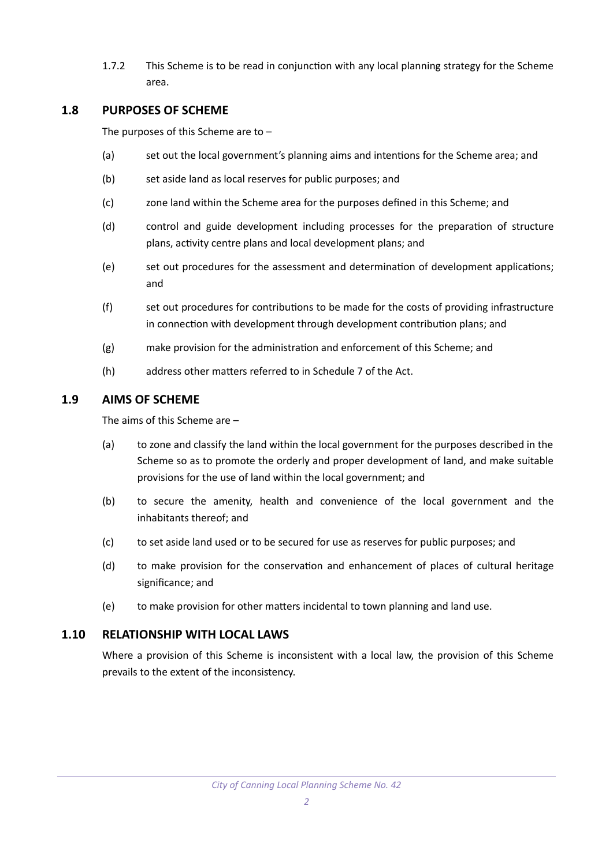1.7.2 This Scheme is to be read in conjunction with any local planning strategy for the Scheme area.

# **1.8 PURPOSES OF SCHEME**

<span id="page-8-2"></span>The purposes of this Scheme are to  $-$ 

- (a) set out the local government's planning aims and intentions for the Scheme area; and
- (b) set aside land as local reserves for public purposes; and
- (c) zone land within the Scheme area for the purposes defined in this Scheme; and
- (d) control and guide development including processes for the preparation of structure plans, activity centre plans and local development plans; and
- (e) set out procedures for the assessment and determination of development applications; and
- (f) set out procedures for contributions to be made for the costs of providing infrastructure in connection with development through development contribution plans; and
- (g) make provision for the administration and enforcement of this Scheme; and
- (h) address other matters referred to in Schedule 7 of the Act.

# **1.9 AIMS OF SCHEME**

<span id="page-8-1"></span>The aims of this Scheme are –

- (a) to zone and classify the land within the local government for the purposes described in the Scheme so as to promote the orderly and proper development of land, and make suitable provisions for the use of land within the local government; and
- (b) to secure the amenity, health and convenience of the local government and the inhabitants thereof; and
- (c) to set aside land used or to be secured for use as reserves for public purposes; and
- (d) to make provision for the conservation and enhancement of places of cultural heritage significance; and
- (e) to make provision for other matters incidental to town planning and land use.

# **1.10 RELATIONSHIP WITH LOCAL LAWS**

<span id="page-8-0"></span>Where a provision of this Scheme is inconsistent with a local law, the provision of this Scheme prevails to the extent of the inconsistency.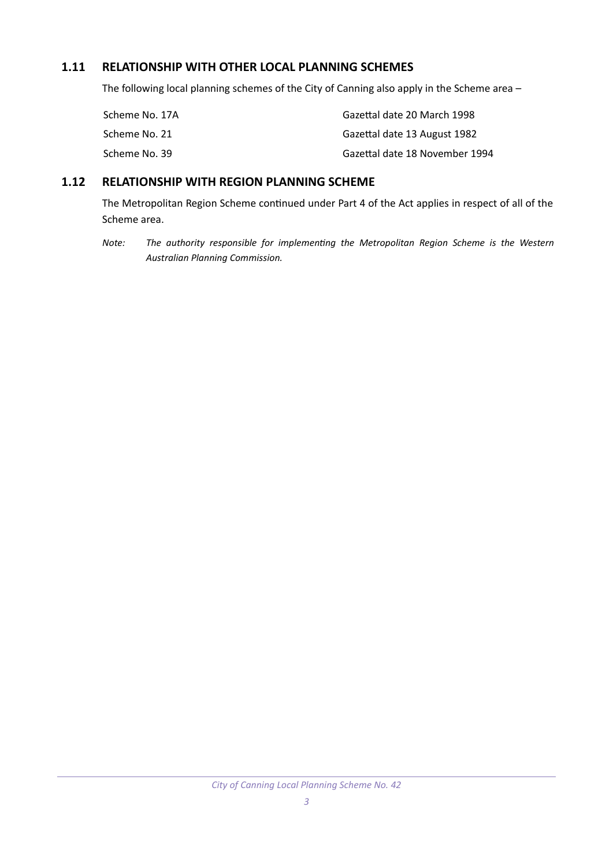# **1.11 RELATIONSHIP WITH OTHER LOCAL PLANNING SCHEMES**

<span id="page-9-1"></span>The following local planning schemes of the City of Canning also apply in the Scheme area –

| Scheme No. 17A | Gazettal date 20 March 1998    |
|----------------|--------------------------------|
| Scheme No. 21  | Gazettal date 13 August 1982   |
| Scheme No. 39  | Gazettal date 18 November 1994 |

#### **1.12 RELATIONSHIP WITH REGION PLANNING SCHEME**

<span id="page-9-0"></span>The Metropolitan Region Scheme continued under Part 4 of the Act applies in respect of all of the Scheme area.

*Note: The authority responsible for implementing the Metropolitan Region Scheme is the Western Australian Planning Commission.*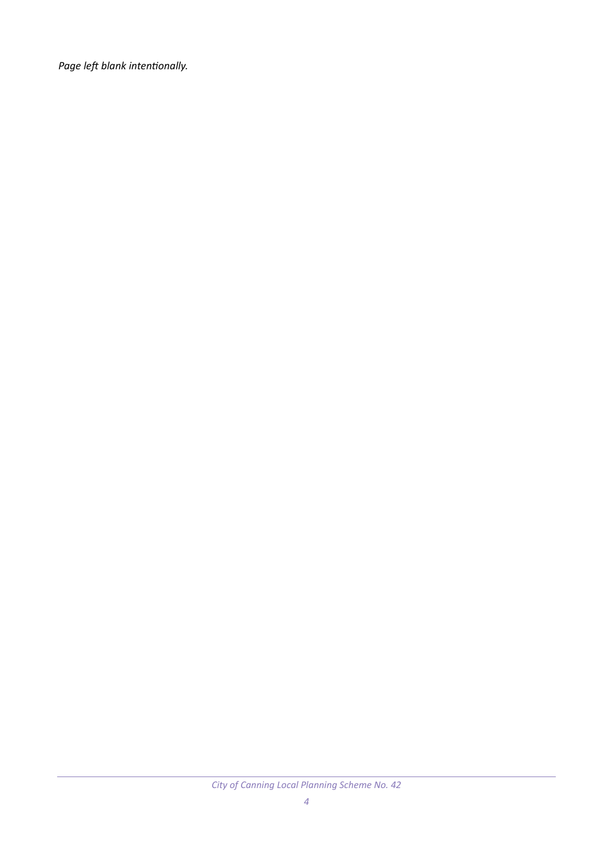*Page left blank intentionally.*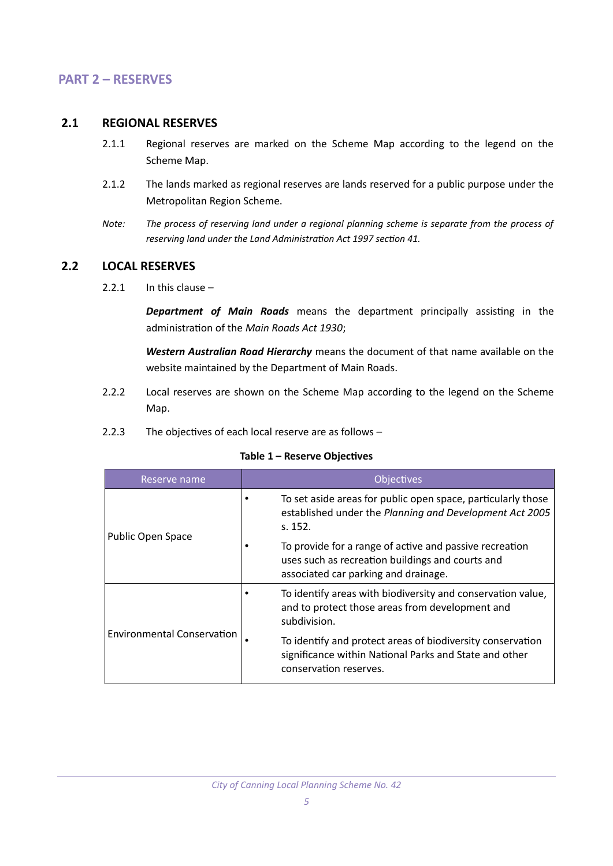#### <span id="page-11-2"></span>**PART 2 – RESERVES**

#### **2.1 REGIONAL RESERVES**

- <span id="page-11-1"></span>2.1.1 Regional reserves are marked on the Scheme Map according to the legend on the Scheme Map.
- 2.1.2 The lands marked as regional reserves are lands reserved for a public purpose under the Metropolitan Region Scheme.
- *Note: The process of reserving land under a regional planning scheme is separate from the process of reserving land under the Land Administration Act 1997 section 41.*

#### **2.2 LOCAL RESERVES**

<span id="page-11-0"></span>2.2.1 In this clause –

*Department of Main Roads* means the department principally assisting in the administration of the *Main Roads Act 1930*;

*Western Australian Road Hierarchy* means the document of that name available on the website maintained by the Department of Main Roads.

- 2.2.2 Local reserves are shown on the Scheme Map according to the legend on the Scheme Map.
- 2.2.3 The objectives of each local reserve are as follows –

#### **Table 1 – Reserve Objectives**

| Reserve name                      | Objectives                                                                                                                                          |
|-----------------------------------|-----------------------------------------------------------------------------------------------------------------------------------------------------|
| Public Open Space                 | To set aside areas for public open space, particularly those<br>established under the Planning and Development Act 2005<br>s. 152.                  |
|                                   | To provide for a range of active and passive recreation<br>uses such as recreation buildings and courts and<br>associated car parking and drainage. |
|                                   | To identify areas with biodiversity and conservation value,<br>and to protect those areas from development and<br>subdivision.                      |
| <b>Environmental Conservation</b> | To identify and protect areas of biodiversity conservation<br>significance within National Parks and State and other<br>conservation reserves.      |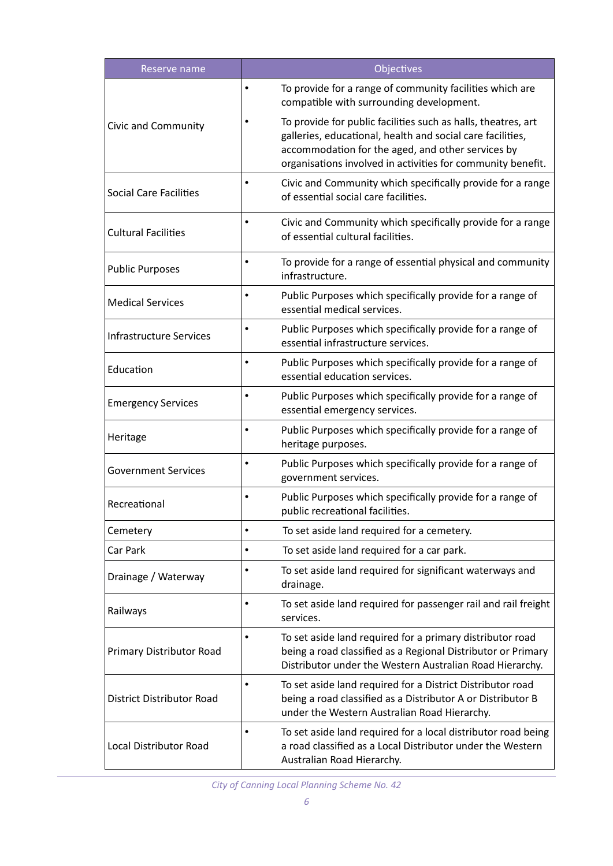| Reserve name                   | Objectives                                                                                                                                                                                                                                      |
|--------------------------------|-------------------------------------------------------------------------------------------------------------------------------------------------------------------------------------------------------------------------------------------------|
|                                | To provide for a range of community facilities which are<br>٠<br>compatible with surrounding development.                                                                                                                                       |
| <b>Civic and Community</b>     | To provide for public facilities such as halls, theatres, art<br>galleries, educational, health and social care facilities,<br>accommodation for the aged, and other services by<br>organisations involved in activities for community benefit. |
| Social Care Facilities         | Civic and Community which specifically provide for a range<br>$\bullet$<br>of essential social care facilities.                                                                                                                                 |
| <b>Cultural Facilities</b>     | Civic and Community which specifically provide for a range<br>$\bullet$<br>of essential cultural facilities.                                                                                                                                    |
| <b>Public Purposes</b>         | To provide for a range of essential physical and community<br>٠<br>infrastructure.                                                                                                                                                              |
| <b>Medical Services</b>        | Public Purposes which specifically provide for a range of<br>٠<br>essential medical services.                                                                                                                                                   |
| <b>Infrastructure Services</b> | Public Purposes which specifically provide for a range of<br>٠<br>essential infrastructure services.                                                                                                                                            |
| Education                      | Public Purposes which specifically provide for a range of<br>٠<br>essential education services.                                                                                                                                                 |
| <b>Emergency Services</b>      | Public Purposes which specifically provide for a range of<br>٠<br>essential emergency services.                                                                                                                                                 |
| Heritage                       | Public Purposes which specifically provide for a range of<br>٠<br>heritage purposes.                                                                                                                                                            |
| <b>Government Services</b>     | Public Purposes which specifically provide for a range of<br>$\bullet$<br>government services.                                                                                                                                                  |
| Recreational                   | Public Purposes which specifically provide for a range of<br>٠<br>public recreational facilities.                                                                                                                                               |
| Cemetery                       | To set aside land required for a cemetery.<br>$\bullet$                                                                                                                                                                                         |
| Car Park                       | To set aside land required for a car park.<br>$\bullet$                                                                                                                                                                                         |
| Drainage / Waterway            | To set aside land required for significant waterways and<br>٠<br>drainage.                                                                                                                                                                      |
| Railways                       | To set aside land required for passenger rail and rail freight<br>٠<br>services.                                                                                                                                                                |
| Primary Distributor Road       | To set aside land required for a primary distributor road<br>٠<br>being a road classified as a Regional Distributor or Primary<br>Distributor under the Western Australian Road Hierarchy.                                                      |
| District Distributor Road      | To set aside land required for a District Distributor road<br>$\bullet$<br>being a road classified as a Distributor A or Distributor B<br>under the Western Australian Road Hierarchy.                                                          |
| <b>Local Distributor Road</b>  | To set aside land required for a local distributor road being<br>a road classified as a Local Distributor under the Western<br>Australian Road Hierarchy.                                                                                       |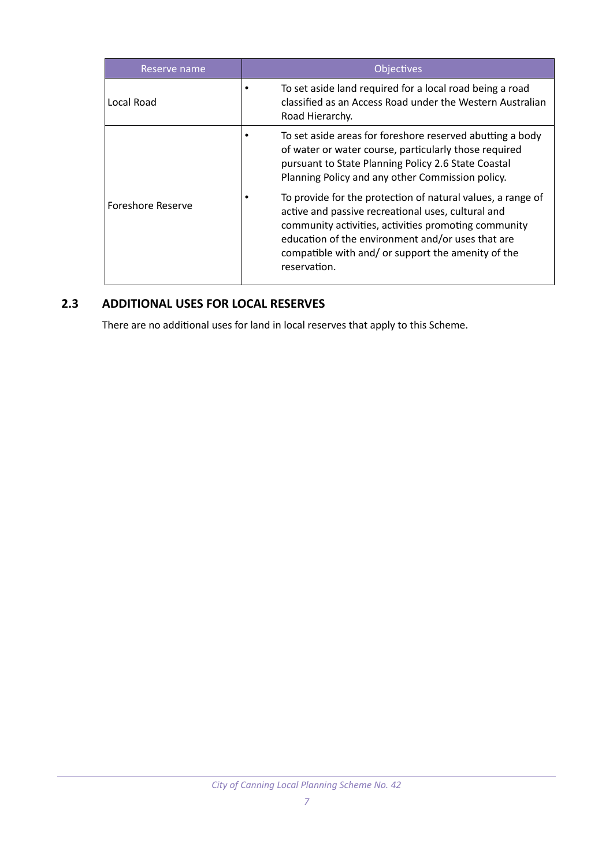| Reserve name      | <b>Objectives</b>                                                                                                                                                                                                                                                                                    |
|-------------------|------------------------------------------------------------------------------------------------------------------------------------------------------------------------------------------------------------------------------------------------------------------------------------------------------|
| Local Road        | To set aside land required for a local road being a road<br>classified as an Access Road under the Western Australian<br>Road Hierarchy.                                                                                                                                                             |
|                   | To set aside areas for foreshore reserved abutting a body<br>of water or water course, particularly those required<br>pursuant to State Planning Policy 2.6 State Coastal<br>Planning Policy and any other Commission policy.                                                                        |
| Foreshore Reserve | To provide for the protection of natural values, a range of<br>active and passive recreational uses, cultural and<br>community activities, activities promoting community<br>education of the environment and/or uses that are<br>compatible with and/ or support the amenity of the<br>reservation. |

# **2.3 ADDITIONAL USES FOR LOCAL RESERVES**

<span id="page-13-0"></span>There are no additional uses for land in local reserves that apply to this Scheme.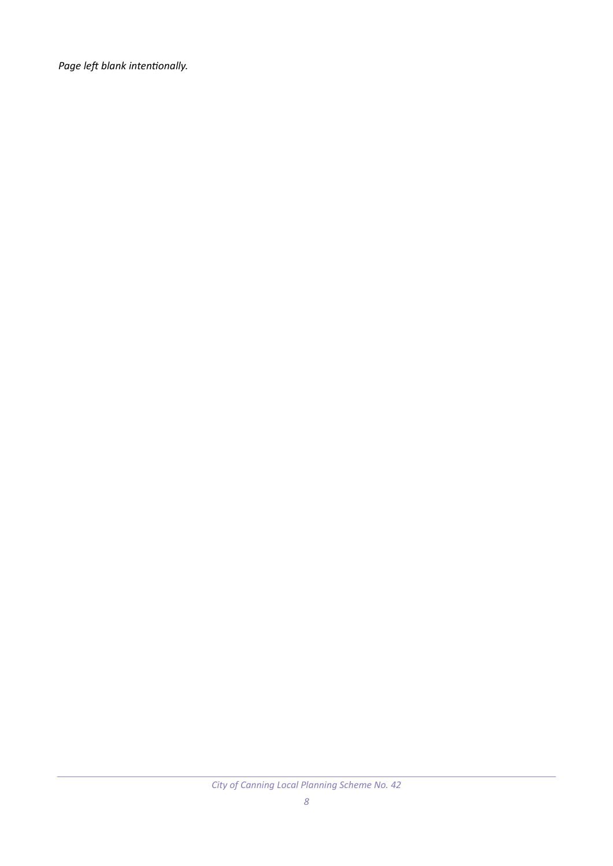*Page left blank intentionally.*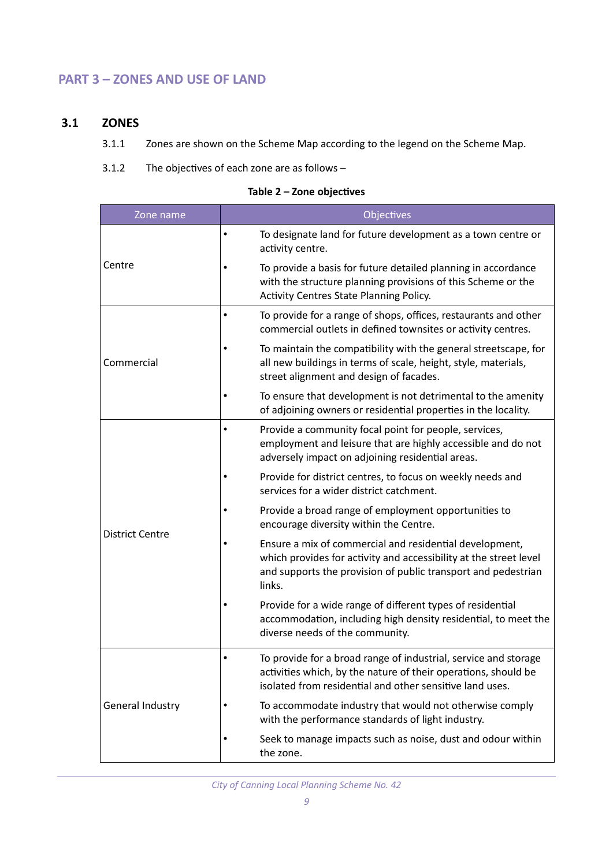# <span id="page-15-1"></span>**PART 3 – ZONES AND USE OF LAND**

#### **3.1 ZONES**

- <span id="page-15-0"></span>3.1.1 Zones are shown on the Scheme Map according to the legend on the Scheme Map.
- 3.1.2 The objectives of each zone are as follows –

| Zone name              | Objectives                                                                                                                                                                                                 |
|------------------------|------------------------------------------------------------------------------------------------------------------------------------------------------------------------------------------------------------|
|                        | To designate land for future development as a town centre or<br>activity centre.                                                                                                                           |
| Centre                 | To provide a basis for future detailed planning in accordance<br>with the structure planning provisions of this Scheme or the<br>Activity Centres State Planning Policy.                                   |
| Commercial             | To provide for a range of shops, offices, restaurants and other<br>commercial outlets in defined townsites or activity centres.                                                                            |
|                        | To maintain the compatibility with the general streetscape, for<br>all new buildings in terms of scale, height, style, materials,<br>street alignment and design of facades.                               |
|                        | To ensure that development is not detrimental to the amenity<br>of adjoining owners or residential properties in the locality.                                                                             |
|                        | Provide a community focal point for people, services,<br>employment and leisure that are highly accessible and do not<br>adversely impact on adjoining residential areas.                                  |
|                        | Provide for district centres, to focus on weekly needs and<br>services for a wider district catchment.                                                                                                     |
|                        | Provide a broad range of employment opportunities to<br>encourage diversity within the Centre.                                                                                                             |
| <b>District Centre</b> | Ensure a mix of commercial and residential development,<br>which provides for activity and accessibility at the street level<br>and supports the provision of public transport and pedestrian<br>links.    |
|                        | Provide for a wide range of different types of residential<br>accommodation, including high density residential, to meet the<br>diverse needs of the community.                                            |
|                        | To provide for a broad range of industrial, service and storage<br>$\bullet$<br>activities which, by the nature of their operations, should be<br>isolated from residential and other sensitive land uses. |
| General Industry       | To accommodate industry that would not otherwise comply<br>with the performance standards of light industry.                                                                                               |
|                        | Seek to manage impacts such as noise, dust and odour within<br>$\bullet$<br>the zone.                                                                                                                      |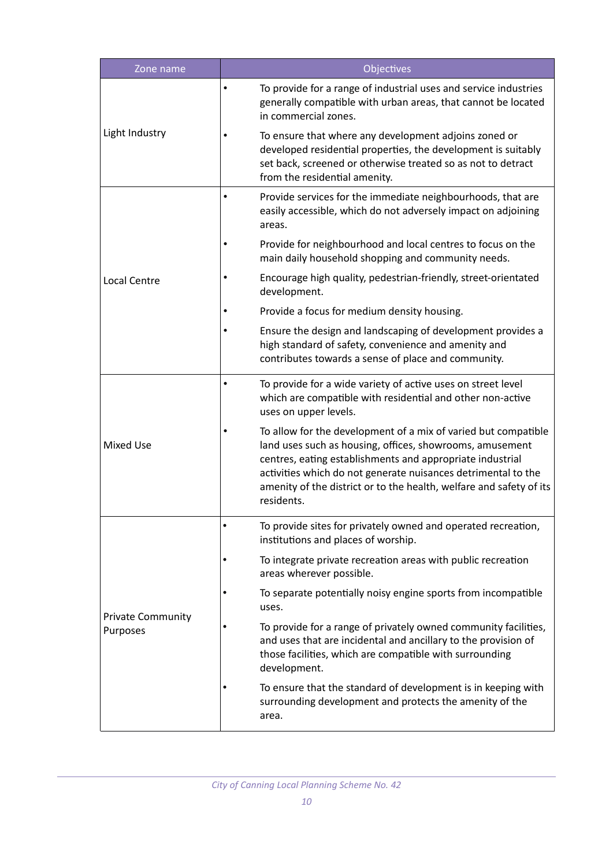| Zone name                            | Objectives                                                                                                                                                                                                                                                                                                                                    |
|--------------------------------------|-----------------------------------------------------------------------------------------------------------------------------------------------------------------------------------------------------------------------------------------------------------------------------------------------------------------------------------------------|
|                                      | To provide for a range of industrial uses and service industries<br>generally compatible with urban areas, that cannot be located<br>in commercial zones.                                                                                                                                                                                     |
| Light Industry                       | To ensure that where any development adjoins zoned or<br>developed residential properties, the development is suitably<br>set back, screened or otherwise treated so as not to detract<br>from the residential amenity.                                                                                                                       |
|                                      | Provide services for the immediate neighbourhoods, that are<br>easily accessible, which do not adversely impact on adjoining<br>areas.                                                                                                                                                                                                        |
|                                      | Provide for neighbourhood and local centres to focus on the<br>main daily household shopping and community needs.                                                                                                                                                                                                                             |
| Local Centre                         | Encourage high quality, pedestrian-friendly, street-orientated<br>development.                                                                                                                                                                                                                                                                |
|                                      | Provide a focus for medium density housing.                                                                                                                                                                                                                                                                                                   |
|                                      | Ensure the design and landscaping of development provides a<br>high standard of safety, convenience and amenity and<br>contributes towards a sense of place and community.                                                                                                                                                                    |
|                                      | To provide for a wide variety of active uses on street level<br>which are compatible with residential and other non-active<br>uses on upper levels.                                                                                                                                                                                           |
| Mixed Use                            | To allow for the development of a mix of varied but compatible<br>land uses such as housing, offices, showrooms, amusement<br>centres, eating establishments and appropriate industrial<br>activities which do not generate nuisances detrimental to the<br>amenity of the district or to the health, welfare and safety of its<br>residents. |
|                                      | To provide sites for privately owned and operated recreation,<br>institutions and places of worship.                                                                                                                                                                                                                                          |
|                                      | To integrate private recreation areas with public recreation<br>areas wherever possible.                                                                                                                                                                                                                                                      |
|                                      | To separate potentially noisy engine sports from incompatible<br>uses.                                                                                                                                                                                                                                                                        |
| <b>Private Community</b><br>Purposes | To provide for a range of privately owned community facilities,<br>and uses that are incidental and ancillary to the provision of<br>those facilities, which are compatible with surrounding<br>development.                                                                                                                                  |
|                                      | To ensure that the standard of development is in keeping with<br>surrounding development and protects the amenity of the<br>area.                                                                                                                                                                                                             |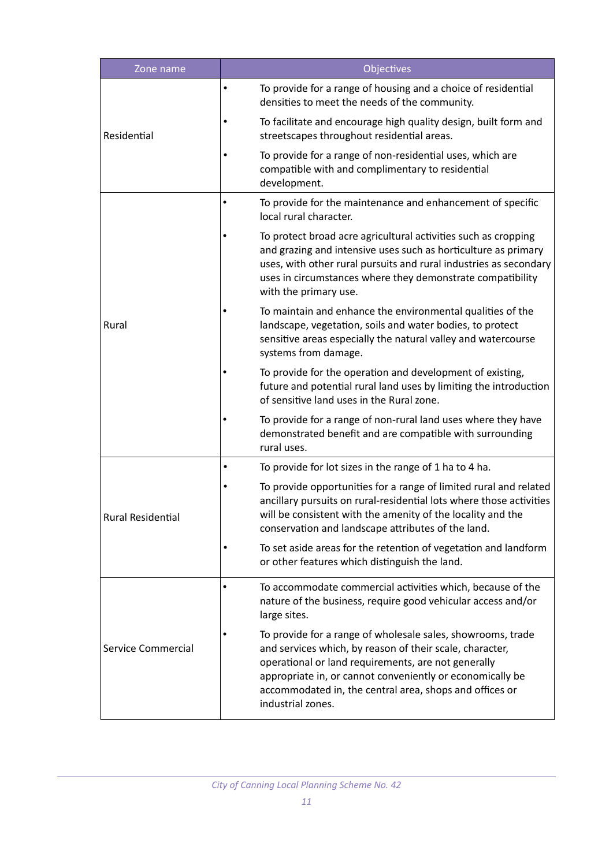| Zone name          | Objectives                                                                                                                                                                                                                                                                                                                  |
|--------------------|-----------------------------------------------------------------------------------------------------------------------------------------------------------------------------------------------------------------------------------------------------------------------------------------------------------------------------|
| Residential        | To provide for a range of housing and a choice of residential<br>densities to meet the needs of the community.                                                                                                                                                                                                              |
|                    | To facilitate and encourage high quality design, built form and<br>streetscapes throughout residential areas.                                                                                                                                                                                                               |
|                    | To provide for a range of non-residential uses, which are<br>compatible with and complimentary to residential<br>development.                                                                                                                                                                                               |
|                    | To provide for the maintenance and enhancement of specific<br>local rural character.                                                                                                                                                                                                                                        |
|                    | To protect broad acre agricultural activities such as cropping<br>and grazing and intensive uses such as horticulture as primary<br>uses, with other rural pursuits and rural industries as secondary<br>uses in circumstances where they demonstrate compatibility<br>with the primary use.                                |
| Rural              | To maintain and enhance the environmental qualities of the<br>landscape, vegetation, soils and water bodies, to protect<br>sensitive areas especially the natural valley and watercourse<br>systems from damage.                                                                                                            |
|                    | To provide for the operation and development of existing,<br>future and potential rural land uses by limiting the introduction<br>of sensitive land uses in the Rural zone.                                                                                                                                                 |
|                    | To provide for a range of non-rural land uses where they have<br>demonstrated benefit and are compatible with surrounding<br>rural uses.                                                                                                                                                                                    |
|                    | To provide for lot sizes in the range of 1 ha to 4 ha.                                                                                                                                                                                                                                                                      |
| Rural Residential  | To provide opportunities for a range of limited rural and related<br>ancillary pursuits on rural-residential lots where those activities<br>will be consistent with the amenity of the locality and the<br>conservation and landscape attributes of the land.                                                               |
|                    | To set aside areas for the retention of vegetation and landform<br>or other features which distinguish the land.                                                                                                                                                                                                            |
|                    | To accommodate commercial activities which, because of the<br>nature of the business, require good vehicular access and/or<br>large sites.                                                                                                                                                                                  |
| Service Commercial | To provide for a range of wholesale sales, showrooms, trade<br>and services which, by reason of their scale, character,<br>operational or land requirements, are not generally<br>appropriate in, or cannot conveniently or economically be<br>accommodated in, the central area, shops and offices or<br>industrial zones. |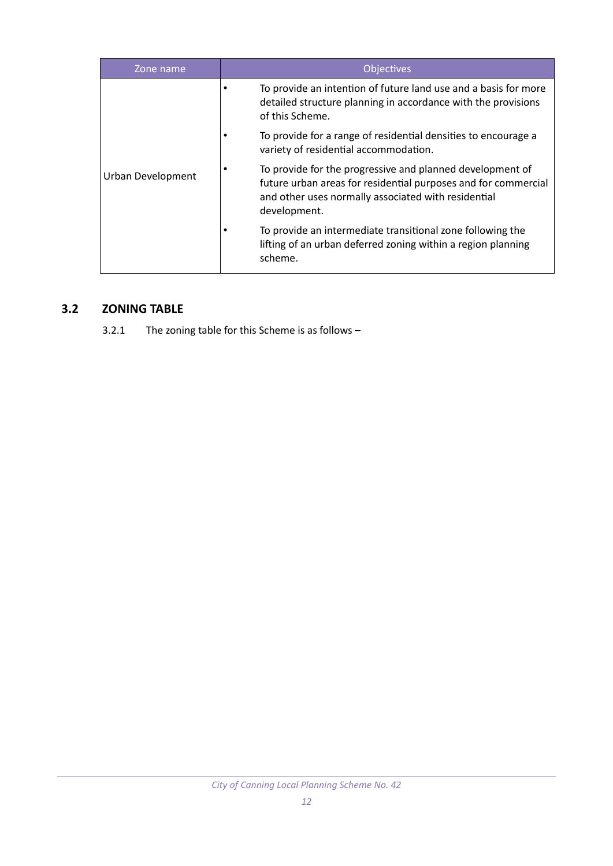| Zone name         | <b>Objectives</b>                                                                                                                                                                                  |
|-------------------|----------------------------------------------------------------------------------------------------------------------------------------------------------------------------------------------------|
|                   | To provide an intention of future land use and a basis for more<br>detailed structure planning in accordance with the provisions<br>of this Scheme.                                                |
|                   | To provide for a range of residential densities to encourage a<br>variety of residential accommodation.                                                                                            |
| Urban Development | To provide for the progressive and planned development of<br>future urban areas for residential purposes and for commercial<br>and other uses normally associated with residential<br>development. |
|                   | To provide an intermediate transitional zone following the<br>lifting of an urban deferred zoning within a region planning<br>scheme.                                                              |

# **3.2 ZONING TABLE**

<span id="page-18-0"></span>3.2.1 The zoning table for this Scheme is as follows –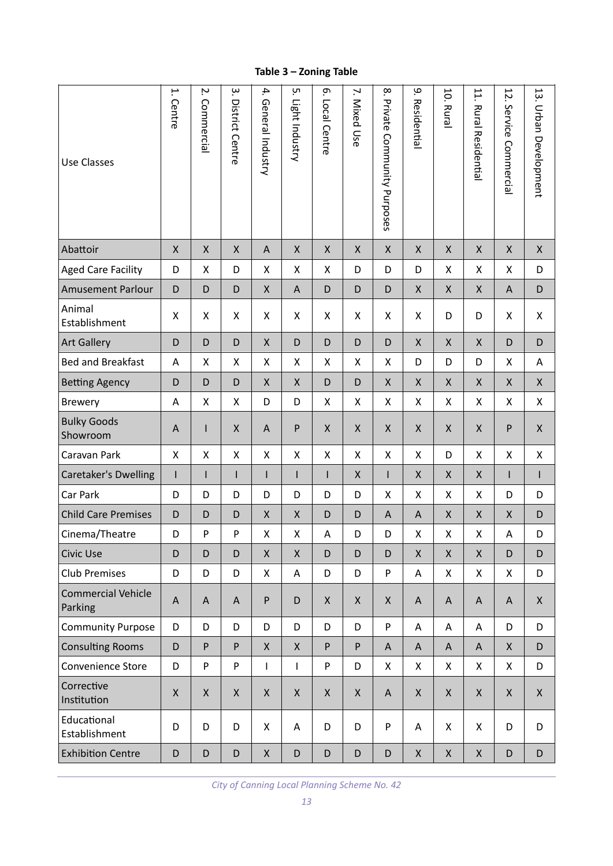**Table 3 – Zoning Table**

| <b>Use Classes</b>                   | ۳.<br>Centre       | Ņ.<br>Commercial   | ب<br>District Centre | 4.<br>General Industry | ņ.<br>Light Industry | <u>ღ</u><br>Local Centre | Ν.<br>Mixed Use    | $\infty$<br>Private Community Purposes | 9.<br>Residential         | 10.<br>Rural              | 11.<br><b>Rural Residentia</b> | 12.<br>Service Commercial | 13. Urban Development |
|--------------------------------------|--------------------|--------------------|----------------------|------------------------|----------------------|--------------------------|--------------------|----------------------------------------|---------------------------|---------------------------|--------------------------------|---------------------------|-----------------------|
| Abattoir                             | $\pmb{\mathsf{X}}$ | X                  | $\mathsf{X}$         | $\overline{A}$         | $\pmb{\mathsf{X}}$   | $\pmb{\mathsf{X}}$       | X                  | $\pmb{\mathsf{X}}$                     | X                         | $\mathsf{X}$              | $\mathsf{X}$                   | $\pmb{\mathsf{X}}$        | $\pmb{\mathsf{X}}$    |
| <b>Aged Care Facility</b>            | D                  | Χ                  | D                    | Χ                      | Χ                    | X                        | D                  | D                                      | D                         | X                         | X                              | Χ                         | D                     |
| <b>Amusement Parlour</b>             | D                  | D                  | D                    | Χ                      | A                    | D                        | D                  | D                                      | X                         | X                         | X                              | $\mathsf A$               | D                     |
| Animal<br>Establishment              | X                  | Χ                  | X                    | X                      | X                    | X                        | X                  | Χ                                      | X                         | D                         | D                              | X                         | X                     |
| <b>Art Gallery</b>                   | D                  | D                  | D                    | $\mathsf X$            | D                    | D                        | D                  | D                                      | $\pmb{\chi}$              | $\mathsf{X}$              | $\mathsf{X}$                   | D                         | D                     |
| <b>Bed and Breakfast</b>             | A                  | Χ                  | Χ                    | Χ                      | X                    | X                        | X                  | Χ                                      | D                         | D                         | D                              | Χ                         | A                     |
| <b>Betting Agency</b>                | D                  | D                  | D                    | Χ                      | X                    | D                        | D                  | Χ                                      | X                         | $\pmb{\mathsf{X}}$        | X                              | Χ                         | $\pmb{\mathsf{X}}$    |
| <b>Brewery</b>                       | Α                  | Χ                  | X                    | D                      | D                    | X                        | X                  | Χ                                      | Χ                         | X                         | X                              | Χ                         | X                     |
| <b>Bulky Goods</b><br>Showroom       | A                  | I                  | $\pmb{\mathsf{X}}$   | A                      | P                    | $\pmb{\times}$           | $\pmb{\mathsf{X}}$ | $\pmb{\mathsf{X}}$                     | Χ                         | $\pmb{\mathsf{X}}$        | X                              | P                         | $\pmb{\mathsf{X}}$    |
| Caravan Park                         | X                  | Χ                  | Χ                    | X                      | Χ                    | Χ                        | X                  | X                                      | Χ                         | D                         | X                              | Χ                         | Χ                     |
| Caretaker's Dwelling                 | $\mathsf{I}$       | I                  | I                    | $\mathsf{I}$           | I                    | $\mathsf{I}$             | X                  | $\mathsf{I}$                           | X                         | X                         | X                              | T                         | $\mathsf{I}$          |
| Car Park                             | D                  | D                  | D                    | D                      | D                    | D                        | D                  | Χ                                      | X                         | X                         | X                              | D                         | D                     |
| <b>Child Care Premises</b>           | D                  | D                  | D                    | $\pmb{\mathsf{X}}$     | $\pmb{\mathsf{X}}$   | D                        | D                  | $\boldsymbol{\mathsf{A}}$              | $\boldsymbol{\mathsf{A}}$ | $\pmb{\mathsf{X}}$        | $\mathsf{X}$                   | X                         | D                     |
| Cinema/Theatre                       | D                  | P                  | P                    | Χ                      | Χ                    | A                        | D                  | D                                      | Χ                         | X                         | X                              | A                         | D                     |
| Civic Use                            | D                  | D                  | D                    | $\mathsf X$            | $\pmb{\mathsf{X}}$   | D                        | D                  | D                                      | $\pmb{\mathsf{X}}$        | $\pmb{\mathsf{X}}$        | X                              | D                         | D                     |
| <b>Club Premises</b>                 | D                  | D                  | D                    | X                      | A                    | D                        | D                  | P                                      | A                         | X                         | X                              | X                         | D                     |
| <b>Commercial Vehicle</b><br>Parking | $\mathsf{A}$       | A                  | $\mathsf{A}$         | $\mathsf{P}$           | D                    | $\pmb{\times}$           | Χ                  | Χ                                      | A                         | $\mathsf{A}$              | $\mathsf{A}$                   | A                         | $\pmb{\mathsf{X}}$    |
| <b>Community Purpose</b>             | D                  | D                  | D                    | D                      | D                    | D                        | D                  | P                                      | A                         | $\boldsymbol{\mathsf{A}}$ | A                              | D                         | D                     |
| <b>Consulting Rooms</b>              | D                  | P                  | P                    | X                      | $\pmb{\times}$       | P                        | P                  | $\mathsf{A}$                           | A                         | A                         | A                              | $\pmb{\times}$            | D                     |
| Convenience Store                    | D                  | P                  | P                    | I                      | L                    | P                        | D                  | X                                      | Χ                         | X                         | X                              | X                         | D                     |
| Corrective<br>Institution            | $\pmb{\times}$     | $\pmb{\mathsf{X}}$ | $\mathsf{X}$         | X                      | $\pmb{\times}$       | $\mathsf{X}$             | X                  | $\mathsf{A}$                           | $\pmb{\mathsf{X}}$        | $\pmb{\times}$            | $\mathsf{X}$                   | $\mathsf{X}$              | $\mathsf{X}$          |
| Educational<br>Establishment         | D                  | D                  | D                    | X                      | Α                    | D                        | D                  | P                                      | Α                         | X                         | X                              | D                         | D                     |
| <b>Exhibition Centre</b>             | D                  | D                  | D                    | $\sf X$                | $\mathsf D$          | D                        | D                  | D                                      | X                         | $\pmb{\times}$            | X                              | D                         | D                     |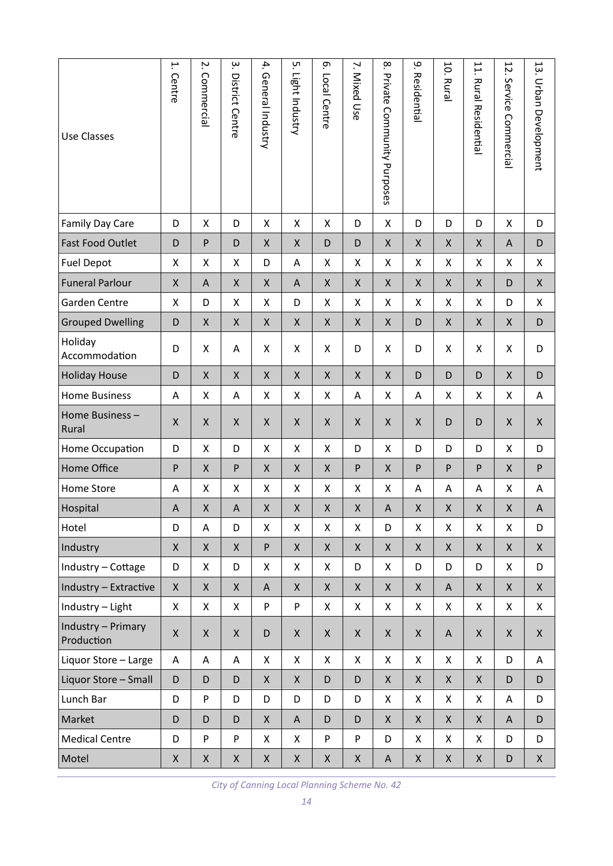| <b>Use Classes</b>               | ۳.<br>Centre       | Ν.<br>Commercial | $\dot{\mathsf{c}}$<br>District Centre | 4.<br>General Industry | ŗл<br>Light Industry | <u>ღ</u><br>Local Centre | Ν.<br>Mixed Use | $\infty$<br>Private Community Purposes | مِ<br>Residential  | 10.<br><b>Rural</b> | 11.<br><b>Rural Residentia</b> | 12.<br>Service<br>Commercial | 13. Urban Development     |
|----------------------------------|--------------------|------------------|---------------------------------------|------------------------|----------------------|--------------------------|-----------------|----------------------------------------|--------------------|---------------------|--------------------------------|------------------------------|---------------------------|
| Family Day Care                  | D                  | Χ                | D                                     | $\pmb{\mathsf{X}}$     | X                    | X                        | D               | $\pmb{\mathsf{X}}$                     | D                  | D                   | D                              | $\pmb{\mathsf{X}}$           | D                         |
| <b>Fast Food Outlet</b>          | D                  | $\mathsf{P}$     | D                                     | $\mathsf{X}$           | Χ                    | D                        | D               | $\mathsf{X}$                           | Χ                  | X                   | $\sf X$                        | A                            | D                         |
| <b>Fuel Depot</b>                | Χ                  | Χ                | X                                     | D                      | Α                    | X                        | X               | X                                      | Χ                  | X                   | X                              | X                            | X                         |
| <b>Funeral Parlour</b>           | Χ                  | A                | X                                     | X                      | A                    | X                        | X               | X                                      | Χ                  | X                   | X                              | D                            | X                         |
| Garden Centre                    | $\pmb{\mathsf{X}}$ | D                | X                                     | X                      | D                    | X                        | X               | X                                      | X                  | X                   | X                              | D                            | X                         |
| <b>Grouped Dwelling</b>          | D                  | X                | $\mathsf{X}$                          | X                      | Χ                    | $\pmb{\mathsf{X}}$       | X               | $\pmb{\mathsf{X}}$                     | D                  | X                   | $\pmb{\chi}$                   | $\pmb{\mathsf{X}}$           | D                         |
| Holiday<br>Accommodation         | D                  | Χ                | Α                                     | X                      | Χ                    | X                        | D               | X                                      | D                  | X                   | X                              | X                            | D                         |
| <b>Holiday House</b>             | D                  | Χ                | X                                     | X                      | Χ                    | X                        | X               | $\pmb{\times}$                         | D                  | D                   | D                              | $\pmb{\times}$               | D                         |
| <b>Home Business</b>             | A                  | Χ                | A                                     | Χ                      | Χ                    | X                        | Α               | X                                      | A                  | X                   | X                              | X                            | A                         |
| Home Business-<br>Rural          | $\sf X$            | X                | $\mathsf{X}$                          | X                      | Χ                    | Χ                        | X               | $\mathsf{X}$                           | Χ                  | D                   | D                              | $\pmb{\mathsf{X}}$           | $\mathsf{X}$              |
| Home Occupation                  | D                  | Χ                | D                                     | X                      | Χ                    | X                        | D               | X                                      | D                  | D                   | D                              | X                            | D                         |
| Home Office                      | P                  | Χ                | ${\sf P}$                             | X                      | Χ                    | Χ                        | $\mathsf{P}$    | $\mathsf{X}$                           | P                  | P                   | P                              | X                            | P                         |
| <b>Home Store</b>                | A                  | Χ                | X                                     | X                      | Χ                    | X                        | X               | X                                      | Α                  | Α                   | A                              | X                            | Α                         |
| Hospital                         | A                  | X                | $\mathsf A$                           | X                      | Χ                    | Χ                        | X               | $\overline{A}$                         | Χ                  | X                   | $\sf X$                        | $\pmb{\mathsf{X}}$           | $\boldsymbol{\mathsf{A}}$ |
| Hotel                            | D                  | A                | D                                     | Χ                      | Χ                    | Χ                        | Χ               | D                                      | X                  | Χ                   | Χ                              | $\pmb{\mathsf{X}}$           | D                         |
| Industry                         | Χ                  | X                | $\mathsf X$                           | P                      | X                    | $\pmb{\mathsf{X}}$       | $\mathsf X$     | $\pmb{\times}$                         | $\mathsf X$        | $\mathsf{X}$        | $\pmb{\mathsf{X}}$             | $\pmb{\times}$               | $\pmb{\mathsf{X}}$        |
| Industry - Cottage               | D                  | Χ                | D                                     | X                      | Χ                    | X                        | D               | $\pmb{\times}$                         | D                  | D                   | D                              | X                            | D                         |
| Industry - Extractive            | $\pmb{\mathsf{X}}$ | X                | $\pmb{\mathsf{X}}$                    | A                      | Χ                    | $\pmb{\mathsf{X}}$       | $\mathsf X$     | $\pmb{\mathsf{X}}$                     | $\pmb{\mathsf{X}}$ | $\mathsf A$         | $\mathsf X$                    | $\mathsf X$                  | $\mathsf{X}$              |
| Industry - Light                 | X                  | Χ                | X                                     | P                      | P                    | X                        | X               | X                                      | X                  | X                   | X                              | X                            | X                         |
| Industry - Primary<br>Production | Χ                  | X                | $\mathsf X$                           | D                      | Χ                    | $\pmb{\mathsf{X}}$       | $\sf X$         | $\pmb{\mathsf{X}}$                     | $\pmb{\mathsf{X}}$ | A                   | $\pmb{\mathsf{X}}$             | X                            | $\pmb{\mathsf{X}}$        |
| Liquor Store - Large             | Α                  | Α                | Α                                     | $\mathsf{X}$           | X                    | X                        | X               | $\pmb{\times}$                         | Χ                  | X                   | $\pmb{\mathsf{X}}$             | D                            | A                         |
| Liquor Store - Small             | D                  | D                | D                                     | $\mathsf{X}$           | $\mathsf{X}$         | D                        | D               | $\pmb{\mathsf{X}}$                     | $\pmb{\mathsf{X}}$ | $\mathsf{X}$        | $\pmb{\mathsf{X}}$             | D                            | D                         |
| Lunch Bar                        | D                  | ${\sf P}$        | D                                     | D                      | D                    | D                        | D               | X                                      | X                  | X                   | Χ                              | Α                            | D                         |
| Market                           | D                  | D                | D                                     | $\mathsf{X}$           | A                    | D                        | D               | $\pmb{\mathsf{X}}$                     | Χ                  | X                   | $\pmb{\mathsf{X}}$             | A                            | D                         |
| <b>Medical Centre</b>            | D                  | ${\sf P}$        | P                                     | X                      | X                    | P                        | ${\sf P}$       | D                                      | X                  | X                   | X                              | D                            | D                         |
| Motel                            | Χ                  | Χ                | $\mathsf{X}$                          | $\mathsf{X}$           | Χ                    | $\pmb{\mathsf{X}}$       | X               | A                                      | Χ                  | X                   | $\pmb{\mathsf{X}}$             | D                            | X                         |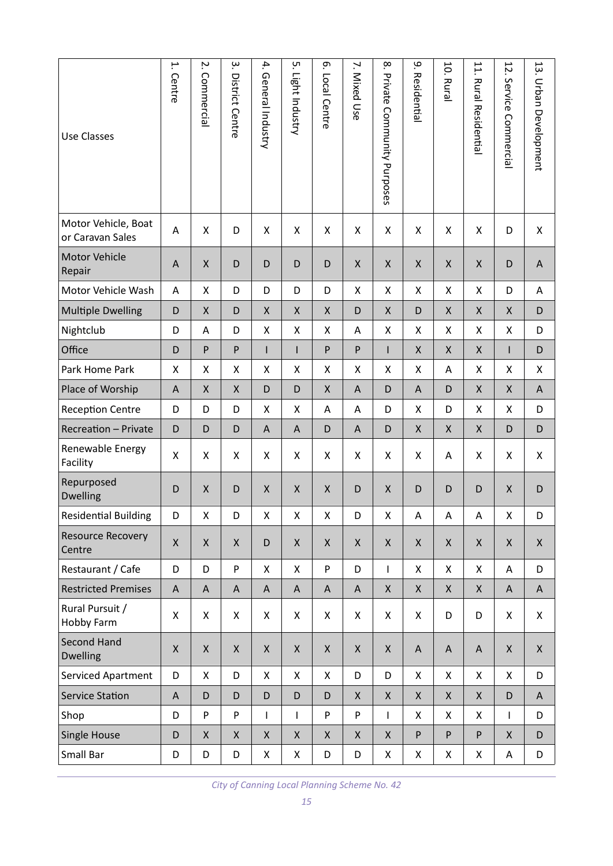| <b>Use Classes</b>                      | 1. Centre                 | ŗ.<br>Commercial | $\dot{\mathsf{m}}$<br>District Centre | 4.<br>General Industry | ŗч<br>Light Industry | <u>ო</u><br>Local Centre | 2.<br>Mixed Use | $\infty$<br>Private Community Purposes | مِ<br>Residential  | 10.<br>Rural              | 11.<br><b>Rural Residentia</b> | 12.<br>Service<br>Commercial | 13. Urban Development |
|-----------------------------------------|---------------------------|------------------|---------------------------------------|------------------------|----------------------|--------------------------|-----------------|----------------------------------------|--------------------|---------------------------|--------------------------------|------------------------------|-----------------------|
| Motor Vehicle, Boat<br>or Caravan Sales | Α                         | X                | D                                     | X                      | X                    | Χ                        | Χ               | $\pmb{\mathsf{X}}$                     | X                  | Χ                         | X                              | D                            | X                     |
| Motor Vehicle<br>Repair                 | A                         | Χ                | D                                     | D                      | D                    | D                        | X               | $\pmb{\mathsf{X}}$                     | X                  | X                         | X                              | D                            | A                     |
| Motor Vehicle Wash                      | A                         | X                | D                                     | D                      | D                    | D                        | X               | $\pmb{\mathsf{X}}$                     | $\pmb{\mathsf{X}}$ | X                         | X                              | D                            | A                     |
| <b>Multiple Dwelling</b>                | D                         | Χ                | D                                     | X                      | X                    | Χ                        | D               | $\pmb{\mathsf{X}}$                     | D                  | $\pmb{\mathsf{X}}$        | X                              | X                            | D                     |
| Nightclub                               | D                         | Α                | D                                     | X                      | Χ                    | Χ                        | A               | Χ                                      | X                  | Χ                         | X                              | X                            | D                     |
| Office                                  | D                         | ${\sf P}$        | ${\sf P}$                             | $\mathsf{I}$           | L                    | ${\sf P}$                | P               | $\mathsf{I}$                           | $\pmb{\mathsf{X}}$ | X                         | X                              | L                            | D                     |
| Park Home Park                          | X                         | X                | Χ                                     | X                      | X                    | Χ                        | X               | Χ                                      | X                  | A                         | Χ                              | X                            | X                     |
| Place of Worship                        | $\mathsf{A}$              | X                | X                                     | D                      | D                    | Χ                        | A               | D                                      | $\mathsf A$        | D                         | X                              | X                            | A                     |
| <b>Reception Centre</b>                 | D                         | D                | D                                     | X                      | X                    | A                        | Α               | D                                      | X                  | D                         | X                              | X                            | D                     |
| <b>Recreation - Private</b>             | D                         | D                | D                                     | A                      | A                    | D                        | A               | D                                      | X                  | Χ                         | Χ                              | D                            | D                     |
| Renewable Energy<br>Facility            | X                         | Χ                | X                                     | X                      | X                    | X                        | X               | X                                      | X                  | Α                         | X                              | X                            | X                     |
| Repurposed<br><b>Dwelling</b>           | D                         | X                | D                                     | $\sf X$                | $\pmb{\mathsf{X}}$   | $\pmb{\mathsf{X}}$       | D               | $\pmb{\mathsf{X}}$                     | D                  | D                         | D                              | $\pmb{\mathsf{X}}$           | D                     |
| <b>Residential Building</b>             | D                         | Χ                | D                                     | X                      | Χ                    | Χ                        | D               | Χ                                      | A                  | Α                         | A                              | Χ                            | D                     |
| <b>Resource Recovery</b><br>Centre      | $\mathsf X$               | X                | $\mathsf{X}$                          | D                      | $\pmb{\times}$       | $\pmb{\mathsf{X}}$       | X               | $\pmb{\mathsf{X}}$                     | $\mathsf X$        | $\pmb{\times}$            | $\mathsf{X}$                   | $\pmb{\mathsf{X}}$           | $\pmb{\mathsf{X}}$    |
| Restaurant / Cafe                       | D                         | D                | P                                     | X                      | $\pmb{\mathsf{X}}$   | P                        | D               | $\overline{1}$                         | $\pmb{\mathsf{X}}$ | $\pmb{\mathsf{X}}$        | X                              | $\boldsymbol{\mathsf{A}}$    | D                     |
| <b>Restricted Premises</b>              | A                         | $\mathsf{A}$     | A                                     | A                      | A                    | A                        | A               | $\pmb{\mathsf{X}}$                     | Χ                  | $\mathsf{X}$              | $\mathsf X$                    | A                            | A                     |
| Rural Pursuit /<br>Hobby Farm           | X                         | Χ                | X                                     | X                      | X                    | X                        | X               | X                                      | X                  | D                         | D                              | X                            | X                     |
| <b>Second Hand</b><br><b>Dwelling</b>   | $\pmb{\mathsf{X}}$        | X                | $\mathsf{X}$                          | $\mathsf{X}$           | $\mathsf{X}$         | $\pmb{\mathsf{X}}$       | X               | $\pmb{\mathsf{X}}$                     | A                  | $\boldsymbol{\mathsf{A}}$ | $\mathsf A$                    | $\pmb{\times}$               | $\mathsf{X}$          |
| Serviced Apartment                      | D                         | X                | D                                     | X                      | X                    | Χ                        | D               | D                                      | X                  | X                         | X                              | Χ                            | D                     |
| <b>Service Station</b>                  | $\boldsymbol{\mathsf{A}}$ | D                | D                                     | D                      | D                    | D                        | X               | $\pmb{\mathsf{X}}$                     | $\pmb{\mathsf{X}}$ | $\mathsf{X}$              | X                              | D                            | A                     |
| Shop                                    | D                         | P                | P                                     | $\mathsf{I}$           | L                    | P                        | P               | $\mathsf{I}$                           | $\pmb{\mathsf{X}}$ | X                         | X                              | $\mathsf{I}$                 | D                     |
| <b>Single House</b>                     | D                         | X                | $\pmb{\mathsf{X}}$                    | $\pmb{\mathsf{X}}$     | $\pmb{\mathsf{X}}$   | $\pmb{\mathsf{X}}$       | X               | $\pmb{\mathsf{X}}$                     | P                  | P                         | P                              | $\pmb{\mathsf{X}}$           | D                     |
| Small Bar                               | D                         | D                | D                                     | X                      | X                    | D                        | D               | Χ                                      | X                  | X                         | X                              | Α                            | D                     |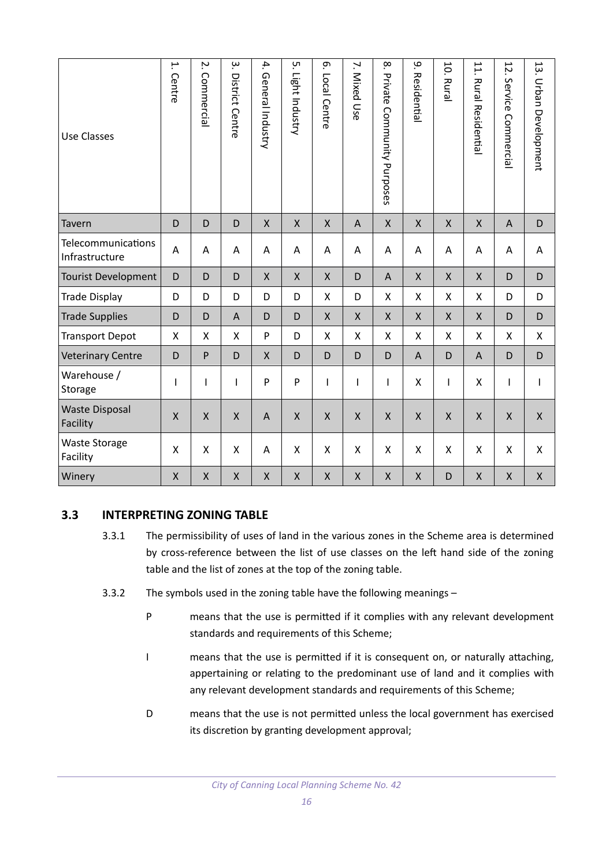| <b>Use Classes</b>                   | H.<br>Centre       | Z.<br>Commercial | $\dot{\mathsf{c}}$<br>District Centre | 4.<br>General Industry | ŗч<br>Light Industry | <u>ო</u><br>Local Centre | 7.<br>Mixed Use | $\infty$<br>Private Community Purposes | مِ<br>Residential  | 10.<br><b>Rural</b>       | 11.<br><b>Rural Residential</b> | 12.<br>Service<br>Commercial | 13.<br><b>Urban Development</b> |
|--------------------------------------|--------------------|------------------|---------------------------------------|------------------------|----------------------|--------------------------|-----------------|----------------------------------------|--------------------|---------------------------|---------------------------------|------------------------------|---------------------------------|
| Tavern                               | D                  | D                | D                                     | $\mathsf{X}$           | X                    | $\mathsf{X}$             | A               | $\mathsf{X}$                           | $\mathsf{x}$       | $\mathsf{X}$              | $\sf X$                         | A                            | D                               |
| Telecommunications<br>Infrastructure | Α                  | A                | Α                                     | A                      | Α                    | Α                        | Α               | Α                                      | A                  | Α                         | A                               | Α                            | A                               |
| <b>Tourist Development</b>           | D                  | D                | D                                     | $\mathsf{X}$           | X                    | X                        | D               | A                                      | $\mathsf{X}$       | $\mathsf{X}$              | X                               | D                            | D                               |
| <b>Trade Display</b>                 | D                  | D                | D                                     | D                      | D                    | $\pmb{\mathsf{X}}$       | D               | Χ                                      | $\pmb{\mathsf{X}}$ | $\mathsf X$               | X                               | D                            | D                               |
| <b>Trade Supplies</b>                | D                  | D                | A                                     | D                      | D                    | Χ                        | X               | X                                      | $\pmb{\mathsf{X}}$ | $\mathsf{X}$              | $\mathsf X$                     | D                            | D                               |
| <b>Transport Depot</b>               | X                  | Χ                | X                                     | P                      | D                    | Χ                        | X               | Χ                                      | X                  | $\boldsymbol{\mathsf{X}}$ | X                               | X                            | X                               |
| <b>Veterinary Centre</b>             | D                  | ${\sf P}$        | D                                     | $\mathsf{X}$           | D                    | D                        | D               | D                                      | A                  | D                         | $\overline{A}$                  | D                            | D                               |
| Warehouse /<br>Storage               | T                  | I                | T                                     | P                      | P                    | I                        | ı               | I                                      | $\pmb{\mathsf{X}}$ | $\overline{\phantom{a}}$  | X                               | ı                            | $\mathsf{I}$                    |
| <b>Waste Disposal</b><br>Facility    | $\mathsf{X}$       | $\mathsf{X}$     | $\mathsf{X}$                          | A                      | $\mathsf{X}$         | $\mathsf{X}$             | X               | $\mathsf X$                            | $\mathsf{X}$       | $\mathsf{X}$              | $\sf X$                         | $\mathsf{X}% _{0}$           | X                               |
| <b>Waste Storage</b><br>Facility     | X                  | Χ                | X                                     | A                      | X                    | X                        | Χ               | X                                      | $\pmb{\mathsf{X}}$ | X                         | X                               | X                            | Χ                               |
| Winery                               | $\pmb{\mathsf{X}}$ | X                | $\pmb{\mathsf{X}}$                    | $\pmb{\mathsf{X}}$     | $\pmb{\mathsf{X}}$   | $\pmb{\mathsf{X}}$       | X               | $\pmb{\mathsf{X}}$                     | $\pmb{\mathsf{X}}$ | D                         | $\mathsf X$                     | $\pmb{\mathsf{X}}$           | $\pmb{\mathsf{X}}$              |

# **3.3 INTERPRETING ZONING TABLE**

- <span id="page-22-0"></span>3.3.1 The permissibility of uses of land in the various zones in the Scheme area is determined by cross-reference between the list of use classes on the left hand side of the zoning table and the list of zones at the top of the zoning table.
- 3.3.2 The symbols used in the zoning table have the following meanings
	- P means that the use is permitted if it complies with any relevant development standards and requirements of this Scheme;
	- I means that the use is permitted if it is consequent on, or naturally attaching, appertaining or relating to the predominant use of land and it complies with any relevant development standards and requirements of this Scheme;
	- D means that the use is not permitted unless the local government has exercised its discretion by granting development approval;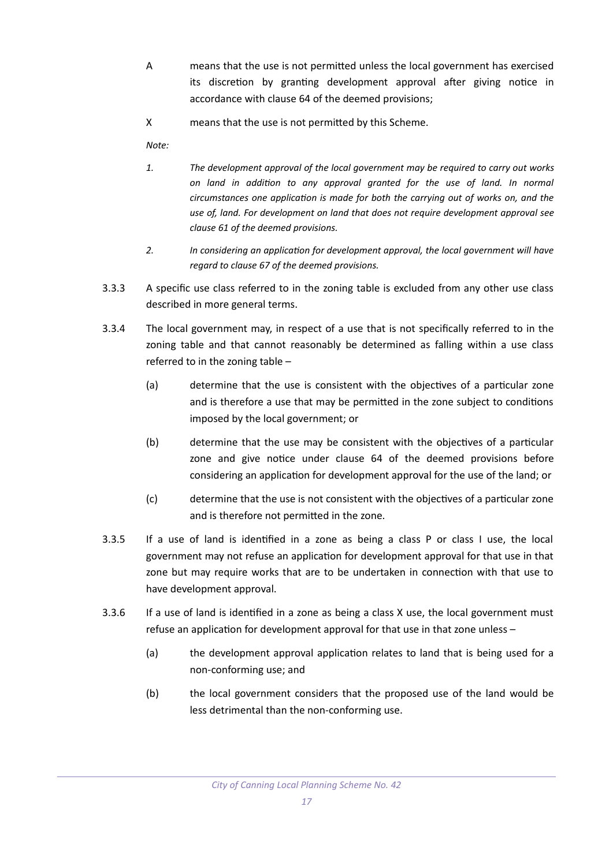- A means that the use is not permitted unless the local government has exercised its discretion by granting development approval after giving notice in accordance with clause 64 of the deemed provisions;
- X means that the use is not permitted by this Scheme.

*Note:*

- *1. The development approval of the local government may be required to carry out works on land in addition to any approval granted for the use of land. In normal circumstances one application is made for both the carrying out of works on, and the use of, land. For development on land that does not require development approval see clause 61 of the deemed provisions.*
- *2. In considering an application for development approval, the local government will have regard to clause 67 of the deemed provisions.*
- 3.3.3 A specific use class referred to in the zoning table is excluded from any other use class described in more general terms.
- 3.3.4 The local government may, in respect of a use that is not specifically referred to in the zoning table and that cannot reasonably be determined as falling within a use class referred to in the zoning table –
	- (a) determine that the use is consistent with the objectives of a particular zone and is therefore a use that may be permitted in the zone subject to conditions imposed by the local government; or
	- (b) determine that the use may be consistent with the objectives of a particular zone and give notice under clause 64 of the deemed provisions before considering an application for development approval for the use of the land; or
	- (c) determine that the use is not consistent with the objectives of a particular zone and is therefore not permitted in the zone.
- 3.3.5 If a use of land is identified in a zone as being a class P or class I use, the local government may not refuse an application for development approval for that use in that zone but may require works that are to be undertaken in connection with that use to have development approval.
- 3.3.6 If a use of land is identified in a zone as being a class X use, the local government must refuse an application for development approval for that use in that zone unless –
	- (a) the development approval application relates to land that is being used for a non-conforming use; and
	- (b) the local government considers that the proposed use of the land would be less detrimental than the non-conforming use.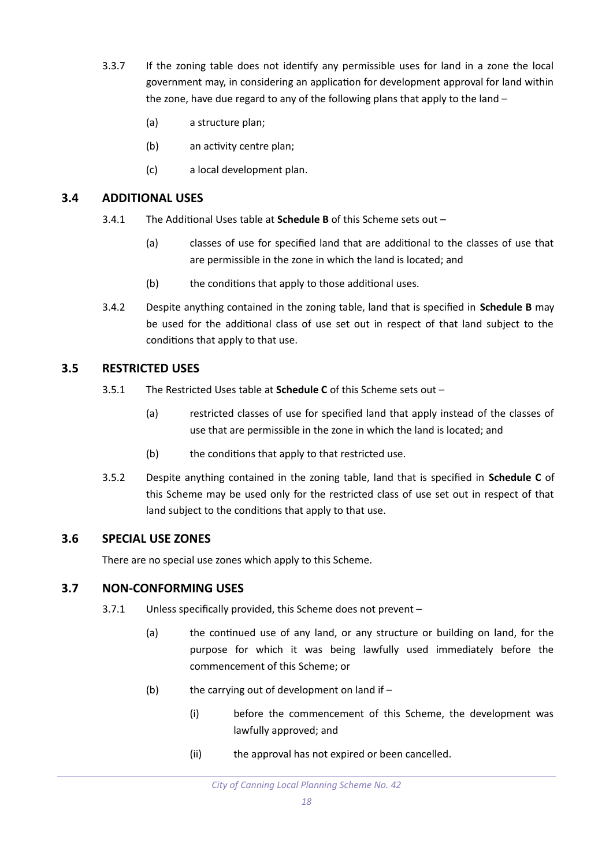- 3.3.7 If the zoning table does not identify any permissible uses for land in a zone the local government may, in considering an application for development approval for land within the zone, have due regard to any of the following plans that apply to the land –
	- (a) a structure plan;
	- (b) an activity centre plan;
	- (c) a local development plan.

#### **3.4 ADDITIONAL USES**

- <span id="page-24-3"></span>3.4.1 The Additional Uses table at **[Schedule B](#page-80-0)** of this Scheme sets out –
	- (a) classes of use for specified land that are additional to the classes of use that are permissible in the zone in which the land is located; and
	- (b) the conditions that apply to those additional uses.
- 3.4.2 Despite anything contained in the zoning table, land that is specified in **[Schedule B](#page-80-0)** may be used for the additional class of use set out in respect of that land subject to the conditions that apply to that use.

#### **3.5 RESTRICTED USES**

- <span id="page-24-2"></span>3.5.1 The Restricted Uses table at **[Schedule C](#page-84-0)** of this Scheme sets out –
	- (a) restricted classes of use for specified land that apply instead of the classes of use that are permissible in the zone in which the land is located; and
	- (b) the conditions that apply to that restricted use.
- 3.5.2 Despite anything contained in the zoning table, land that is specified in **[Schedule C](#page-84-0)** of this Scheme may be used only for the restricted class of use set out in respect of that land subject to the conditions that apply to that use.

#### **3.6 SPECIAL USE ZONES**

<span id="page-24-1"></span>There are no special use zones which apply to this Scheme.

#### **3.7 NON-CONFORMING USES**

- <span id="page-24-0"></span>3.7.1 Unless specifically provided, this Scheme does not prevent –
	- (a) the continued use of any land, or any structure or building on land, for the purpose for which it was being lawfully used immediately before the commencement of this Scheme; or
	- (b) the carrying out of development on land if  $-$ 
		- (i) before the commencement of this Scheme, the development was lawfully approved; and
		- (ii) the approval has not expired or been cancelled.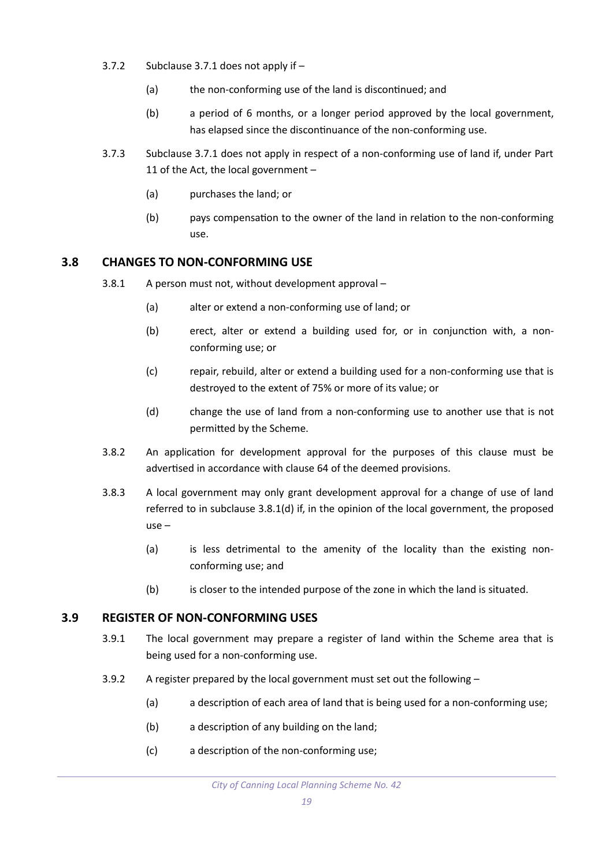- 3.7.2 Subclause 3.7.1 does not apply if
	- (a) the non-conforming use of the land is discontinued; and
	- (b) a period of 6 months, or a longer period approved by the local government, has elapsed since the discontinuance of the non-conforming use.
- 3.7.3 Subclause 3.7.1 does not apply in respect of a non-conforming use of land if, under Part 11 of the Act, the local government –
	- (a) purchases the land; or
	- (b) pays compensation to the owner of the land in relation to the non-conforming use.

#### **3.8 CHANGES TO NON-CONFORMING USE**

- <span id="page-25-1"></span>3.8.1 A person must not, without development approval –
	- (a) alter or extend a non-conforming use of land; or
	- (b) erect, alter or extend a building used for, or in conjunction with, a nonconforming use; or
	- (c) repair, rebuild, alter or extend a building used for a non-conforming use that is destroyed to the extent of 75% or more of its value; or
	- (d) change the use of land from a non-conforming use to another use that is not permitted by the Scheme.
- 3.8.2 An application for development approval for the purposes of this clause must be advertised in accordance with clause 64 of the deemed provisions.
- 3.8.3 A local government may only grant development approval for a change of use of land referred to in subclause 3.8.1(d) if, in the opinion of the local government, the proposed use –
	- (a) is less detrimental to the amenity of the locality than the existing nonconforming use; and
	- (b) is closer to the intended purpose of the zone in which the land is situated.

#### **3.9 REGISTER OF NON-CONFORMING USES**

- <span id="page-25-0"></span>3.9.1 The local government may prepare a register of land within the Scheme area that is being used for a non-conforming use.
- 3.9.2 A register prepared by the local government must set out the following
	- (a) a description of each area of land that is being used for a non-conforming use;
	- (b) a description of any building on the land;
	- (c) a description of the non-conforming use;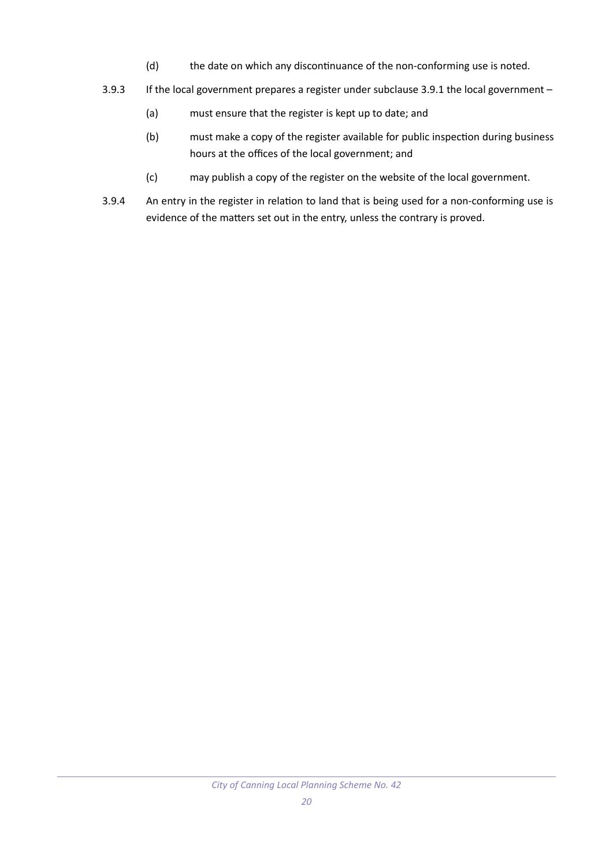- (d) the date on which any discontinuance of the non-conforming use is noted.
- 3.9.3 If the local government prepares a register under subclause 3.9.1 the local government
	- (a) must ensure that the register is kept up to date; and
	- (b) must make a copy of the register available for public inspection during business hours at the offices of the local government; and
	- (c) may publish a copy of the register on the website of the local government.
- 3.9.4 An entry in the register in relation to land that is being used for a non-conforming use is evidence of the matters set out in the entry, unless the contrary is proved.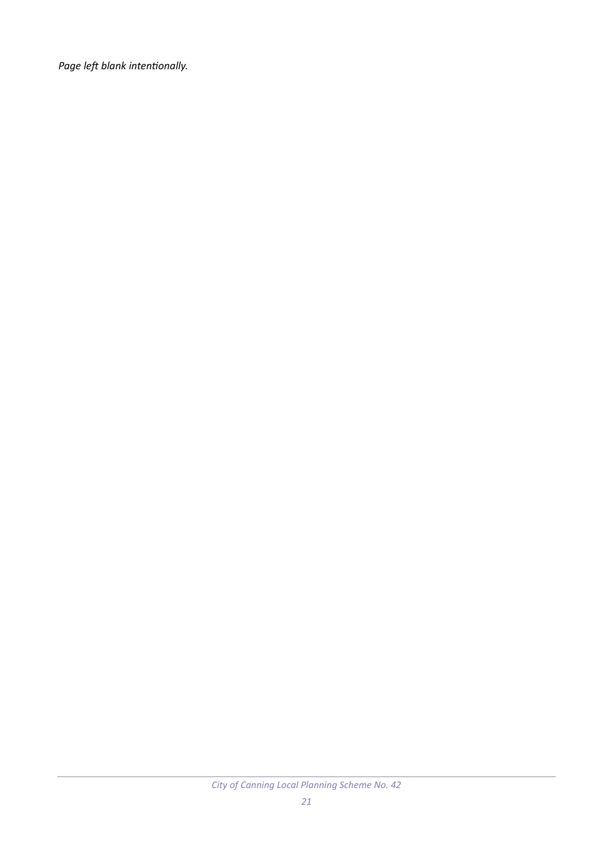*Page left blank intentionally.*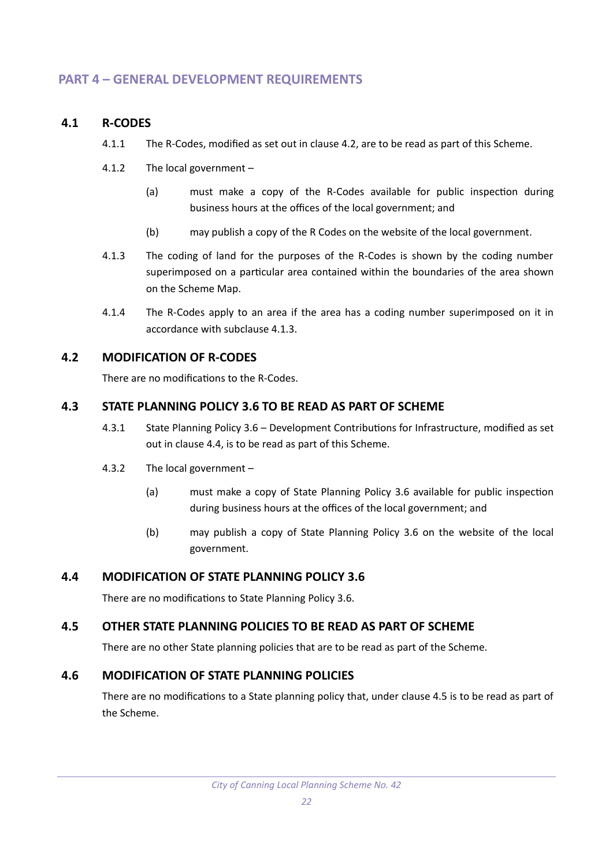# <span id="page-28-4"></span>**PART 4 – GENERAL DEVELOPMENT REQUIREMENTS**

#### **4.1 R-CODES**

- <span id="page-28-3"></span>4.1.1 The R-Codes, modified as set out in clause 4.2, are to be read as part of this Scheme.
- 4.1.2 The local government
	- (a) must make a copy of the R-Codes available for public inspection during business hours at the offices of the local government; and
	- (b) may publish a copy of the R Codes on the website of the local government.
- 4.1.3 The coding of land for the purposes of the R-Codes is shown by the coding number superimposed on a particular area contained within the boundaries of the area shown on the Scheme Map.
- 4.1.4 The R-Codes apply to an area if the area has a coding number superimposed on it in accordance with subclause 4.1.3.

#### **4.2 MODIFICATION OF R-CODES**

<span id="page-28-2"></span>There are no modifications to the R-Codes.

#### **4.3 STATE PLANNING POLICY 3.6 TO BE READ AS PART OF SCHEME**

- <span id="page-28-1"></span>4.3.1 State Planning Policy 3.6 – Development Contributions for Infrastructure, modified as set out in clause 4.4, is to be read as part of this Scheme.
- 4.3.2 The local government
	- (a) must make a copy of State Planning Policy 3.6 available for public inspection during business hours at the offices of the local government; and
	- (b) may publish a copy of State Planning Policy 3.6 on the website of the local government.

# **4.4 MODIFICATION OF STATE PLANNING POLICY 3.6**

<span id="page-28-0"></span>There are no modifications to State Planning Policy 3.6.

#### **4.5 OTHER STATE PLANNING POLICIES TO BE READ AS PART OF SCHEME**

<span id="page-28-6"></span>There are no other State planning policies that are to be read as part of the Scheme.

#### **4.6 MODIFICATION OF STATE PLANNING POLICIES**

<span id="page-28-5"></span>There are no modifications to a State planning policy that, under clause 4.5 is to be read as part of the Scheme.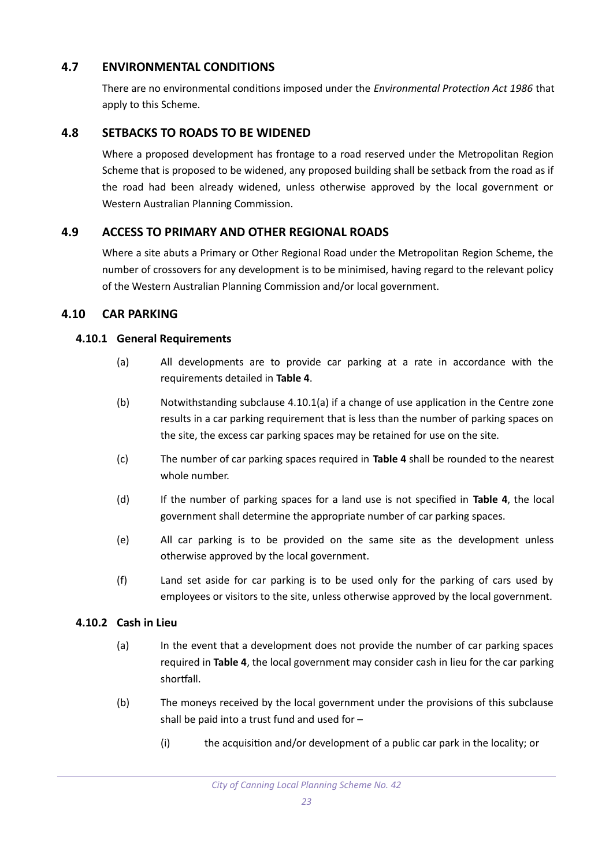# **4.7 ENVIRONMENTAL CONDITIONS**

<span id="page-29-5"></span>There are no environmental conditions imposed under the *Environmental Protection Act 1986* that apply to this Scheme.

#### **4.8 SETBACKS TO ROADS TO BE WIDENED**

<span id="page-29-4"></span>Where a proposed development has frontage to a road reserved under the Metropolitan Region Scheme that is proposed to be widened, any proposed building shall be setback from the road as if the road had been already widened, unless otherwise approved by the local government or Western Australian Planning Commission.

#### **4.9 ACCESS TO PRIMARY AND OTHER REGIONAL ROADS**

<span id="page-29-3"></span>Where a site abuts a Primary or Other Regional Road under the Metropolitan Region Scheme, the number of crossovers for any development is to be minimised, having regard to the relevant policy of the Western Australian Planning Commission and/or local government.

#### **4.10 CAR PARKING**

#### <span id="page-29-2"></span> **4.10.1 General Requirements**

- <span id="page-29-1"></span>(a) All developments are to provide car parking at a rate in accordance with the requirements detailed in **[Table 4](#page-32-0)**.
- (b) Notwithstanding subclause 4.10.1(a) if a change of use application in the Centre zone results in a car parking requirement that is less than the number of parking spaces on the site, the excess car parking spaces may be retained for use on the site.
- (c) The number of car parking spaces required in **[Table 4](#page-32-0)** shall be rounded to the nearest whole number.
- (d) If the number of parking spaces for a land use is not specified in **[Table 4](#page-32-0)**, the local government shall determine the appropriate number of car parking spaces.
- (e) All car parking is to be provided on the same site as the development unless otherwise approved by the local government.
- (f) Land set aside for car parking is to be used only for the parking of cars used by employees or visitors to the site, unless otherwise approved by the local government.

#### **4.10.2 Cash in Lieu**

- <span id="page-29-0"></span>(a) In the event that a development does not provide the number of car parking spaces required in **[Table 4](#page-32-0)**, the local government may consider cash in lieu for the car parking shortfall.
- (b) The moneys received by the local government under the provisions of this subclause shall be paid into a trust fund and used for –
	- (i) the acquisition and/or development of a public car park in the locality; or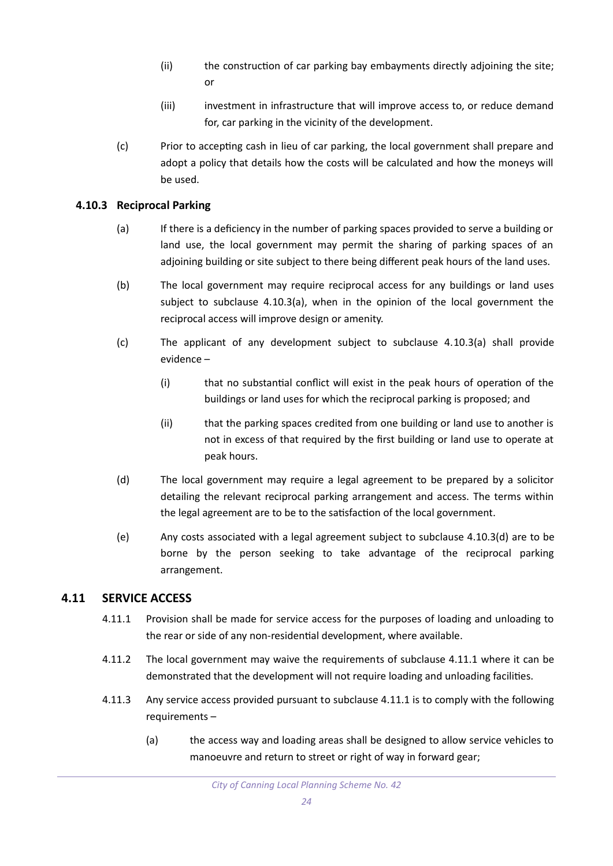- (ii) the construction of car parking bay embayments directly adjoining the site; or
- (iii) investment in infrastructure that will improve access to, or reduce demand for, car parking in the vicinity of the development.
- (c) Prior to accepting cash in lieu of car parking, the local government shall prepare and adopt a policy that details how the costs will be calculated and how the moneys will be used.

#### **4.10.3 Reciprocal Parking**

- <span id="page-30-1"></span>(a) If there is a deficiency in the number of parking spaces provided to serve a building or land use, the local government may permit the sharing of parking spaces of an adjoining building or site subject to there being different peak hours of the land uses.
- (b) The local government may require reciprocal access for any buildings or land uses subject to subclause 4.10.3(a), when in the opinion of the local government the reciprocal access will improve design or amenity.
- (c) The applicant of any development subject to subclause 4.10.3(a) shall provide evidence –
	- (i) that no substantial conflict will exist in the peak hours of operation of the buildings or land uses for which the reciprocal parking is proposed; and
	- (ii) that the parking spaces credited from one building or land use to another is not in excess of that required by the first building or land use to operate at peak hours.
- (d) The local government may require a legal agreement to be prepared by a solicitor detailing the relevant reciprocal parking arrangement and access. The terms within the legal agreement are to be to the satisfaction of the local government.
- (e) Any costs associated with a legal agreement subject to subclause 4.10.3(d) are to be borne by the person seeking to take advantage of the reciprocal parking arrangement.

#### **4.11 SERVICE ACCESS**

- <span id="page-30-0"></span>4.11.1 Provision shall be made for service access for the purposes of loading and unloading to the rear or side of any non-residential development, where available.
- 4.11.2 The local government may waive the requirements of subclause 4.11.1 where it can be demonstrated that the development will not require loading and unloading facilities.
- 4.11.3 Any service access provided pursuant to subclause 4.11.1 is to comply with the following requirements –
	- (a) the access way and loading areas shall be designed to allow service vehicles to manoeuvre and return to street or right of way in forward gear;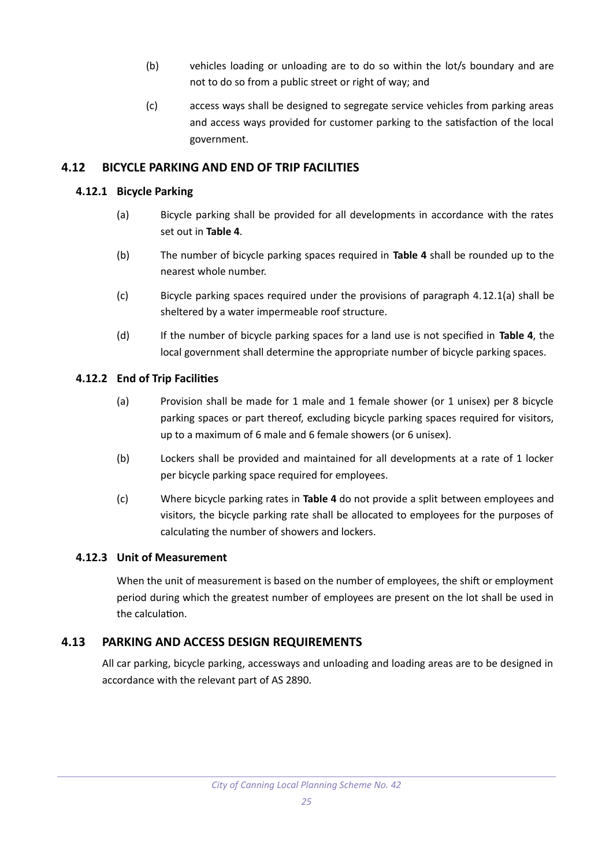- (b) vehicles loading or unloading are to do so within the lot/s boundary and are not to do so from a public street or right of way; and
- (c) access ways shall be designed to segregate service vehicles from parking areas and access ways provided for customer parking to the satisfaction of the local government.

### **4.12 BICYCLE PARKING AND END OF TRIP FACILITIES**

#### <span id="page-31-4"></span> **4.12.1 Bicycle Parking**

- <span id="page-31-3"></span>(a) Bicycle parking shall be provided for all developments in accordance with the rates set out in **[Table 4](#page-32-0)**.
- (b) The number of bicycle parking spaces required in **[Table 4](#page-32-0)** shall be rounded up to the nearest whole number.
- (c) Bicycle parking spaces required under the provisions of paragraph 4.12.1(a) shall be sheltered by a water impermeable roof structure.
- (d) If the number of bicycle parking spaces for a land use is not specified in **[Table 4](#page-32-0)**, the local government shall determine the appropriate number of bicycle parking spaces.

#### **4.12.2 End of Trip Facilities**

- <span id="page-31-2"></span>(a) Provision shall be made for 1 male and 1 female shower (or 1 unisex) per 8 bicycle parking spaces or part thereof, excluding bicycle parking spaces required for visitors, up to a maximum of 6 male and 6 female showers (or 6 unisex).
- (b) Lockers shall be provided and maintained for all developments at a rate of 1 locker per bicycle parking space required for employees.
- (c) Where bicycle parking rates in **[Table 4](#page-32-0)** do not provide a split between employees and visitors, the bicycle parking rate shall be allocated to employees for the purposes of calculating the number of showers and lockers.

#### **4.12.3 Unit of Measurement**

<span id="page-31-1"></span>When the unit of measurement is based on the number of employees, the shift or employment period during which the greatest number of employees are present on the lot shall be used in the calculation.

#### **4.13 PARKING AND ACCESS DESIGN REQUIREMENTS**

<span id="page-31-0"></span>All car parking, bicycle parking, accessways and unloading and loading areas are to be designed in accordance with the relevant part of AS 2890.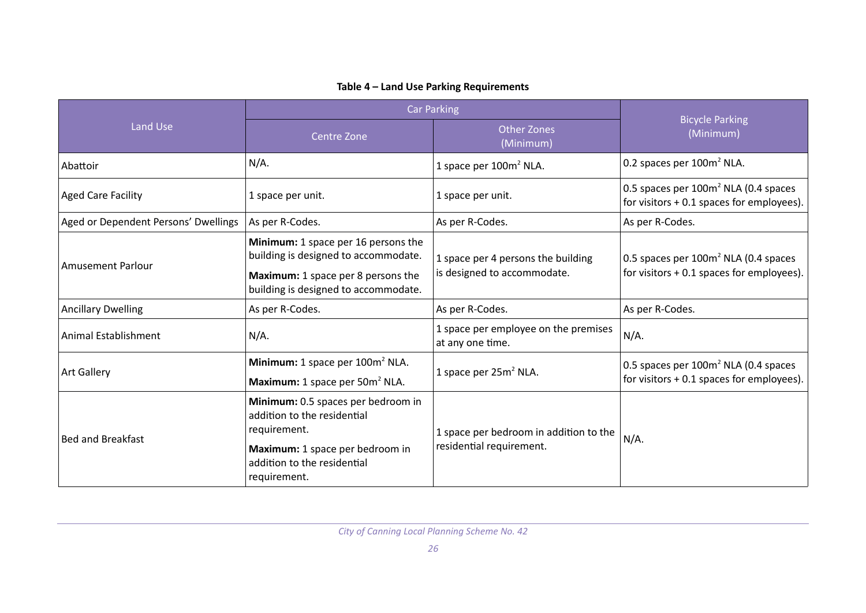<span id="page-32-0"></span>

|  | Table 4 - Land Use Parking Requirements |
|--|-----------------------------------------|
|--|-----------------------------------------|

|                                      |                                                                                                                                                                     | <b>Car Parking</b>                                                | <b>Bicycle Parking</b><br>(Minimum)                                                           |  |
|--------------------------------------|---------------------------------------------------------------------------------------------------------------------------------------------------------------------|-------------------------------------------------------------------|-----------------------------------------------------------------------------------------------|--|
| <b>Land Use</b>                      | Centre Zone                                                                                                                                                         | <b>Other Zones</b><br>(Minimum)                                   |                                                                                               |  |
| Abattoir                             | $N/A$ .                                                                                                                                                             | 1 space per 100m <sup>2</sup> NLA.                                | 0.2 spaces per 100m <sup>2</sup> NLA.                                                         |  |
| <b>Aged Care Facility</b>            | 1 space per unit.                                                                                                                                                   | 1 space per unit.                                                 | 0.5 spaces per $100m^2$ NLA (0.4 spaces<br>for visitors $+0.1$ spaces for employees).         |  |
| Aged or Dependent Persons' Dwellings | As per R-Codes.                                                                                                                                                     | As per R-Codes.                                                   | As per R-Codes.                                                                               |  |
| <b>Amusement Parlour</b>             | Minimum: 1 space per 16 persons the<br>building is designed to accommodate.<br>Maximum: 1 space per 8 persons the<br>building is designed to accommodate.           | 1 space per 4 persons the building<br>is designed to accommodate. | 0.5 spaces per 100m <sup>2</sup> NLA (0.4 spaces<br>for visitors + 0.1 spaces for employees). |  |
| <b>Ancillary Dwelling</b>            | As per R-Codes.                                                                                                                                                     | As per R-Codes.                                                   | As per R-Codes.                                                                               |  |
| Animal Establishment                 | $N/A$ .                                                                                                                                                             | 1 space per employee on the premises<br>at any one time.          | $N/A$ .                                                                                       |  |
| <b>Art Gallery</b>                   | Minimum: 1 space per 100m <sup>2</sup> NLA.<br>Maximum: 1 space per 50m <sup>2</sup> NLA.                                                                           | 1 space per 25m <sup>2</sup> NLA.                                 | 0.5 spaces per $100m^2$ NLA (0.4 spaces<br>for visitors + 0.1 spaces for employees).          |  |
| <b>Bed and Breakfast</b>             | Minimum: 0.5 spaces per bedroom in<br>addition to the residential<br>requirement.<br>Maximum: 1 space per bedroom in<br>addition to the residential<br>requirement. |                                                                   | $N/A$ .                                                                                       |  |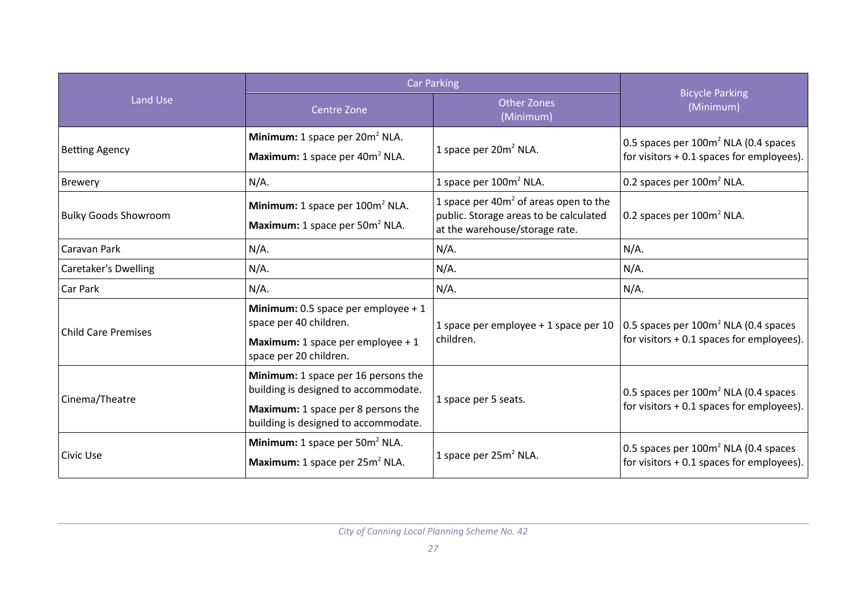|                             | <b>Car Parking</b>                                                                                                                                        | <b>Bicycle Parking</b>                                                                                               |                                                                                                   |  |
|-----------------------------|-----------------------------------------------------------------------------------------------------------------------------------------------------------|----------------------------------------------------------------------------------------------------------------------|---------------------------------------------------------------------------------------------------|--|
| Land Use                    | Centre Zone                                                                                                                                               | <b>Other Zones</b><br>(Minimum)                                                                                      | (Minimum)                                                                                         |  |
| <b>Betting Agency</b>       | Minimum: 1 space per 20m <sup>2</sup> NLA.<br>Maximum: 1 space per 40m <sup>2</sup> NLA.                                                                  | 1 space per 20m <sup>2</sup> NLA.                                                                                    | 0.5 spaces per $100m^2$ NLA (0.4 spaces<br>for visitors $+0.1$ spaces for employees).             |  |
| <b>Brewery</b>              | $N/A$ .                                                                                                                                                   | 1 space per 100m <sup>2</sup> NLA.                                                                                   | 0.2 spaces per 100m <sup>2</sup> NLA.                                                             |  |
| <b>Bulky Goods Showroom</b> | Minimum: 1 space per 100m <sup>2</sup> NLA.<br>Maximum: 1 space per 50m <sup>2</sup> NLA.                                                                 | 1 space per $40m^2$ of areas open to the<br>public. Storage areas to be calculated<br>at the warehouse/storage rate. | 0.2 spaces per 100m <sup>2</sup> NLA.                                                             |  |
| Caravan Park                | $N/A$ .                                                                                                                                                   | $N/A$ .                                                                                                              | $N/A$ .                                                                                           |  |
| Caretaker's Dwelling        | $N/A$ .                                                                                                                                                   | $N/A$ .                                                                                                              | $N/A$ .                                                                                           |  |
| Car Park                    | $N/A$ .                                                                                                                                                   | $N/A$ .                                                                                                              | $N/A$ .                                                                                           |  |
| <b>Child Care Premises</b>  | Minimum: 0.5 space per employee $+1$<br>space per 40 children.<br>Maximum: 1 space per employee $+1$<br>space per 20 children.                            | 1 space per employee + 1 space per 10<br>children.                                                                   | 0.5 spaces per 100m <sup>2</sup> NLA (0.4 spaces<br>for visitors $+0.1$ spaces for employees).    |  |
| Cinema/Theatre              | Minimum: 1 space per 16 persons the<br>building is designed to accommodate.<br>Maximum: 1 space per 8 persons the<br>building is designed to accommodate. | 1 space per 5 seats.                                                                                                 | 0.5 spaces per $100m^2$ NLA (0.4 spaces<br>for visitors $+0.1$ spaces for employees).             |  |
| Civic Use                   | <b>Minimum:</b> 1 space per $50m^2$ NLA.<br>Maximum: 1 space per 25m <sup>2</sup> NLA.                                                                    | 1 space per 25m <sup>2</sup> NLA.                                                                                    | 0.5 spaces per 100m <sup>2</sup> NLA (0.4 spaces<br>for visitors + 0.1 spaces for employees). $ $ |  |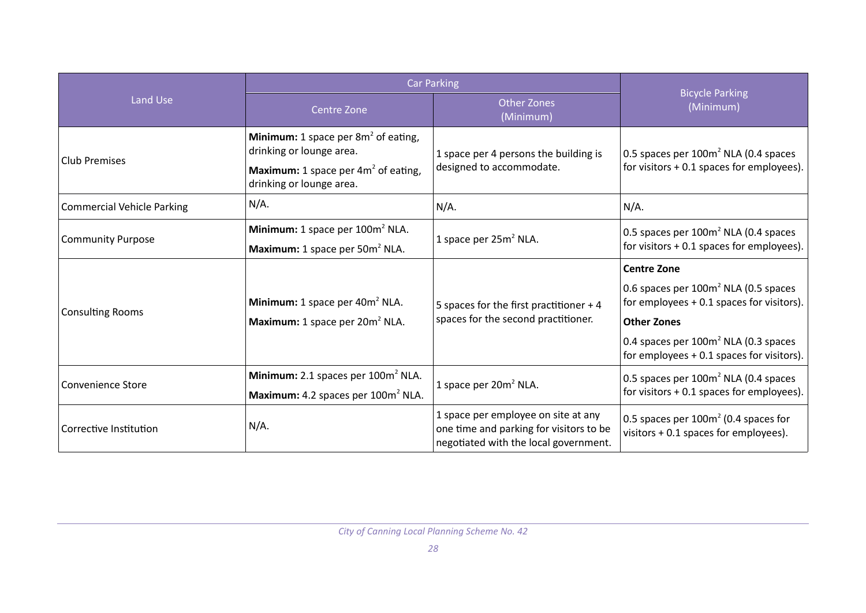| <b>Land Use</b>                   | <b>Car Parking</b>                                                                                                                                     |                                                                                                                         |                                                                                               |
|-----------------------------------|--------------------------------------------------------------------------------------------------------------------------------------------------------|-------------------------------------------------------------------------------------------------------------------------|-----------------------------------------------------------------------------------------------|
|                                   | Centre Zone                                                                                                                                            | <b>Other Zones</b><br>(Minimum)                                                                                         | <b>Bicycle Parking</b><br>(Minimum)                                                           |
| <b>Club Premises</b>              | <b>Minimum:</b> 1 space per $8m^2$ of eating,<br>drinking or lounge area.<br><b>Maximum:</b> 1 space per $4m^2$ of eating,<br>drinking or lounge area. | 1 space per 4 persons the building is<br>designed to accommodate.                                                       | 0.5 spaces per 100m <sup>2</sup> NLA (0.4 spaces<br>for visitors + 0.1 spaces for employees). |
| <b>Commercial Vehicle Parking</b> | $N/A$ .                                                                                                                                                | $N/A$ .                                                                                                                 | $N/A$ .                                                                                       |
| <b>Community Purpose</b>          | Minimum: 1 space per 100m <sup>2</sup> NLA.<br>Maximum: 1 space per 50m <sup>2</sup> NLA.                                                              | 1 space per 25m <sup>2</sup> NLA.                                                                                       | 0.5 spaces per 100m <sup>2</sup> NLA (0.4 spaces<br>for visitors + 0.1 spaces for employees). |
| <b>Consulting Rooms</b>           |                                                                                                                                                        | 5 spaces for the first practitioner $+4$<br>spaces for the second practitioner.                                         | <b>Centre Zone</b>                                                                            |
|                                   | Minimum: 1 space per 40m <sup>2</sup> NLA.                                                                                                             |                                                                                                                         | 0.6 spaces per $100m^2$ NLA (0.5 spaces<br>for employees + 0.1 spaces for visitors).          |
|                                   | Maximum: 1 space per 20m <sup>2</sup> NLA.                                                                                                             |                                                                                                                         | <b>Other Zones</b>                                                                            |
|                                   |                                                                                                                                                        |                                                                                                                         | 0.4 spaces per $100m^2$ NLA (0.3 spaces<br>for employees + 0.1 spaces for visitors).          |
| <b>Convenience Store</b>          | Minimum: 2.1 spaces per 100m <sup>2</sup> NLA.                                                                                                         | 1 space per 20m <sup>2</sup> NLA.                                                                                       | 0.5 spaces per 100m <sup>2</sup> NLA (0.4 spaces                                              |
|                                   | Maximum: 4.2 spaces per 100m <sup>2</sup> NLA.                                                                                                         |                                                                                                                         | for visitors + 0.1 spaces for employees).                                                     |
| Corrective Institution            | $N/A$ .                                                                                                                                                | 1 space per employee on site at any<br>one time and parking for visitors to be<br>negotiated with the local government. | 0.5 spaces per $100m^2$ (0.4 spaces for<br>visitors + 0.1 spaces for employees).              |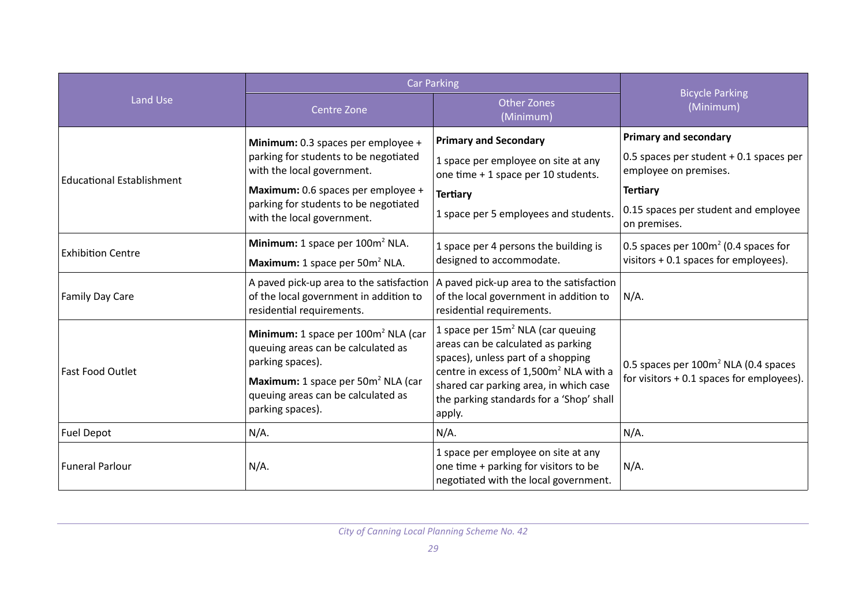| Land Use                         | <b>Car Parking</b>                                                                                                                                                                                                     |                                                                                                                                                                                                                                                                                 |                                                                                                                                                                             |
|----------------------------------|------------------------------------------------------------------------------------------------------------------------------------------------------------------------------------------------------------------------|---------------------------------------------------------------------------------------------------------------------------------------------------------------------------------------------------------------------------------------------------------------------------------|-----------------------------------------------------------------------------------------------------------------------------------------------------------------------------|
|                                  | Centre Zone                                                                                                                                                                                                            | <b>Other Zones</b><br>(Minimum)                                                                                                                                                                                                                                                 | <b>Bicycle Parking</b><br>(Minimum)                                                                                                                                         |
| <b>Educational Establishment</b> | Minimum: 0.3 spaces per employee +<br>parking for students to be negotiated<br>with the local government.<br>Maximum: 0.6 spaces per employee +<br>parking for students to be negotiated<br>with the local government. | <b>Primary and Secondary</b><br>1 space per employee on site at any<br>one time + 1 space per 10 students.<br><b>Tertiary</b><br>1 space per 5 employees and students.                                                                                                          | <b>Primary and secondary</b><br>0.5 spaces per student + 0.1 spaces per<br>employee on premises.<br><b>Tertiary</b><br>0.15 spaces per student and employee<br>on premises. |
| <b>Exhibition Centre</b>         | Minimum: 1 space per 100m <sup>2</sup> NLA.<br>Maximum: 1 space per 50m <sup>2</sup> NLA.                                                                                                                              | 1 space per 4 persons the building is<br>designed to accommodate.                                                                                                                                                                                                               | 0.5 spaces per $100m^2$ (0.4 spaces for<br>visitors + 0.1 spaces for employees).                                                                                            |
| Family Day Care                  | A paved pick-up area to the satisfaction<br>of the local government in addition to<br>residential requirements.                                                                                                        | A paved pick-up area to the satisfaction<br>of the local government in addition to<br>residential requirements.                                                                                                                                                                 | $N/A$ .                                                                                                                                                                     |
| Fast Food Outlet                 | Minimum: 1 space per 100m <sup>2</sup> NLA (car<br>queuing areas can be calculated as<br>parking spaces).<br>Maximum: 1 space per 50m <sup>2</sup> NLA (car<br>queuing areas can be calculated as<br>parking spaces).  | 1 space per 15m <sup>2</sup> NLA (car queuing<br>areas can be calculated as parking<br>spaces), unless part of a shopping<br>centre in excess of 1,500m <sup>2</sup> NLA with a<br>shared car parking area, in which case<br>the parking standards for a 'Shop' shall<br>apply. | 0.5 spaces per 100m <sup>2</sup> NLA (0.4 spaces<br>for visitors $+0.1$ spaces for employees).                                                                              |
| <b>Fuel Depot</b>                | $N/A$ .                                                                                                                                                                                                                | $N/A$ .                                                                                                                                                                                                                                                                         | $N/A$ .                                                                                                                                                                     |
| <b>Funeral Parlour</b>           | $N/A$ .                                                                                                                                                                                                                | 1 space per employee on site at any<br>one time + parking for visitors to be<br>negotiated with the local government.                                                                                                                                                           | $N/A$ .                                                                                                                                                                     |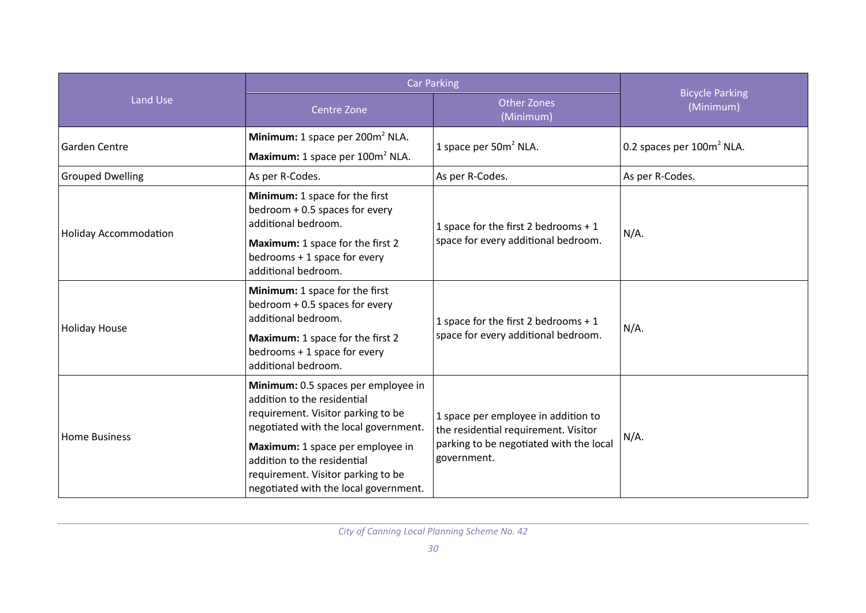|                              | <b>Car Parking</b>                                                                                                                                |                                                                              |                                       |
|------------------------------|---------------------------------------------------------------------------------------------------------------------------------------------------|------------------------------------------------------------------------------|---------------------------------------|
| Land Use                     | Centre Zone                                                                                                                                       | <b>Other Zones</b><br>(Minimum)                                              | <b>Bicycle Parking</b><br>(Minimum)   |
| Garden Centre                | Minimum: 1 space per 200m <sup>2</sup> NLA.<br>Maximum: 1 space per 100m <sup>2</sup> NLA.                                                        | 1 space per 50m <sup>2</sup> NLA.                                            | 0.2 spaces per 100m <sup>2</sup> NLA. |
| <b>Grouped Dwelling</b>      | As per R-Codes.                                                                                                                                   | As per R-Codes.                                                              | As per R-Codes.                       |
| <b>Holiday Accommodation</b> | Minimum: 1 space for the first<br>bedroom + 0.5 spaces for every<br>additional bedroom.                                                           | 1 space for the first 2 bedrooms $+1$<br>space for every additional bedroom. | $N/A$ .                               |
|                              | Maximum: 1 space for the first 2<br>bedrooms + 1 space for every<br>additional bedroom.                                                           |                                                                              |                                       |
| <b>Holiday House</b>         | Minimum: 1 space for the first<br>bedroom + 0.5 spaces for every<br>additional bedroom.                                                           | 1 space for the first 2 bedrooms + 1                                         | $N/A$ .                               |
|                              | Maximum: 1 space for the first 2<br>bedrooms + 1 space for every<br>additional bedroom.                                                           | space for every additional bedroom.                                          |                                       |
| <b>Home Business</b>         | Minimum: 0.5 spaces per employee in<br>addition to the residential<br>requirement. Visitor parking to be<br>negotiated with the local government. | 1 space per employee in addition to<br>the residential requirement. Visitor  | $N/A$ .                               |
|                              | Maximum: 1 space per employee in<br>addition to the residential<br>requirement. Visitor parking to be<br>negotiated with the local government.    | parking to be negotiated with the local<br>government.                       |                                       |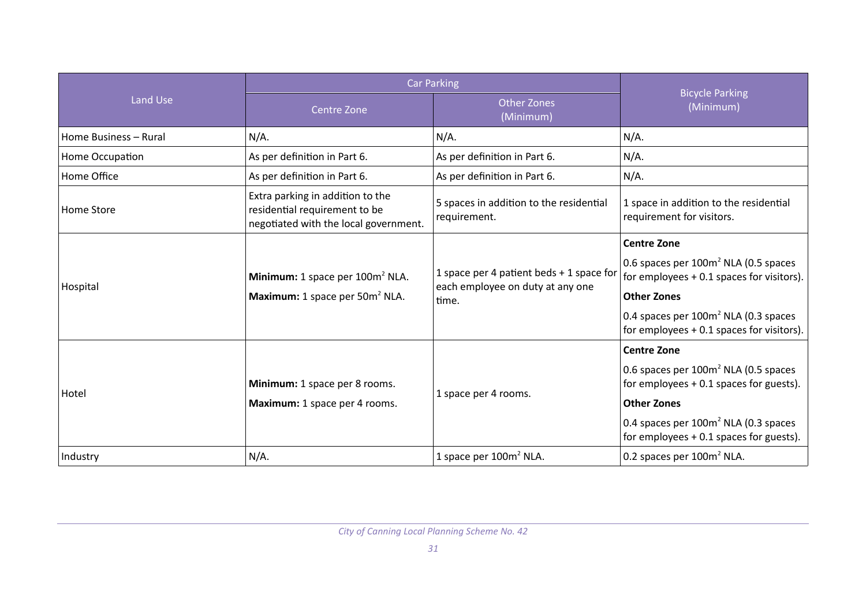|                       | <b>Car Parking</b>                                                                                         |                                                                                         |                                                                                                                                                                                                                                     |
|-----------------------|------------------------------------------------------------------------------------------------------------|-----------------------------------------------------------------------------------------|-------------------------------------------------------------------------------------------------------------------------------------------------------------------------------------------------------------------------------------|
| Land Use              | Centre Zone                                                                                                | <b>Other Zones</b><br>(Minimum)                                                         | <b>Bicycle Parking</b><br>(Minimum)                                                                                                                                                                                                 |
| Home Business - Rural | $N/A$ .                                                                                                    | $N/A$ .                                                                                 | $N/A$ .                                                                                                                                                                                                                             |
| Home Occupation       | As per definition in Part 6.                                                                               | As per definition in Part 6.                                                            | $N/A$ .                                                                                                                                                                                                                             |
| Home Office           | As per definition in Part 6.                                                                               | As per definition in Part 6.                                                            | $N/A$ .                                                                                                                                                                                                                             |
| Home Store            | Extra parking in addition to the<br>residential requirement to be<br>negotiated with the local government. | 5 spaces in addition to the residential<br>requirement.                                 | 1 space in addition to the residential<br>requirement for visitors.                                                                                                                                                                 |
| Hospital              | Minimum: 1 space per 100m <sup>2</sup> NLA.<br>Maximum: 1 space per 50m <sup>2</sup> NLA.                  | 1 space per 4 patient beds $+$ 1 space for<br>each employee on duty at any one<br>time. | <b>Centre Zone</b><br>0.6 spaces per $100m^2$ NLA (0.5 spaces<br>for employees $+$ 0.1 spaces for visitors).<br><b>Other Zones</b><br>0.4 spaces per 100m <sup>2</sup> NLA (0.3 spaces<br>for employees + 0.1 spaces for visitors). |
| Hotel                 | Minimum: 1 space per 8 rooms.<br>Maximum: 1 space per 4 rooms.                                             | 1 space per 4 rooms.                                                                    | <b>Centre Zone</b><br>0.6 spaces per 100m <sup>2</sup> NLA (0.5 spaces<br>for employees $+0.1$ spaces for guests).<br><b>Other Zones</b><br>0.4 spaces per $100m^2$ NLA (0.3 spaces<br>for employees $+0.1$ spaces for guests).     |
| Industry              | $N/A$ .                                                                                                    | 1 space per $100m^2$ NLA.                                                               | 0.2 spaces per 100m <sup>2</sup> NLA.                                                                                                                                                                                               |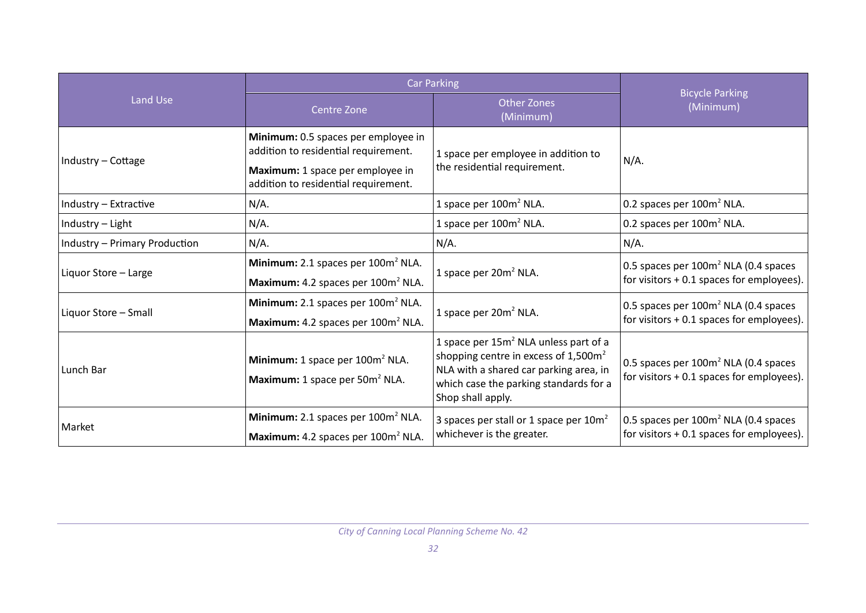|                               | <b>Car Parking</b>                                                                                                                                      |                                                                                                                                                                                                                |                                                                                               |
|-------------------------------|---------------------------------------------------------------------------------------------------------------------------------------------------------|----------------------------------------------------------------------------------------------------------------------------------------------------------------------------------------------------------------|-----------------------------------------------------------------------------------------------|
| Land Use                      | Centre Zone                                                                                                                                             | <b>Other Zones</b><br>(Minimum)                                                                                                                                                                                | <b>Bicycle Parking</b><br>(Minimum)                                                           |
| Industry - Cottage            | Minimum: 0.5 spaces per employee in<br>addition to residential requirement.<br>Maximum: 1 space per employee in<br>addition to residential requirement. | 1 space per employee in addition to<br>the residential requirement.                                                                                                                                            | $N/A$ .                                                                                       |
| Industry - Extractive         | $N/A$ .                                                                                                                                                 | 1 space per 100m <sup>2</sup> NLA.                                                                                                                                                                             | 0.2 spaces per 100m <sup>2</sup> NLA.                                                         |
| Industry - Light              | $N/A$ .                                                                                                                                                 | 1 space per 100m <sup>2</sup> NLA.                                                                                                                                                                             | 0.2 spaces per 100m <sup>2</sup> NLA.                                                         |
| Industry - Primary Production | $N/A$ .                                                                                                                                                 | $N/A$ .                                                                                                                                                                                                        | $N/A$ .                                                                                       |
| Liquor Store - Large          | Minimum: 2.1 spaces per 100m <sup>2</sup> NLA.<br>Maximum: 4.2 spaces per 100m <sup>2</sup> NLA.                                                        | 1 space per 20m <sup>2</sup> NLA.                                                                                                                                                                              | 0.5 spaces per $100m^2$ NLA (0.4 spaces<br>for visitors + 0.1 spaces for employees).          |
| Liquor Store - Small          | Minimum: 2.1 spaces per 100m <sup>2</sup> NLA.<br>Maximum: 4.2 spaces per 100m <sup>2</sup> NLA.                                                        | 1 space per 20m <sup>2</sup> NLA.                                                                                                                                                                              | 0.5 spaces per 100m <sup>2</sup> NLA (0.4 spaces<br>for visitors + 0.1 spaces for employees). |
| Lunch Bar                     | Minimum: 1 space per 100m <sup>2</sup> NLA.<br>Maximum: 1 space per 50m <sup>2</sup> NLA.                                                               | 1 space per 15m <sup>2</sup> NLA unless part of a<br>shopping centre in excess of 1,500m <sup>2</sup><br>NLA with a shared car parking area, in<br>which case the parking standards for a<br>Shop shall apply. | 0.5 spaces per 100m <sup>2</sup> NLA (0.4 spaces<br>for visitors + 0.1 spaces for employees). |
| Market                        | <b>Minimum:</b> 2.1 spaces per $100m^2$ NLA.<br>Maximum: 4.2 spaces per 100m <sup>2</sup> NLA.                                                          | 3 spaces per stall or 1 space per $10m2$<br>whichever is the greater.                                                                                                                                          | 0.5 spaces per 100m <sup>2</sup> NLA (0.4 spaces<br>for visitors + 0.1 spaces for employees). |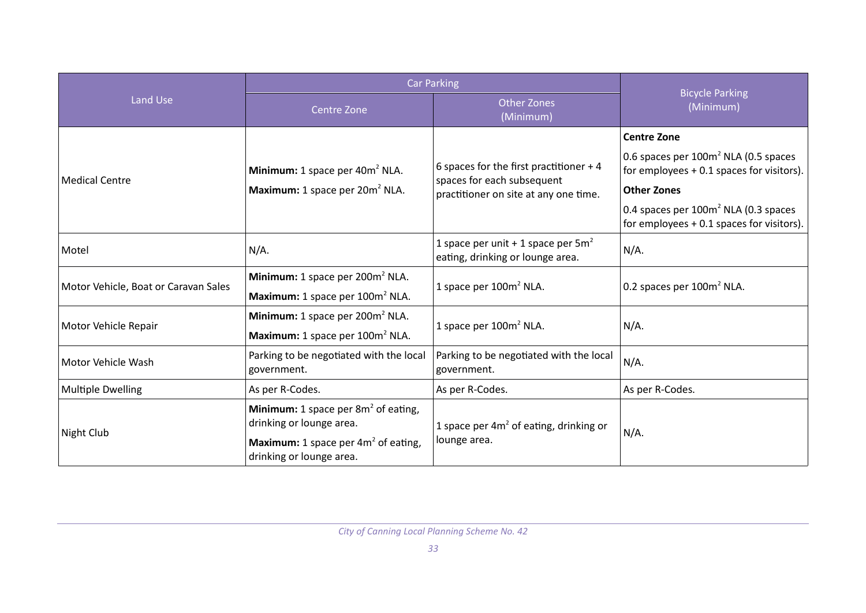|                                      | <b>Car Parking</b>                                                                                                                                     |                                                                                                                 |                                                                                                                                                                                                                                             |
|--------------------------------------|--------------------------------------------------------------------------------------------------------------------------------------------------------|-----------------------------------------------------------------------------------------------------------------|---------------------------------------------------------------------------------------------------------------------------------------------------------------------------------------------------------------------------------------------|
| Land Use                             | Centre Zone                                                                                                                                            | <b>Other Zones</b><br>(Minimum)                                                                                 | <b>Bicycle Parking</b><br>(Minimum)                                                                                                                                                                                                         |
| <b>Medical Centre</b>                | Minimum: 1 space per 40m <sup>2</sup> NLA.<br>Maximum: 1 space per 20m <sup>2</sup> NLA.                                                               | 6 spaces for the first practitioner $+4$<br>spaces for each subsequent<br>practitioner on site at any one time. | <b>Centre Zone</b><br>0.6 spaces per 100m <sup>2</sup> NLA (0.5 spaces<br>for employees + 0.1 spaces for visitors).<br><b>Other Zones</b><br>0.4 spaces per 100m <sup>2</sup> NLA (0.3 spaces<br>for employees $+0.1$ spaces for visitors). |
| Motel                                | $N/A$ .                                                                                                                                                | 1 space per unit + 1 space per $5m^2$<br>eating, drinking or lounge area.                                       | $N/A$ .                                                                                                                                                                                                                                     |
| Motor Vehicle, Boat or Caravan Sales | Minimum: 1 space per 200m <sup>2</sup> NLA.<br>Maximum: 1 space per 100m <sup>2</sup> NLA.                                                             | 1 space per 100m <sup>2</sup> NLA.                                                                              | 0.2 spaces per 100m <sup>2</sup> NLA.                                                                                                                                                                                                       |
| Motor Vehicle Repair                 | Minimum: 1 space per 200m <sup>2</sup> NLA.<br>Maximum: 1 space per 100m <sup>2</sup> NLA.                                                             | 1 space per 100m <sup>2</sup> NLA.                                                                              | $N/A$ .                                                                                                                                                                                                                                     |
| Motor Vehicle Wash                   | Parking to be negotiated with the local<br>government.                                                                                                 | Parking to be negotiated with the local<br>government.                                                          | $N/A$ .                                                                                                                                                                                                                                     |
| <b>Multiple Dwelling</b>             | As per R-Codes.                                                                                                                                        | As per R-Codes.                                                                                                 |                                                                                                                                                                                                                                             |
| Night Club                           | <b>Minimum:</b> 1 space per $8m^2$ of eating,<br>drinking or lounge area.<br><b>Maximum:</b> 1 space per $4m^2$ of eating,<br>drinking or lounge area. | 1 space per $4m2$ of eating, drinking or<br>lounge area.                                                        | $N/A$ .                                                                                                                                                                                                                                     |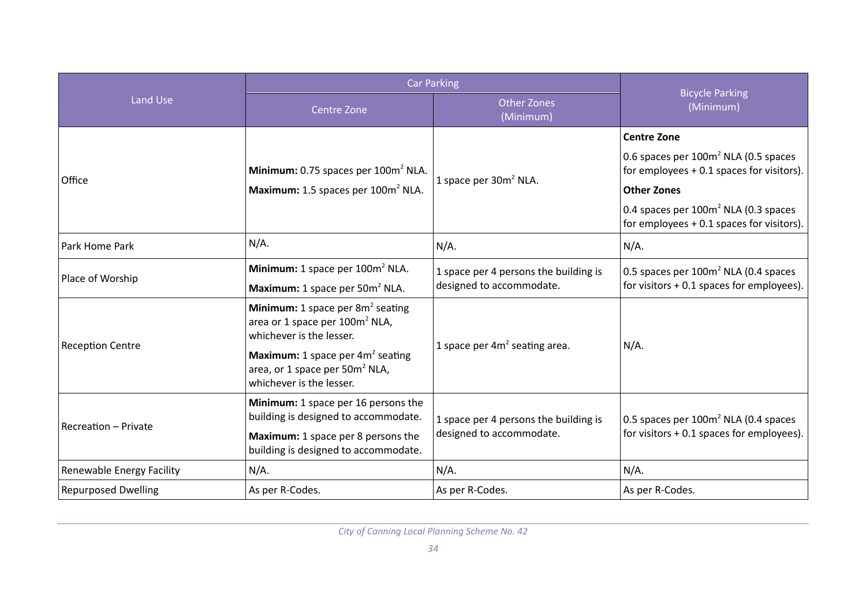|                            | <b>Car Parking</b>                                                                                                   |                                       |                                                                                        |
|----------------------------|----------------------------------------------------------------------------------------------------------------------|---------------------------------------|----------------------------------------------------------------------------------------|
| Land Use                   | Centre Zone                                                                                                          | <b>Other Zones</b><br>(Minimum)       | <b>Bicycle Parking</b><br>(Minimum)                                                    |
|                            |                                                                                                                      |                                       | <b>Centre Zone</b>                                                                     |
|                            | Minimum: 0.75 spaces per 100m <sup>2</sup> NLA.                                                                      |                                       | 0.6 spaces per $100m^2$ NLA (0.5 spaces<br>for employees $+$ 0.1 spaces for visitors). |
| Office                     | Maximum: 1.5 spaces per 100m <sup>2</sup> NLA.                                                                       | 1 space per 30m <sup>2</sup> NLA.     | <b>Other Zones</b>                                                                     |
|                            |                                                                                                                      |                                       | 0.4 spaces per $100m^2$ NLA (0.3 spaces<br>for employees $+0.1$ spaces for visitors).  |
| Park Home Park             | $N/A$ .                                                                                                              | $N/A$ .                               | $N/A$ .                                                                                |
| Place of Worship           | Minimum: 1 space per 100m <sup>2</sup> NLA.                                                                          | 1 space per 4 persons the building is | 0.5 spaces per 100m <sup>2</sup> NLA (0.4 spaces                                       |
|                            | Maximum: 1 space per 50m <sup>2</sup> NLA.                                                                           | designed to accommodate.              | for visitors + 0.1 spaces for employees).                                              |
| <b>Reception Centre</b>    | <b>Minimum:</b> 1 space per $8m^2$ seating<br>area or 1 space per 100m <sup>2</sup> NLA,<br>whichever is the lesser. | 1 space per $4m2$ seating area.       | $N/A$ .                                                                                |
|                            | <b>Maximum:</b> 1 space per $4m^2$ seating<br>area, or 1 space per 50m <sup>2</sup> NLA,<br>whichever is the lesser. |                                       |                                                                                        |
| Recreation - Private       | Minimum: 1 space per 16 persons the<br>building is designed to accommodate.                                          | 1 space per 4 persons the building is | 0.5 spaces per $100m^2$ NLA (0.4 spaces                                                |
|                            | Maximum: 1 space per 8 persons the<br>building is designed to accommodate.                                           | designed to accommodate.              | for visitors $+0.1$ spaces for employees).                                             |
| Renewable Energy Facility  | $N/A$ .                                                                                                              | $N/A$ .                               | $N/A$ .                                                                                |
| <b>Repurposed Dwelling</b> | As per R-Codes.                                                                                                      | As per R-Codes.                       | As per R-Codes.                                                                        |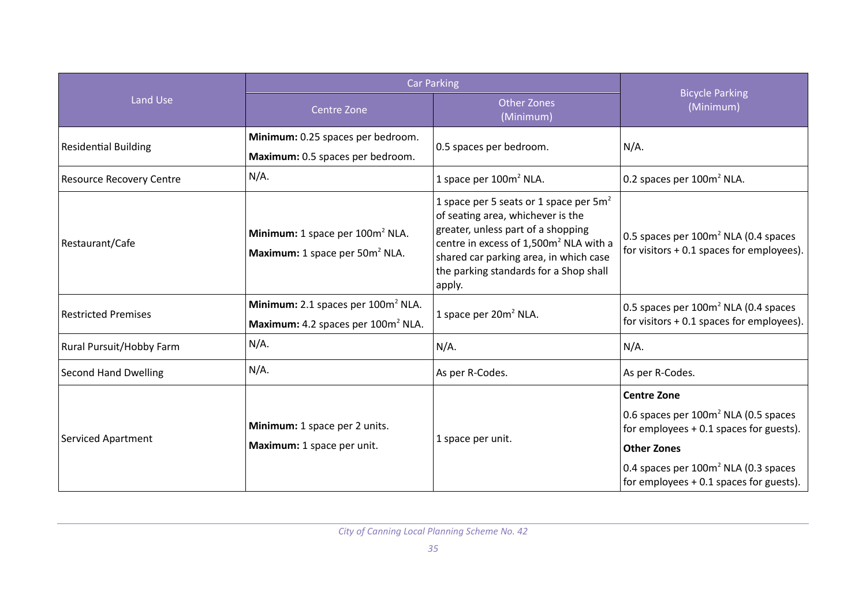|                                 | <b>Car Parking</b>                                                                               | <b>Bicycle Parking</b>                                                                                                                                                                                                                                                   |                                                                                                                                                                                                                                 |
|---------------------------------|--------------------------------------------------------------------------------------------------|--------------------------------------------------------------------------------------------------------------------------------------------------------------------------------------------------------------------------------------------------------------------------|---------------------------------------------------------------------------------------------------------------------------------------------------------------------------------------------------------------------------------|
| <b>Land Use</b>                 | Centre Zone                                                                                      | Other Zones<br>(Minimum)                                                                                                                                                                                                                                                 | (Minimum)                                                                                                                                                                                                                       |
| <b>Residential Building</b>     | Minimum: 0.25 spaces per bedroom.<br>Maximum: 0.5 spaces per bedroom.                            | 0.5 spaces per bedroom.                                                                                                                                                                                                                                                  | $N/A$ .                                                                                                                                                                                                                         |
| <b>Resource Recovery Centre</b> | $N/A$ .                                                                                          | 1 space per 100m <sup>2</sup> NLA.                                                                                                                                                                                                                                       | 0.2 spaces per 100m <sup>2</sup> NLA.                                                                                                                                                                                           |
| Restaurant/Cafe                 | Minimum: 1 space per 100m <sup>2</sup> NLA.<br>Maximum: 1 space per 50m <sup>2</sup> NLA.        | 1 space per 5 seats or 1 space per $5m^2$<br>of seating area, whichever is the<br>greater, unless part of a shopping<br>centre in excess of 1,500m <sup>2</sup> NLA with a<br>shared car parking area, in which case<br>the parking standards for a Shop shall<br>apply. | 0.5 spaces per $100m^2$ NLA (0.4 spaces<br>for visitors $+0.1$ spaces for employees).                                                                                                                                           |
| <b>Restricted Premises</b>      | Minimum: 2.1 spaces per 100m <sup>2</sup> NLA.<br>Maximum: 4.2 spaces per 100m <sup>2</sup> NLA. | 1 space per 20m <sup>2</sup> NLA.                                                                                                                                                                                                                                        | 0.5 spaces per 100m <sup>2</sup> NLA (0.4 spaces<br>for visitors $+0.1$ spaces for employees).                                                                                                                                  |
| Rural Pursuit/Hobby Farm        | $N/A$ .                                                                                          | $N/A$ .                                                                                                                                                                                                                                                                  | $N/A$ .                                                                                                                                                                                                                         |
| <b>Second Hand Dwelling</b>     | $N/A$ .                                                                                          | As per R-Codes.                                                                                                                                                                                                                                                          | As per R-Codes.                                                                                                                                                                                                                 |
| <b>Serviced Apartment</b>       | Minimum: 1 space per 2 units.<br>Maximum: 1 space per unit.                                      | 1 space per unit.                                                                                                                                                                                                                                                        | <b>Centre Zone</b><br>0.6 spaces per 100m <sup>2</sup> NLA (0.5 spaces<br>for employees $+0.1$ spaces for guests).<br><b>Other Zones</b><br>0.4 spaces per $100m^2$ NLA (0.3 spaces<br>for employees $+0.1$ spaces for guests). |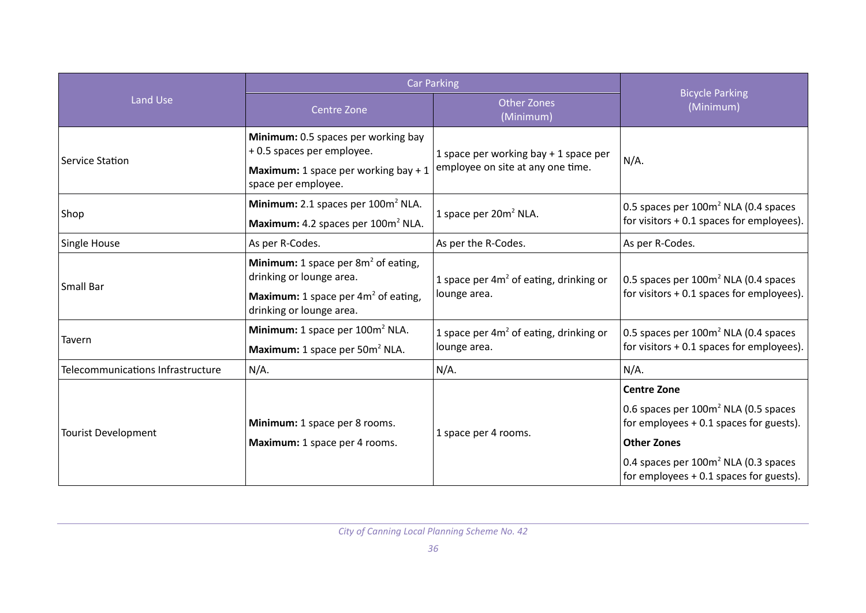|                                   | <b>Car Parking</b>                                                                                                                                       |                                                                                                                                     |                                                                                               |
|-----------------------------------|----------------------------------------------------------------------------------------------------------------------------------------------------------|-------------------------------------------------------------------------------------------------------------------------------------|-----------------------------------------------------------------------------------------------|
| Land Use                          | Centre Zone                                                                                                                                              | <b>Other Zones</b><br>(Minimum)                                                                                                     | <b>Bicycle Parking</b><br>(Minimum)                                                           |
| Service Station                   | Minimum: 0.5 spaces per working bay<br>+0.5 spaces per employee.<br>Maximum: 1 space per working bay + 1<br>space per employee.                          | 1 space per working bay + 1 space per<br>employee on site at any one time.                                                          | $N/A$ .                                                                                       |
| Shop                              | Minimum: 2.1 spaces per 100m <sup>2</sup> NLA.<br>Maximum: 4.2 spaces per 100m <sup>2</sup> NLA.                                                         | 0.5 spaces per 100m <sup>2</sup> NLA (0.4 spaces<br>1 space per 20m <sup>2</sup> NLA.<br>for visitors $+0.1$ spaces for employees). |                                                                                               |
| Single House                      | As per R-Codes.                                                                                                                                          | As per the R-Codes.                                                                                                                 | As per R-Codes.                                                                               |
| <b>Small Bar</b>                  | <b>Minimum:</b> 1 space per $8m^2$ of eating,<br>drinking or lounge area.<br>Maximum: 1 space per 4m <sup>2</sup> of eating,<br>drinking or lounge area. | 1 space per $4m^2$ of eating, drinking or<br>lounge area.                                                                           | 0.5 spaces per 100m <sup>2</sup> NLA (0.4 spaces<br>for visitors + 0.1 spaces for employees). |
| Tavern                            | Minimum: 1 space per 100m <sup>2</sup> NLA.<br>Maximum: 1 space per 50m <sup>2</sup> NLA.                                                                | 1 space per $4m2$ of eating, drinking or<br>lounge area.                                                                            | 0.5 spaces per $100m^2$ NLA (0.4 spaces<br>for visitors $+0.1$ spaces for employees).         |
| Telecommunications Infrastructure | $N/A$ .                                                                                                                                                  | $N/A$ .                                                                                                                             | $N/A$ .                                                                                       |
| <b>Tourist Development</b>        |                                                                                                                                                          | 1 space per 4 rooms.                                                                                                                | <b>Centre Zone</b>                                                                            |
|                                   | Minimum: 1 space per 8 rooms.                                                                                                                            |                                                                                                                                     | 0.6 spaces per $100m^2$ NLA (0.5 spaces<br>for employees $+0.1$ spaces for guests).           |
|                                   | Maximum: 1 space per 4 rooms.                                                                                                                            |                                                                                                                                     | <b>Other Zones</b>                                                                            |
|                                   |                                                                                                                                                          |                                                                                                                                     | 0.4 spaces per $100m^2$ NLA (0.3 spaces<br>for employees $+0.1$ spaces for guests).           |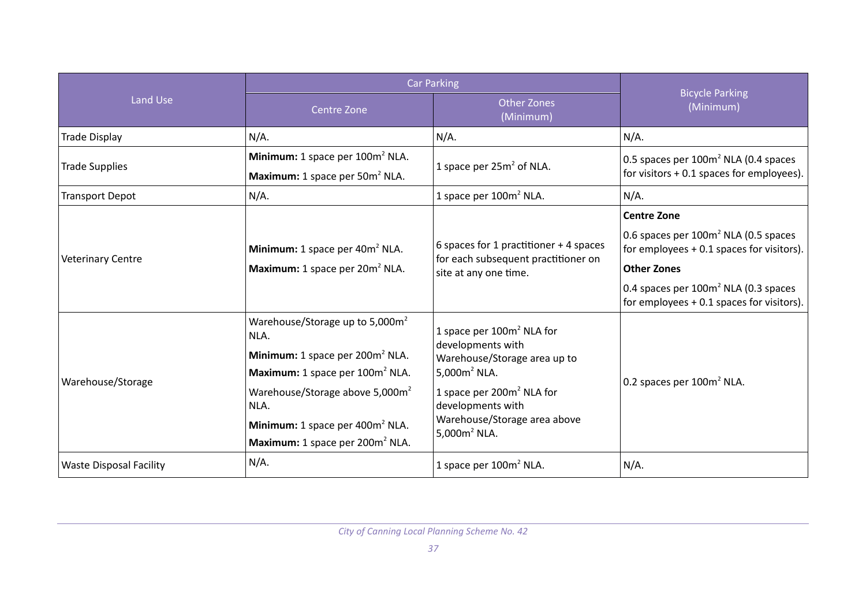|                                | <b>Car Parking</b>                                                                                                                                                                                                                                                                                     |                                                                                                                                                                                                                                  |                                                                                                                                                                                                                           |
|--------------------------------|--------------------------------------------------------------------------------------------------------------------------------------------------------------------------------------------------------------------------------------------------------------------------------------------------------|----------------------------------------------------------------------------------------------------------------------------------------------------------------------------------------------------------------------------------|---------------------------------------------------------------------------------------------------------------------------------------------------------------------------------------------------------------------------|
| Land Use                       | Centre Zone                                                                                                                                                                                                                                                                                            | <b>Other Zones</b><br>(Minimum)                                                                                                                                                                                                  | <b>Bicycle Parking</b><br>(Minimum)                                                                                                                                                                                       |
| <b>Trade Display</b>           | $N/A$ .                                                                                                                                                                                                                                                                                                | $N/A$ .                                                                                                                                                                                                                          | $N/A$ .                                                                                                                                                                                                                   |
| <b>Trade Supplies</b>          | Minimum: 1 space per 100m <sup>2</sup> NLA.<br>Maximum: 1 space per 50m <sup>2</sup> NLA.                                                                                                                                                                                                              | 1 space per $25m^2$ of NLA.                                                                                                                                                                                                      | 0.5 spaces per 100m <sup>2</sup> NLA (0.4 spaces<br>for visitors + 0.1 spaces for employees).                                                                                                                             |
| <b>Transport Depot</b>         | $N/A$ .                                                                                                                                                                                                                                                                                                | 1 space per 100m <sup>2</sup> NLA.                                                                                                                                                                                               | $N/A$ .                                                                                                                                                                                                                   |
| <b>Veterinary Centre</b>       | Minimum: 1 space per 40m <sup>2</sup> NLA.<br><b>Maximum:</b> 1 space per $20m^2$ NLA.                                                                                                                                                                                                                 | 6 spaces for 1 practitioner + 4 spaces<br>for each subsequent practitioner on<br>site at any one time.                                                                                                                           | <b>Centre Zone</b><br>0.6 spaces per $100m^2$ NLA (0.5 spaces<br>for employees $+0.1$ spaces for visitors).<br><b>Other Zones</b><br>0.4 spaces per $100m^2$ NLA (0.3 spaces<br>for employees + 0.1 spaces for visitors). |
| Warehouse/Storage              | Warehouse/Storage up to 5,000m <sup>2</sup><br>NLA.<br>Minimum: 1 space per 200m <sup>2</sup> NLA.<br>Maximum: 1 space per 100m <sup>2</sup> NLA.<br>Warehouse/Storage above 5,000m <sup>2</sup><br>NLA.<br>Minimum: 1 space per 400m <sup>2</sup> NLA.<br>Maximum: 1 space per 200m <sup>2</sup> NLA. | 1 space per 100m <sup>2</sup> NLA for<br>developments with<br>Warehouse/Storage area up to<br>5,000 $m^2$ NLA.<br>1 space per 200m <sup>2</sup> NLA for<br>developments with<br>Warehouse/Storage area above<br>5,000 $m^2$ NLA. | 0.2 spaces per 100m <sup>2</sup> NLA.                                                                                                                                                                                     |
| <b>Waste Disposal Facility</b> | $N/A$ .                                                                                                                                                                                                                                                                                                | 1 space per 100m <sup>2</sup> NLA.                                                                                                                                                                                               | $N/A$ .                                                                                                                                                                                                                   |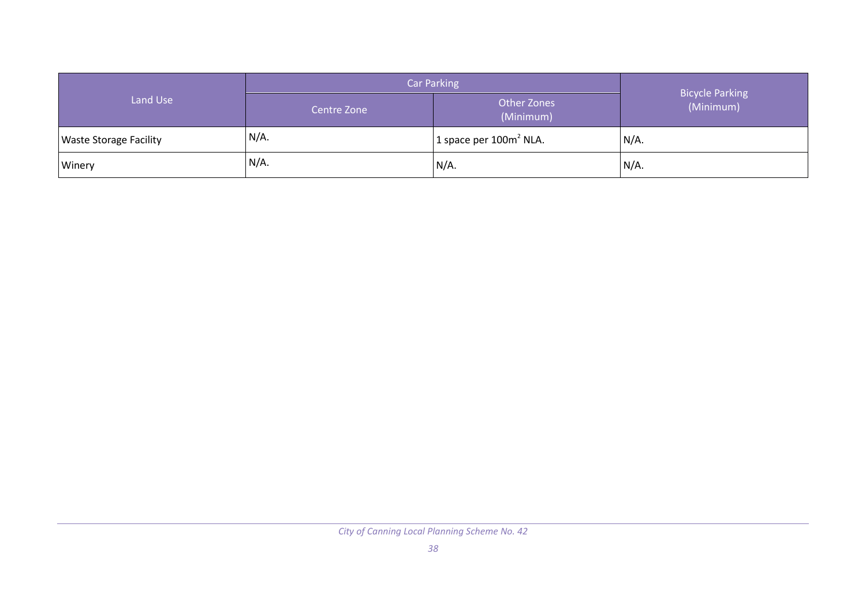|                               | Car Parking                                    |                             | <b>Bicycle Parking</b><br>(Minimum) |
|-------------------------------|------------------------------------------------|-----------------------------|-------------------------------------|
| Land Use                      | <b>Other Zones</b><br>Centre Zone<br>(Minimum) |                             |                                     |
| <b>Waste Storage Facility</b> | N/A.                                           | $1$ space per 100 $m2$ NLA. | <sup>∣</sup> N/A.                   |
| Winery                        | N/A.                                           | N/A.                        | N/A.                                |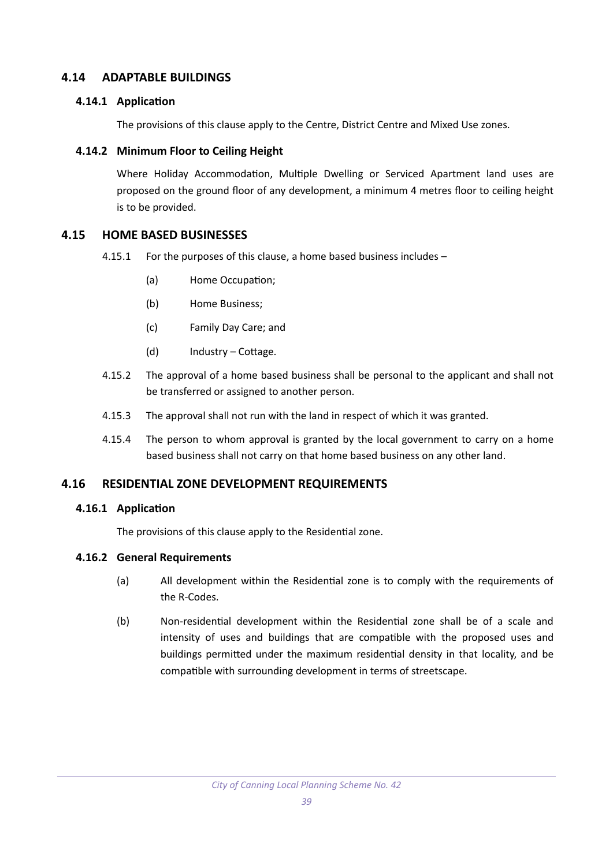# **4.14 ADAPTABLE BUILDINGS**

## **4.14.1 Application**

The provisions of this clause apply to the Centre, District Centre and Mixed Use zones.

# **4.14.2 Minimum Floor to Ceiling Height**

Where Holiday Accommodation, Multiple Dwelling or Serviced Apartment land uses are proposed on the ground floor of any development, a minimum 4 metres floor to ceiling height is to be provided.

# **4.15 HOME BASED BUSINESSES**

- 4.15.1 For the purposes of this clause, a home based business includes
	- (a) Home Occupation;
	- (b) Home Business;
	- (c) Family Day Care; and
	- (d) Industry Cottage.
- 4.15.2 The approval of a home based business shall be personal to the applicant and shall not be transferred or assigned to another person.
- 4.15.3 The approval shall not run with the land in respect of which it was granted.
- 4.15.4 The person to whom approval is granted by the local government to carry on a home based business shall not carry on that home based business on any other land.

# **4.16 RESIDENTIAL ZONE DEVELOPMENT REQUIREMENTS**

# **4.16.1 Application**

The provisions of this clause apply to the Residential zone.

# **4.16.2 General Requirements**

- (a) All development within the Residential zone is to comply with the requirements of the R-Codes.
- (b) Non-residential development within the Residential zone shall be of a scale and intensity of uses and buildings that are compatible with the proposed uses and buildings permitted under the maximum residential density in that locality, and be compatible with surrounding development in terms of streetscape.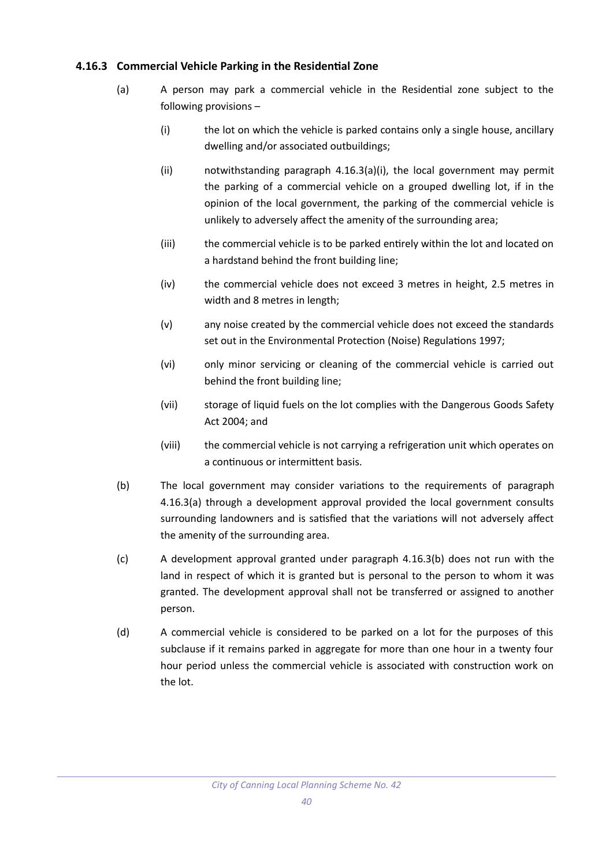# **4.16.3 Commercial Vehicle Parking in the Residential Zone**

- (a) A person may park a commercial vehicle in the Residential zone subject to the following provisions –
	- (i) the lot on which the vehicle is parked contains only a single house, ancillary dwelling and/or associated outbuildings;
	- (ii) notwithstanding paragraph 4.16.3(a)(i), the local government may permit the parking of a commercial vehicle on a grouped dwelling lot, if in the opinion of the local government, the parking of the commercial vehicle is unlikely to adversely affect the amenity of the surrounding area;
	- (iii) the commercial vehicle is to be parked entirely within the lot and located on a hardstand behind the front building line;
	- (iv) the commercial vehicle does not exceed 3 metres in height, 2.5 metres in width and 8 metres in length;
	- (v) any noise created by the commercial vehicle does not exceed the standards set out in the Environmental Protection (Noise) Regulations 1997;
	- (vi) only minor servicing or cleaning of the commercial vehicle is carried out behind the front building line;
	- (vii) storage of liquid fuels on the lot complies with the Dangerous Goods Safety Act 2004; and
	- (viii) the commercial vehicle is not carrying a refrigeration unit which operates on a continuous or intermittent basis.
- (b) The local government may consider variations to the requirements of paragraph 4.16.3(a) through a development approval provided the local government consults surrounding landowners and is satisfied that the variations will not adversely affect the amenity of the surrounding area.
- (c) A development approval granted under paragraph 4.16.3(b) does not run with the land in respect of which it is granted but is personal to the person to whom it was granted. The development approval shall not be transferred or assigned to another person.
- (d) A commercial vehicle is considered to be parked on a lot for the purposes of this subclause if it remains parked in aggregate for more than one hour in a twenty four hour period unless the commercial vehicle is associated with construction work on the lot.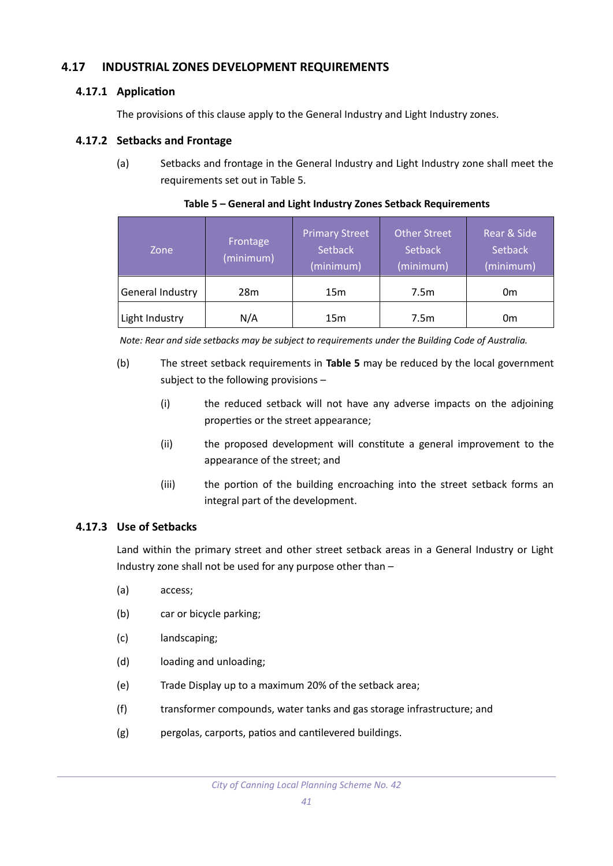# **4.17 INDUSTRIAL ZONES DEVELOPMENT REQUIREMENTS**

### **4.17.1 Application**

The provisions of this clause apply to the General Industry and Light Industry zones.

#### **4.17.2 Setbacks and Frontage**

(a) Setbacks and frontage in the General Industry and Light Industry zone shall meet the requirements set out in Table 5.

| Zone             | Frontage<br>(minimum) | <b>Primary Street</b><br><b>Setback</b><br>(minimum) | <b>Other Street</b><br>Setback<br>(minimum) | Rear & Side<br><b>Setback</b><br>(minimum) |
|------------------|-----------------------|------------------------------------------------------|---------------------------------------------|--------------------------------------------|
| General Industry | 28m                   | 15m                                                  | 7.5m                                        | 0m                                         |
| Light Industry   | N/A                   | 15m                                                  | 7.5m                                        | 0m                                         |

#### <span id="page-47-0"></span>**Table 5 – General and Light Industry Zones Setback Requirements**

*Note: Rear and side setbacks may be subject to requirements under the Building Code of Australia.*

- (b) The street setback requirements in **[Table 5](#page-47-0)** may be reduced by the local government subject to the following provisions –
	- (i) the reduced setback will not have any adverse impacts on the adjoining properties or the street appearance;
	- (ii) the proposed development will constitute a general improvement to the appearance of the street; and
	- (iii) the portion of the building encroaching into the street setback forms an integral part of the development.

#### **4.17.3 Use of Setbacks**

Land within the primary street and other street setback areas in a General Industry or Light Industry zone shall not be used for any purpose other than –

- (a) access;
- (b) car or bicycle parking;
- (c) landscaping;
- (d) loading and unloading;
- (e) Trade Display up to a maximum 20% of the setback area;
- (f) transformer compounds, water tanks and gas storage infrastructure; and
- (g) pergolas, carports, patios and cantilevered buildings.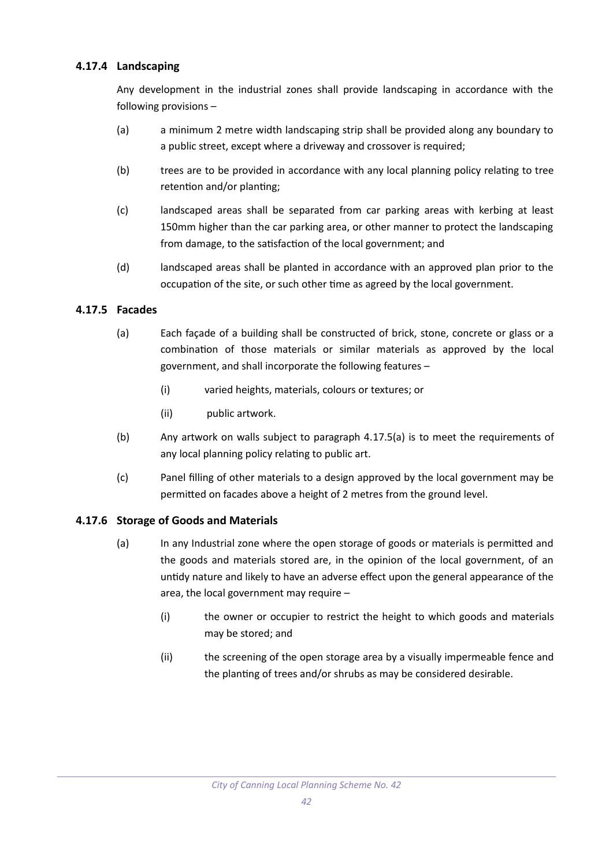# **4.17.4 Landscaping**

Any development in the industrial zones shall provide landscaping in accordance with the following provisions –

- (a) a minimum 2 metre width landscaping strip shall be provided along any boundary to a public street, except where a driveway and crossover is required;
- (b) trees are to be provided in accordance with any local planning policy relating to tree retention and/or planting;
- (c) landscaped areas shall be separated from car parking areas with kerbing at least 150mm higher than the car parking area, or other manner to protect the landscaping from damage, to the satisfaction of the local government; and
- (d) landscaped areas shall be planted in accordance with an approved plan prior to the occupation of the site, or such other time as agreed by the local government.

#### **4.17.5 Facades**

- (a) Each façade of a building shall be constructed of brick, stone, concrete or glass or a combination of those materials or similar materials as approved by the local government, and shall incorporate the following features –
	- (i) varied heights, materials, colours or textures; or
	- (ii) public artwork.
- (b) Any artwork on walls subject to paragraph 4.17.5(a) is to meet the requirements of any local planning policy relating to public art.
- (c) Panel filling of other materials to a design approved by the local government may be permitted on facades above a height of 2 metres from the ground level.

#### **4.17.6 Storage of Goods and Materials**

- (a) In any Industrial zone where the open storage of goods or materials is permitted and the goods and materials stored are, in the opinion of the local government, of an untidy nature and likely to have an adverse effect upon the general appearance of the area, the local government may require –
	- (i) the owner or occupier to restrict the height to which goods and materials may be stored; and
	- (ii) the screening of the open storage area by a visually impermeable fence and the planting of trees and/or shrubs as may be considered desirable.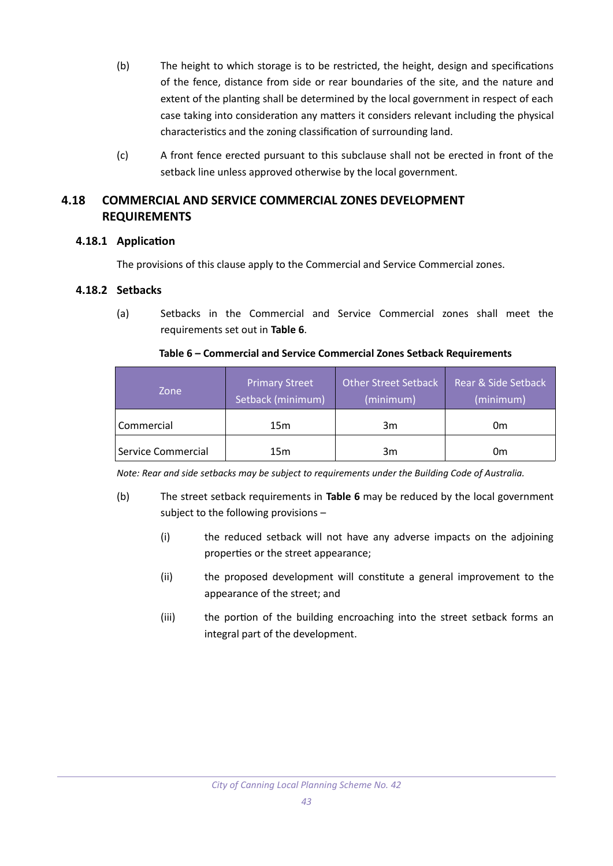- (b) The height to which storage is to be restricted, the height, design and specifications of the fence, distance from side or rear boundaries of the site, and the nature and extent of the planting shall be determined by the local government in respect of each case taking into consideration any matters it considers relevant including the physical characteristics and the zoning classification of surrounding land.
- (c) A front fence erected pursuant to this subclause shall not be erected in front of the setback line unless approved otherwise by the local government.

# **4.18 COMMERCIAL AND SERVICE COMMERCIAL ZONES DEVELOPMENT REQUIREMENTS**

# **4.18.1 Application**

The provisions of this clause apply to the Commercial and Service Commercial zones.

# **4.18.2 Setbacks**

(a) Setbacks in the Commercial and Service Commercial zones shall meet the requirements set out in **[Table 6](#page-49-0)**.

| Zone               | <b>Primary Street</b><br>Setback (minimum) | <b>Other Street Setback</b><br>(minimum) | Rear & Side Setback<br>(minimum) |
|--------------------|--------------------------------------------|------------------------------------------|----------------------------------|
| Commercial         | 15m                                        | 3m                                       | 0m                               |
| Service Commercial | 15m                                        | 3m                                       | 0m                               |

#### <span id="page-49-0"></span>**Table 6 – Commercial and Service Commercial Zones Setback Requirements**

*Note: Rear and side setbacks may be subject to requirements under the Building Code of Australia.*

- (b) The street setback requirements in **[Table 6](#page-49-0)** may be reduced by the local government subject to the following provisions –
	- (i) the reduced setback will not have any adverse impacts on the adjoining properties or the street appearance;
	- (ii) the proposed development will constitute a general improvement to the appearance of the street; and
	- (iii) the portion of the building encroaching into the street setback forms an integral part of the development.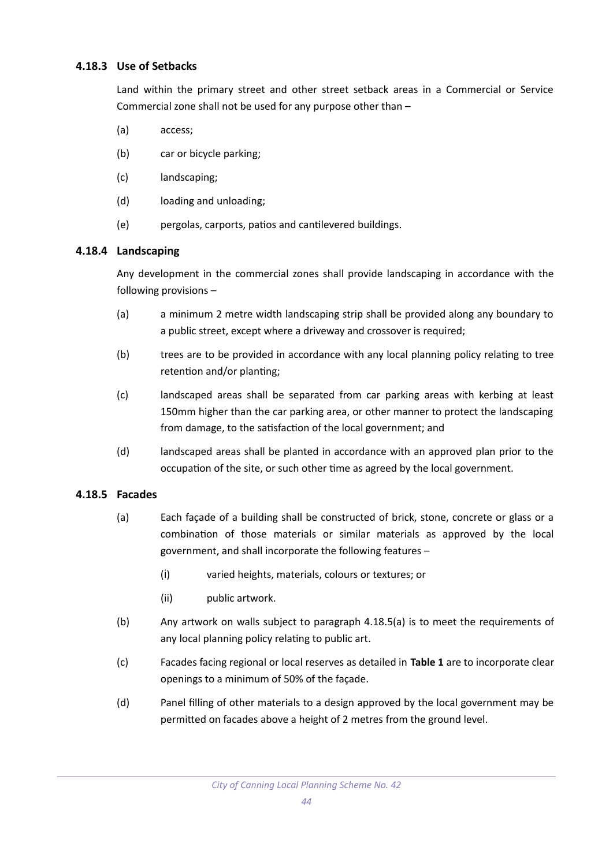#### **4.18.3 Use of Setbacks**

Land within the primary street and other street setback areas in a Commercial or Service Commercial zone shall not be used for any purpose other than –

- (a) access;
- (b) car or bicycle parking;
- (c) landscaping;
- (d) loading and unloading;
- (e) pergolas, carports, patios and cantilevered buildings.

#### **4.18.4 Landscaping**

Any development in the commercial zones shall provide landscaping in accordance with the following provisions –

- (a) a minimum 2 metre width landscaping strip shall be provided along any boundary to a public street, except where a driveway and crossover is required;
- (b) trees are to be provided in accordance with any local planning policy relating to tree retention and/or planting;
- (c) landscaped areas shall be separated from car parking areas with kerbing at least 150mm higher than the car parking area, or other manner to protect the landscaping from damage, to the satisfaction of the local government; and
- (d) landscaped areas shall be planted in accordance with an approved plan prior to the occupation of the site, or such other time as agreed by the local government.

# **4.18.5 Facades**

- (a) Each façade of a building shall be constructed of brick, stone, concrete or glass or a combination of those materials or similar materials as approved by the local government, and shall incorporate the following features –
	- (i) varied heights, materials, colours or textures; or
	- (ii) public artwork.
- (b) Any artwork on walls subject to paragraph 4.18.5(a) is to meet the requirements of any local planning policy relating to public art.
- (c) Facades facing regional or local reserves as detailed in **[Table 1](#page-11-0)** are to incorporate clear openings to a minimum of 50% of the façade.
- (d) Panel filling of other materials to a design approved by the local government may be permitted on facades above a height of 2 metres from the ground level.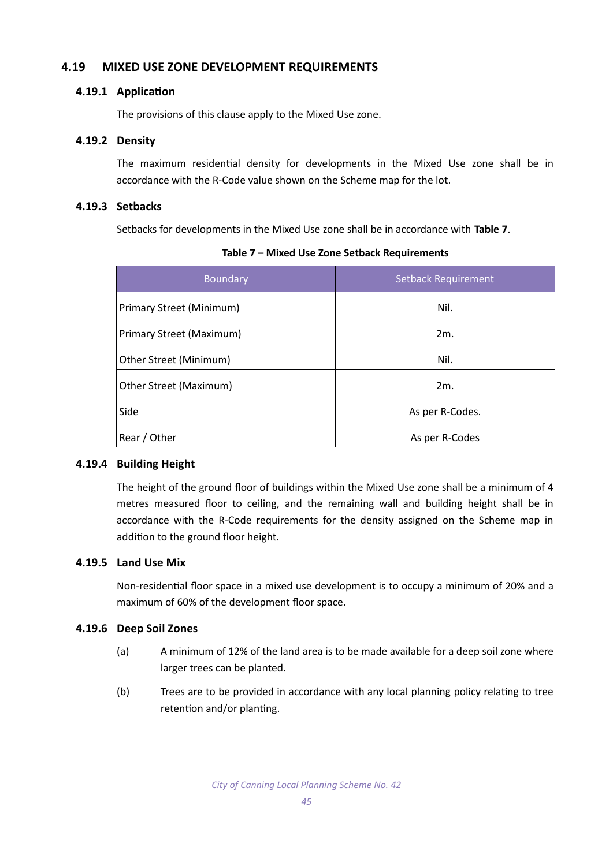# **4.19 MIXED USE ZONE DEVELOPMENT REQUIREMENTS**

#### **4.19.1 Application**

The provisions of this clause apply to the Mixed Use zone.

#### **4.19.2 Density**

The maximum residential density for developments in the Mixed Use zone shall be in accordance with the R-Code value shown on the Scheme map for the lot.

#### **4.19.3 Setbacks**

Setbacks for developments in the Mixed Use zone shall be in accordance with **[Table 7](#page-51-0)**.

| <b>Boundary</b>          | <b>Setback Requirement</b> |
|--------------------------|----------------------------|
| Primary Street (Minimum) | Nil.                       |
| Primary Street (Maximum) | 2m.                        |
| Other Street (Minimum)   | Nil.                       |
| Other Street (Maximum)   | 2m.                        |
| Side                     | As per R-Codes.            |
| Rear / Other             | As per R-Codes             |

<span id="page-51-0"></span>**Table 7 – Mixed Use Zone Setback Requirements**

# **4.19.4 Building Height**

The height of the ground floor of buildings within the Mixed Use zone shall be a minimum of 4 metres measured floor to ceiling, and the remaining wall and building height shall be in accordance with the R-Code requirements for the density assigned on the Scheme map in addition to the ground floor height.

# **4.19.5 Land Use Mix**

Non-residential floor space in a mixed use development is to occupy a minimum of 20% and a maximum of 60% of the development floor space.

# **4.19.6 Deep Soil Zones**

- (a) A minimum of 12% of the land area is to be made available for a deep soil zone where larger trees can be planted.
- (b) Trees are to be provided in accordance with any local planning policy relating to tree retention and/or planting.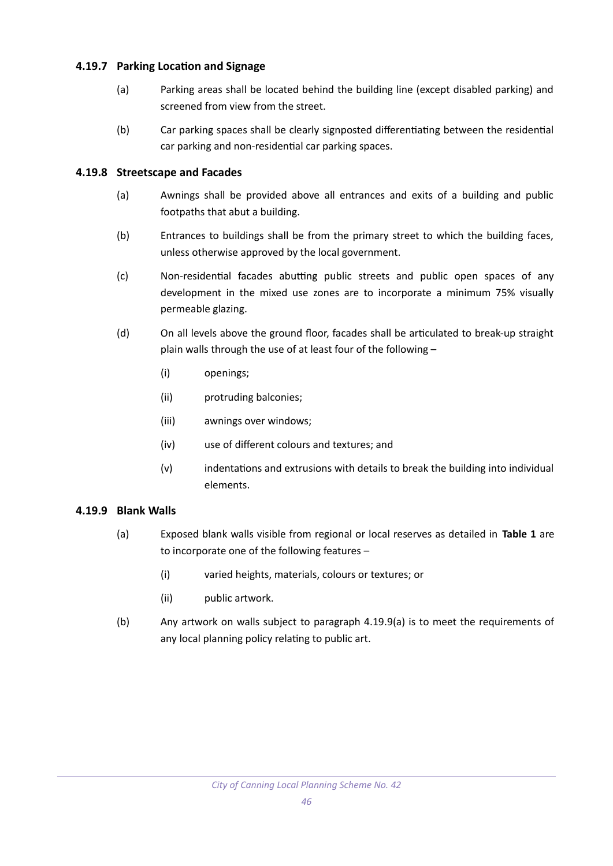# **4.19.7 Parking Location and Signage**

- (a) Parking areas shall be located behind the building line (except disabled parking) and screened from view from the street.
- (b) Car parking spaces shall be clearly signposted differentiating between the residential car parking and non-residential car parking spaces.

#### **4.19.8 Streetscape and Facades**

- (a) Awnings shall be provided above all entrances and exits of a building and public footpaths that abut a building.
- (b) Entrances to buildings shall be from the primary street to which the building faces, unless otherwise approved by the local government.
- (c) Non-residential facades abutting public streets and public open spaces of any development in the mixed use zones are to incorporate a minimum 75% visually permeable glazing.
- (d) On all levels above the ground floor, facades shall be articulated to break-up straight plain walls through the use of at least four of the following –
	- (i) openings;
	- (ii) protruding balconies;
	- (iii) awnings over windows;
	- (iv) use of different colours and textures; and
	- (v) indentations and extrusions with details to break the building into individual elements.

#### **4.19.9 Blank Walls**

- (a) Exposed blank walls visible from regional or local reserves as detailed in **[Table 1](#page-11-0)** are to incorporate one of the following features –
	- (i) varied heights, materials, colours or textures; or
	- (ii) public artwork.
- (b) Any artwork on walls subject to paragraph 4.19.9(a) is to meet the requirements of any local planning policy relating to public art.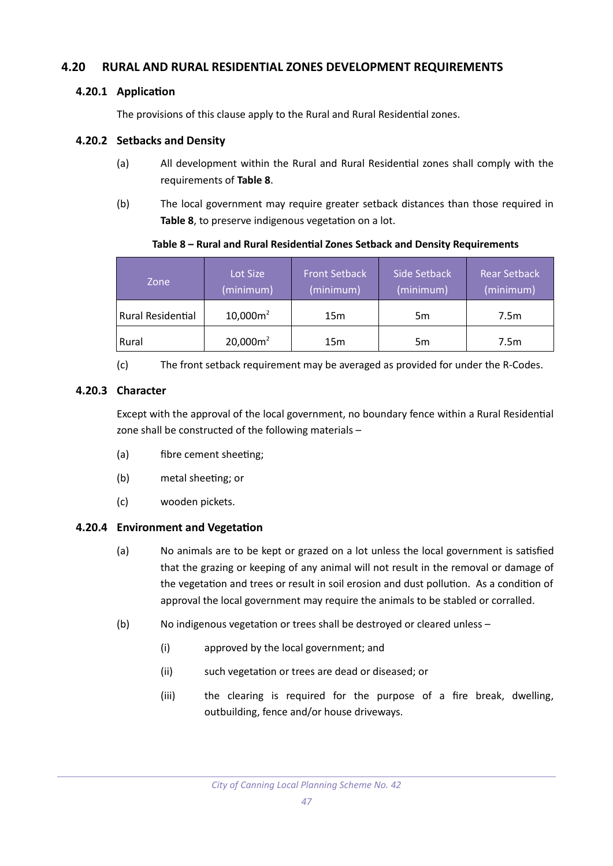# **4.20 RURAL AND RURAL RESIDENTIAL ZONES DEVELOPMENT REQUIREMENTS**

## **4.20.1 Application**

The provisions of this clause apply to the Rural and Rural Residential zones.

#### **4.20.2 Setbacks and Density**

- (a) All development within the Rural and Rural Residential zones shall comply with the requirements of **[Table 8](#page-53-0)**.
- (b) The local government may require greater setback distances than those required in **[Table 8](#page-53-0)**, to preserve indigenous vegetation on a lot.

#### Zone Lot Size (minimum) Front Setback (minimum) Side Setback (minimum) Rear Setback (minimum) Rural Residential  $\vert$  10,000m<sup>2</sup> 15m 5m 7.5m Rural 20,000m<sup>2</sup> 15m | 5m | 7.5m

#### <span id="page-53-0"></span>**Table 8 – Rural and Rural Residential Zones Setback and Density Requirements**

(c) The front setback requirement may be averaged as provided for under the R-Codes.

#### **4.20.3 Character**

Except with the approval of the local government, no boundary fence within a Rural Residential zone shall be constructed of the following materials –

- (a) fibre cement sheeting;
- (b) metal sheeting; or
- (c) wooden pickets.

# **4.20.4 Environment and Vegetation**

- (a) No animals are to be kept or grazed on a lot unless the local government is satisfied that the grazing or keeping of any animal will not result in the removal or damage of the vegetation and trees or result in soil erosion and dust pollution. As a condition of approval the local government may require the animals to be stabled or corralled.
- (b) No indigenous vegetation or trees shall be destroyed or cleared unless
	- (i) approved by the local government; and
	- (ii) such vegetation or trees are dead or diseased; or
	- (iii) the clearing is required for the purpose of a fire break, dwelling, outbuilding, fence and/or house driveways.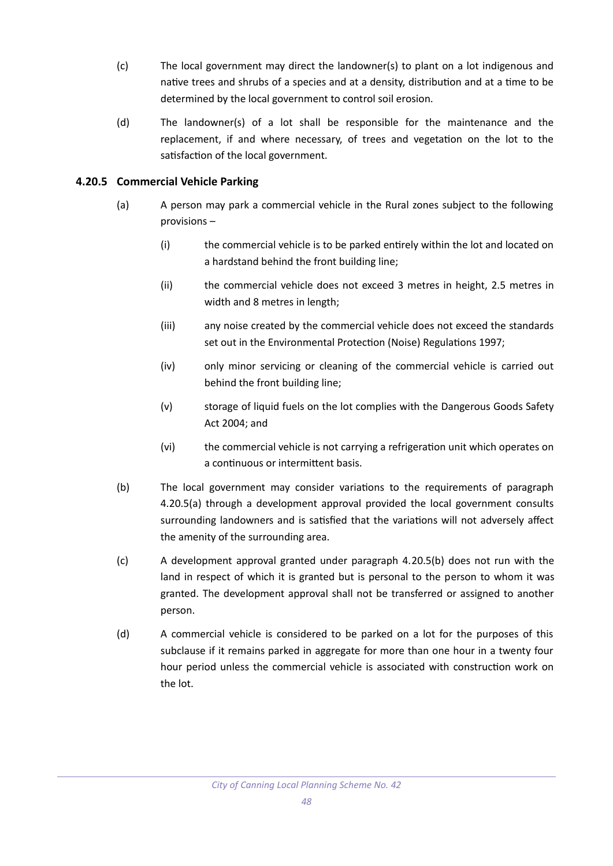- (c) The local government may direct the landowner(s) to plant on a lot indigenous and native trees and shrubs of a species and at a density, distribution and at a time to be determined by the local government to control soil erosion.
- (d) The landowner(s) of a lot shall be responsible for the maintenance and the replacement, if and where necessary, of trees and vegetation on the lot to the satisfaction of the local government.

# **4.20.5 Commercial Vehicle Parking**

- (a) A person may park a commercial vehicle in the Rural zones subject to the following provisions –
	- (i) the commercial vehicle is to be parked entirely within the lot and located on a hardstand behind the front building line;
	- (ii) the commercial vehicle does not exceed 3 metres in height, 2.5 metres in width and 8 metres in length;
	- (iii) any noise created by the commercial vehicle does not exceed the standards set out in the Environmental Protection (Noise) Regulations 1997;
	- (iv) only minor servicing or cleaning of the commercial vehicle is carried out behind the front building line;
	- (v) storage of liquid fuels on the lot complies with the Dangerous Goods Safety Act 2004; and
	- (vi) the commercial vehicle is not carrying a refrigeration unit which operates on a continuous or intermittent basis.
- (b) The local government may consider variations to the requirements of paragraph 4.20.5(a) through a development approval provided the local government consults surrounding landowners and is satisfied that the variations will not adversely affect the amenity of the surrounding area.
- (c) A development approval granted under paragraph 4.20.5(b) does not run with the land in respect of which it is granted but is personal to the person to whom it was granted. The development approval shall not be transferred or assigned to another person.
- (d) A commercial vehicle is considered to be parked on a lot for the purposes of this subclause if it remains parked in aggregate for more than one hour in a twenty four hour period unless the commercial vehicle is associated with construction work on the lot.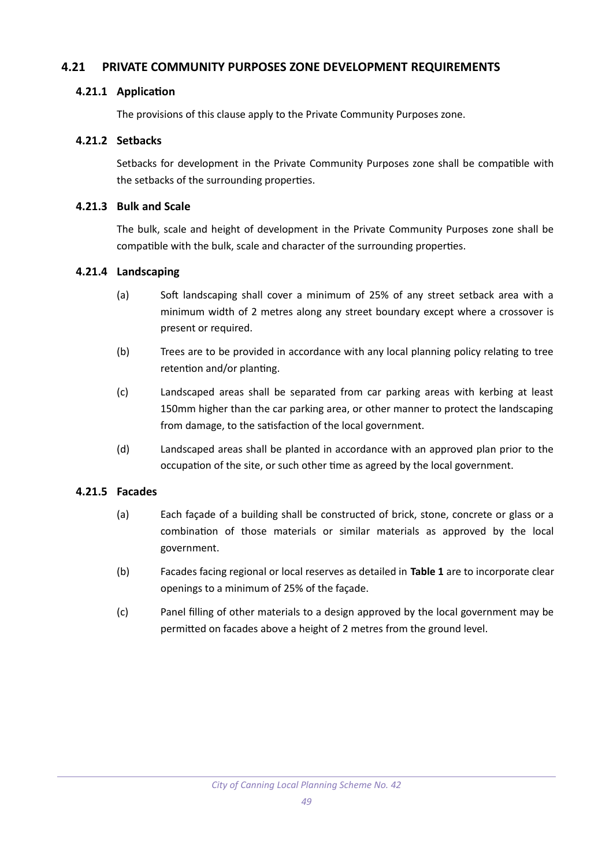# **4.21 PRIVATE COMMUNITY PURPOSES ZONE DEVELOPMENT REQUIREMENTS**

### **4.21.1 Application**

The provisions of this clause apply to the Private Community Purposes zone.

## **4.21.2 Setbacks**

Setbacks for development in the Private Community Purposes zone shall be compatible with the setbacks of the surrounding properties.

#### **4.21.3 Bulk and Scale**

The bulk, scale and height of development in the Private Community Purposes zone shall be compatible with the bulk, scale and character of the surrounding properties.

#### **4.21.4 Landscaping**

- (a) Soft landscaping shall cover a minimum of 25% of any street setback area with a minimum width of 2 metres along any street boundary except where a crossover is present or required.
- (b) Trees are to be provided in accordance with any local planning policy relating to tree retention and/or planting.
- (c) Landscaped areas shall be separated from car parking areas with kerbing at least 150mm higher than the car parking area, or other manner to protect the landscaping from damage, to the satisfaction of the local government.
- (d) Landscaped areas shall be planted in accordance with an approved plan prior to the occupation of the site, or such other time as agreed by the local government.

# **4.21.5 Facades**

- (a) Each façade of a building shall be constructed of brick, stone, concrete or glass or a combination of those materials or similar materials as approved by the local government.
- (b) Facades facing regional or local reserves as detailed in **[Table 1](#page-11-0)** are to incorporate clear openings to a minimum of 25% of the façade.
- (c) Panel filling of other materials to a design approved by the local government may be permitted on facades above a height of 2 metres from the ground level.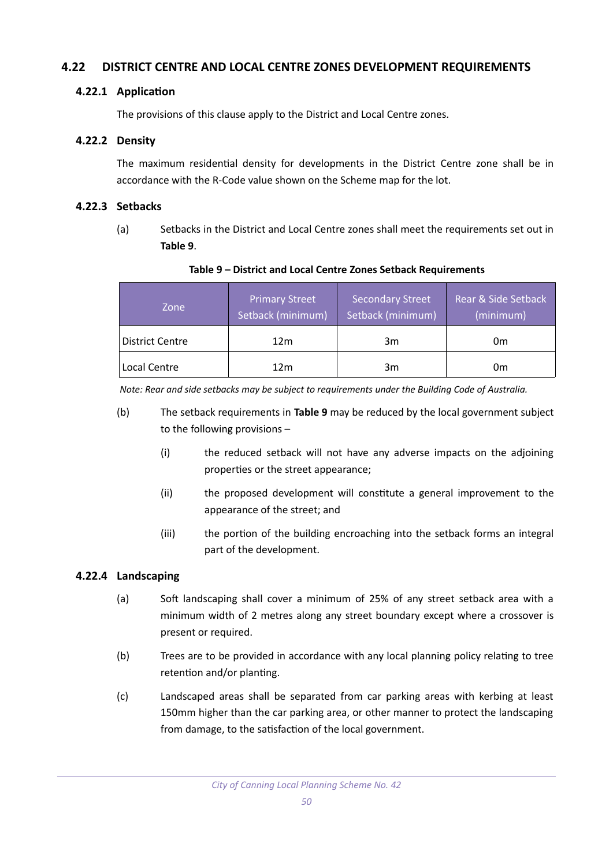# **4.22 DISTRICT CENTRE AND LOCAL CENTRE ZONES DEVELOPMENT REQUIREMENTS**

# **4.22.1 Application**

The provisions of this clause apply to the District and Local Centre zones.

#### **4.22.2 Density**

The maximum residential density for developments in the District Centre zone shall be in accordance with the R-Code value shown on the Scheme map for the lot.

#### **4.22.3 Setbacks**

(a) Setbacks in the District and Local Centre zones shall meet the requirements set out in **[Table 9](#page-56-0)**.

| Zone                   | <b>Primary Street</b><br>Setback (minimum) | <b>Secondary Street</b><br>Setback (minimum) | Rear & Side Setback<br>(minimum) |
|------------------------|--------------------------------------------|----------------------------------------------|----------------------------------|
| <b>District Centre</b> | 12m                                        | 3m                                           | 0m                               |
| Local Centre           | 12m                                        | 3m                                           | Jm                               |

#### <span id="page-56-0"></span>**Table 9 – District and Local Centre Zones Setback Requirements**

*Note: Rear and side setbacks may be subject to requirements under the Building Code of Australia.*

- (b) The setback requirements in **[Table 9](#page-56-0)** may be reduced by the local government subject to the following provisions –
	- (i) the reduced setback will not have any adverse impacts on the adjoining properties or the street appearance;
	- (ii) the proposed development will constitute a general improvement to the appearance of the street; and
	- (iii) the portion of the building encroaching into the setback forms an integral part of the development.

#### **4.22.4 Landscaping**

- (a) Soft landscaping shall cover a minimum of 25% of any street setback area with a minimum width of 2 metres along any street boundary except where a crossover is present or required.
- (b) Trees are to be provided in accordance with any local planning policy relating to tree retention and/or planting.
- (c) Landscaped areas shall be separated from car parking areas with kerbing at least 150mm higher than the car parking area, or other manner to protect the landscaping from damage, to the satisfaction of the local government.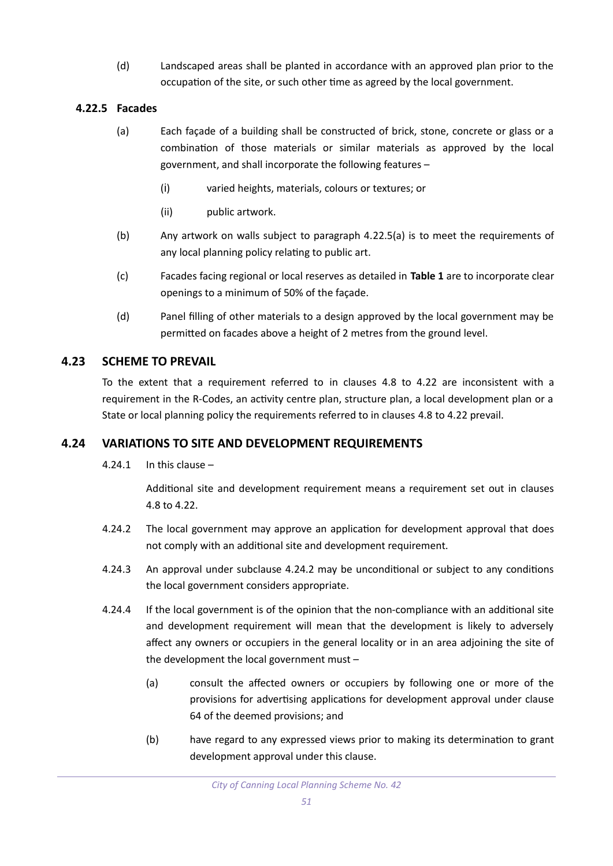(d) Landscaped areas shall be planted in accordance with an approved plan prior to the occupation of the site, or such other time as agreed by the local government.

# **4.22.5 Facades**

- (a) Each façade of a building shall be constructed of brick, stone, concrete or glass or a combination of those materials or similar materials as approved by the local government, and shall incorporate the following features –
	- (i) varied heights, materials, colours or textures; or
	- (ii) public artwork.
- (b) Any artwork on walls subject to paragraph 4.22.5(a) is to meet the requirements of any local planning policy relating to public art.
- (c) Facades facing regional or local reserves as detailed in **[Table 1](#page-11-0)** are to incorporate clear openings to a minimum of 50% of the façade.
- (d) Panel filling of other materials to a design approved by the local government may be permitted on facades above a height of 2 metres from the ground level.

# **4.23 SCHEME TO PREVAIL**

To the extent that a requirement referred to in clauses 4.8 to 4.22 are inconsistent with a requirement in the R-Codes, an activity centre plan, structure plan, a local development plan or a State or local planning policy the requirements referred to in clauses 4.8 to 4.22 prevail.

# **4.24 VARIATIONS TO SITE AND DEVELOPMENT REQUIREMENTS**

4.24.1 In this clause –

Additional site and development requirement means a requirement set out in clauses 4.8 to 4.22.

- 4.24.2 The local government may approve an application for development approval that does not comply with an additional site and development requirement.
- 4.24.3 An approval under subclause 4.24.2 may be unconditional or subject to any conditions the local government considers appropriate.
- 4.24.4 If the local government is of the opinion that the non-compliance with an additional site and development requirement will mean that the development is likely to adversely affect any owners or occupiers in the general locality or in an area adjoining the site of the development the local government must –
	- (a) consult the affected owners or occupiers by following one or more of the provisions for advertising applications for development approval under clause 64 of the deemed provisions; and
	- (b) have regard to any expressed views prior to making its determination to grant development approval under this clause.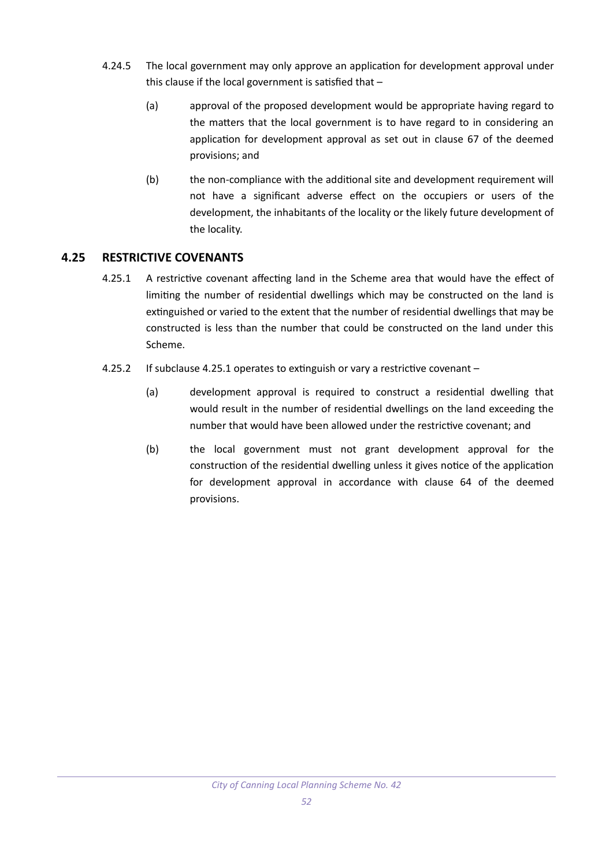- 4.24.5 The local government may only approve an application for development approval under this clause if the local government is satisfied that –
	- (a) approval of the proposed development would be appropriate having regard to the matters that the local government is to have regard to in considering an application for development approval as set out in clause 67 of the deemed provisions; and
	- (b) the non-compliance with the additional site and development requirement will not have a significant adverse effect on the occupiers or users of the development, the inhabitants of the locality or the likely future development of the locality.

# **4.25 RESTRICTIVE COVENANTS**

- 4.25.1 A restrictive covenant affecting land in the Scheme area that would have the effect of limiting the number of residential dwellings which may be constructed on the land is extinguished or varied to the extent that the number of residential dwellings that may be constructed is less than the number that could be constructed on the land under this Scheme.
- 4.25.2 If subclause 4.25.1 operates to extinguish or vary a restrictive covenant
	- (a) development approval is required to construct a residential dwelling that would result in the number of residential dwellings on the land exceeding the number that would have been allowed under the restrictive covenant; and
	- (b) the local government must not grant development approval for the construction of the residential dwelling unless it gives notice of the application for development approval in accordance with clause 64 of the deemed provisions.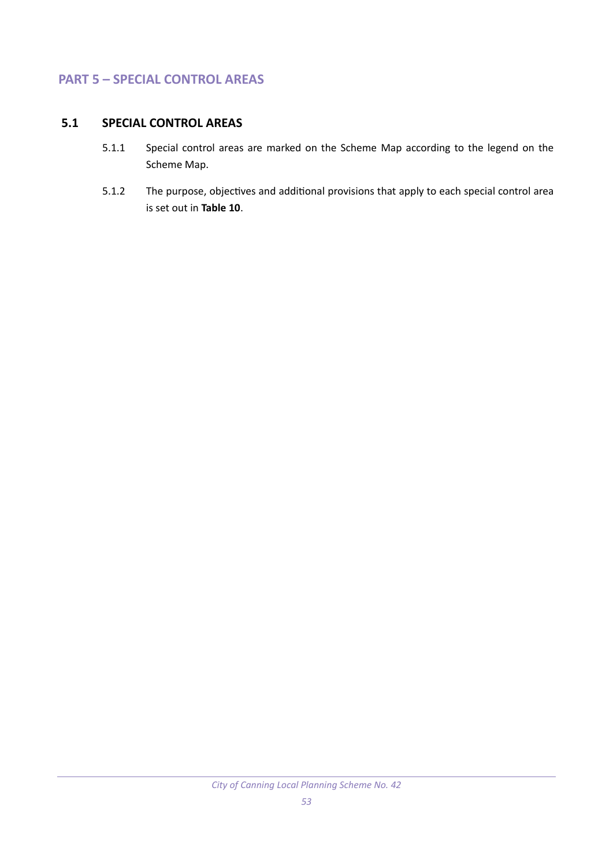# **PART 5 – SPECIAL CONTROL AREAS**

# **5.1 SPECIAL CONTROL AREAS**

- 5.1.1 Special control areas are marked on the Scheme Map according to the legend on the Scheme Map.
- 5.1.2 The purpose, objectives and additional provisions that apply to each special control area is set out in **[Table 10](#page-60-0)**.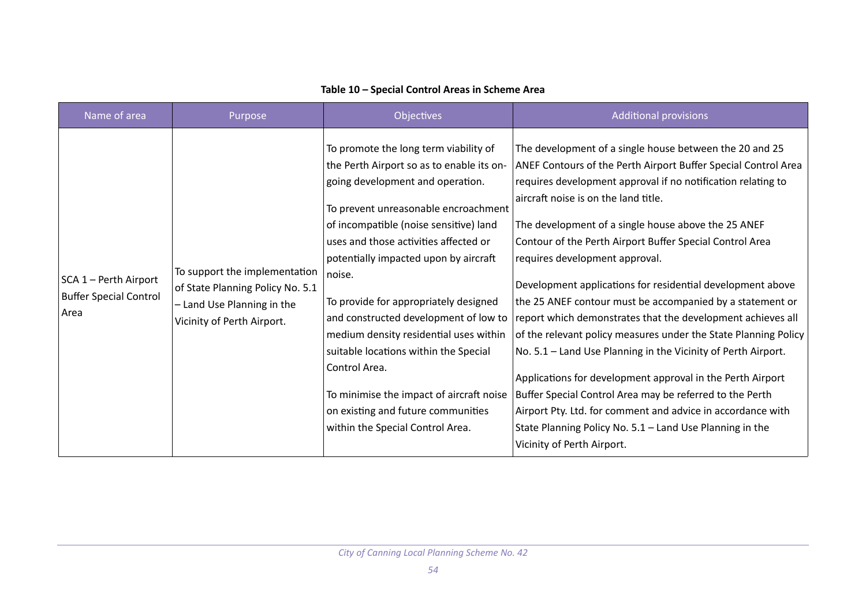| Name of area                                                   | Purpose                                                                                                                       | Objectives                                                                                                                                                                                                                                                                                                                                                                                                                                                                                                                                                                                                       | <b>Additional provisions</b>                                                                                                                                                                                                                                                                                                                                                                                                                                                                                                                                                                                                                                                                                                                                                                                                                                                                                                                                                                            |
|----------------------------------------------------------------|-------------------------------------------------------------------------------------------------------------------------------|------------------------------------------------------------------------------------------------------------------------------------------------------------------------------------------------------------------------------------------------------------------------------------------------------------------------------------------------------------------------------------------------------------------------------------------------------------------------------------------------------------------------------------------------------------------------------------------------------------------|---------------------------------------------------------------------------------------------------------------------------------------------------------------------------------------------------------------------------------------------------------------------------------------------------------------------------------------------------------------------------------------------------------------------------------------------------------------------------------------------------------------------------------------------------------------------------------------------------------------------------------------------------------------------------------------------------------------------------------------------------------------------------------------------------------------------------------------------------------------------------------------------------------------------------------------------------------------------------------------------------------|
| SCA 1 - Perth Airport<br><b>Buffer Special Control</b><br>Area | To support the implementation<br>of State Planning Policy No. 5.1<br>- Land Use Planning in the<br>Vicinity of Perth Airport. | To promote the long term viability of<br>the Perth Airport so as to enable its on-<br>going development and operation.<br>To prevent unreasonable encroachment<br>of incompatible (noise sensitive) land<br>uses and those activities affected or<br>potentially impacted upon by aircraft<br>noise.<br>To provide for appropriately designed<br>and constructed development of low to<br>medium density residential uses within<br>suitable locations within the Special<br>Control Area.<br>To minimise the impact of aircraft noise<br>on existing and future communities<br>within the Special Control Area. | The development of a single house between the 20 and 25<br>ANEF Contours of the Perth Airport Buffer Special Control Area<br>requires development approval if no notification relating to<br>aircraft noise is on the land title.<br>The development of a single house above the 25 ANEF<br>Contour of the Perth Airport Buffer Special Control Area<br>requires development approval.<br>Development applications for residential development above<br>the 25 ANEF contour must be accompanied by a statement or<br>report which demonstrates that the development achieves all<br>of the relevant policy measures under the State Planning Policy<br>No. 5.1 - Land Use Planning in the Vicinity of Perth Airport.<br>Applications for development approval in the Perth Airport<br>Buffer Special Control Area may be referred to the Perth<br>Airport Pty. Ltd. for comment and advice in accordance with<br>State Planning Policy No. 5.1 - Land Use Planning in the<br>Vicinity of Perth Airport. |

# <span id="page-60-0"></span>**Table 10 – Special Control Areas in Scheme Area**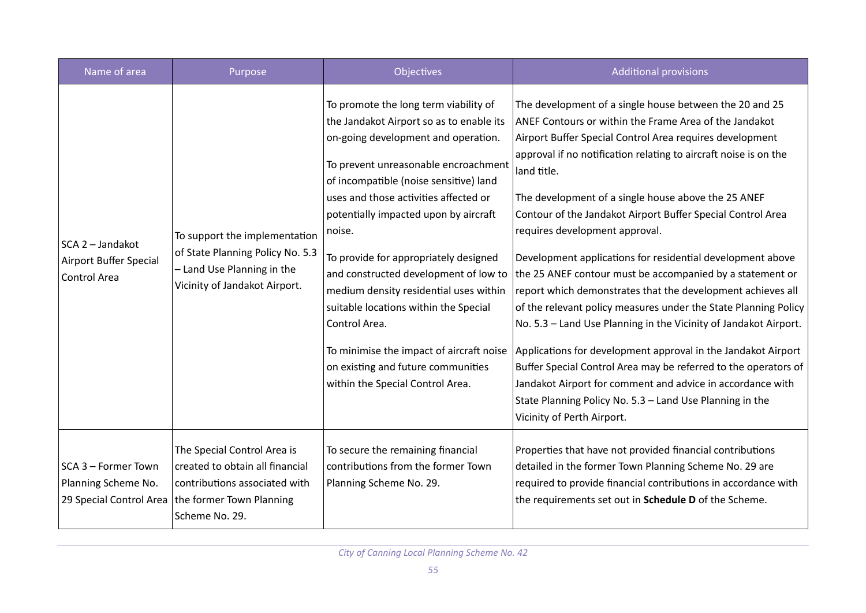| Name of area                                                          | Purpose                                                                                                                                       | Objectives                                                                                                                                                                                                                                                                                                                                                                                                                                                                                                                                                                                                         | <b>Additional provisions</b>                                                                                                                                                                                                                                                                                                                                                                                                                                                                                                                                                                                                                                                                                                                                                                                                                                                                                                                                                                                                                          |
|-----------------------------------------------------------------------|-----------------------------------------------------------------------------------------------------------------------------------------------|--------------------------------------------------------------------------------------------------------------------------------------------------------------------------------------------------------------------------------------------------------------------------------------------------------------------------------------------------------------------------------------------------------------------------------------------------------------------------------------------------------------------------------------------------------------------------------------------------------------------|-------------------------------------------------------------------------------------------------------------------------------------------------------------------------------------------------------------------------------------------------------------------------------------------------------------------------------------------------------------------------------------------------------------------------------------------------------------------------------------------------------------------------------------------------------------------------------------------------------------------------------------------------------------------------------------------------------------------------------------------------------------------------------------------------------------------------------------------------------------------------------------------------------------------------------------------------------------------------------------------------------------------------------------------------------|
| SCA 2-Jandakot<br>Airport Buffer Special<br>Control Area              | To support the implementation<br>of State Planning Policy No. 5.3<br>- Land Use Planning in the<br>Vicinity of Jandakot Airport.              | To promote the long term viability of<br>the Jandakot Airport so as to enable its<br>on-going development and operation.<br>To prevent unreasonable encroachment<br>of incompatible (noise sensitive) land<br>uses and those activities affected or<br>potentially impacted upon by aircraft<br>noise.<br>To provide for appropriately designed<br>and constructed development of low to<br>medium density residential uses within<br>suitable locations within the Special<br>Control Area.<br>To minimise the impact of aircraft noise<br>on existing and future communities<br>within the Special Control Area. | The development of a single house between the 20 and 25<br>ANEF Contours or within the Frame Area of the Jandakot<br>Airport Buffer Special Control Area requires development<br>approval if no notification relating to aircraft noise is on the<br>land title.<br>The development of a single house above the 25 ANEF<br>Contour of the Jandakot Airport Buffer Special Control Area<br>requires development approval.<br>Development applications for residential development above<br>the 25 ANEF contour must be accompanied by a statement or<br>report which demonstrates that the development achieves all<br>of the relevant policy measures under the State Planning Policy<br>No. 5.3 - Land Use Planning in the Vicinity of Jandakot Airport.<br>Applications for development approval in the Jandakot Airport<br>Buffer Special Control Area may be referred to the operators of<br>Jandakot Airport for comment and advice in accordance with<br>State Planning Policy No. 5.3 - Land Use Planning in the<br>Vicinity of Perth Airport. |
| SCA 3 - Former Town<br>Planning Scheme No.<br>29 Special Control Area | The Special Control Area is<br>created to obtain all financial<br>contributions associated with<br>the former Town Planning<br>Scheme No. 29. | To secure the remaining financial<br>contributions from the former Town<br>Planning Scheme No. 29.                                                                                                                                                                                                                                                                                                                                                                                                                                                                                                                 | Properties that have not provided financial contributions<br>detailed in the former Town Planning Scheme No. 29 are<br>required to provide financial contributions in accordance with<br>the requirements set out in Schedule D of the Scheme.                                                                                                                                                                                                                                                                                                                                                                                                                                                                                                                                                                                                                                                                                                                                                                                                        |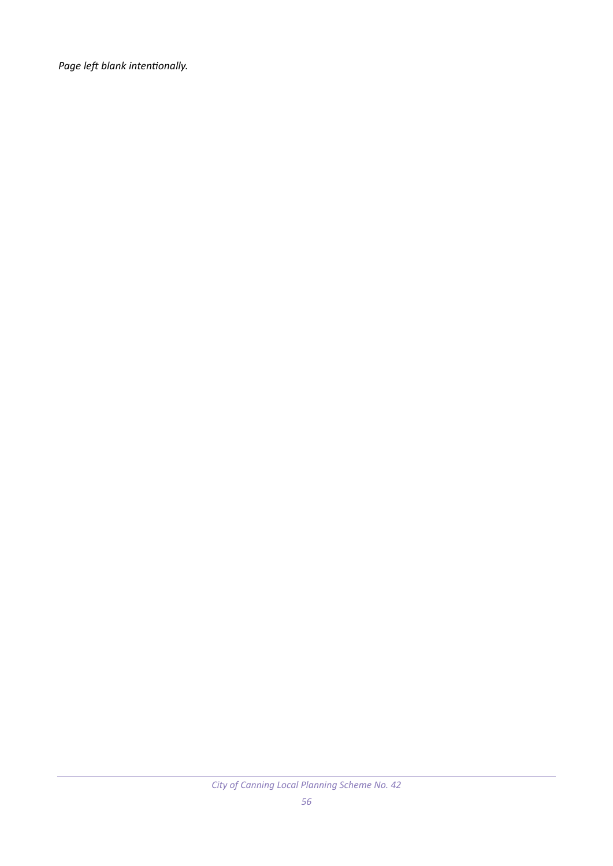*Page left blank intentionally.*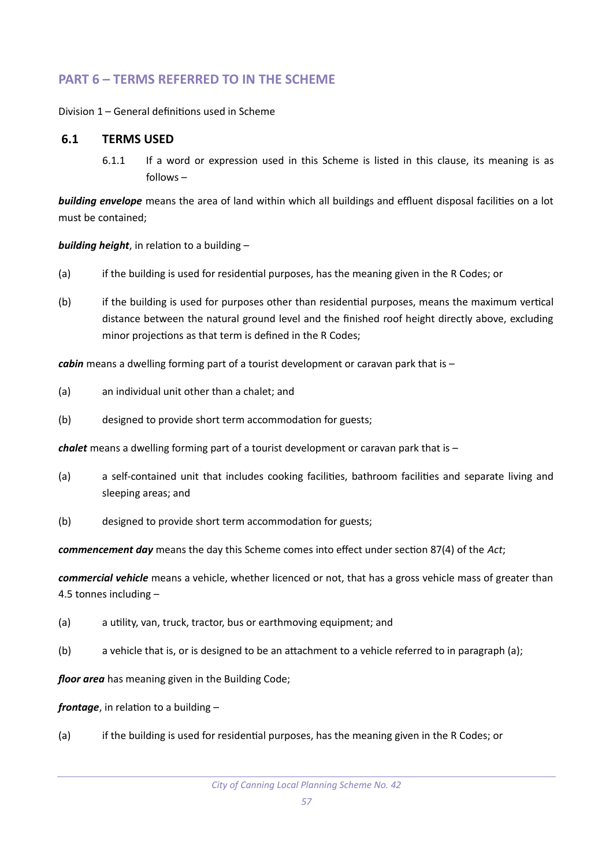# **PART 6 – TERMS REFERRED TO IN THE SCHEME**

Division 1 – General definitions used in Scheme

## **6.1 TERMS USED**

6.1.1 If a word or expression used in this Scheme is listed in this clause, its meaning is as follows –

*building envelope* means the area of land within which all buildings and effluent disposal facilities on a lot must be contained;

*building height*, in relation to a building –

- (a) if the building is used for residential purposes, has the meaning given in the R Codes; or
- (b) if the building is used for purposes other than residential purposes, means the maximum vertical distance between the natural ground level and the finished roof height directly above, excluding minor projections as that term is defined in the R Codes;

*cabin* means a dwelling forming part of a tourist development or caravan park that is –

- (a) an individual unit other than a chalet; and
- (b) designed to provide short term accommodation for guests;

*chalet* means a dwelling forming part of a tourist development or caravan park that is -

- (a) a self-contained unit that includes cooking facilities, bathroom facilities and separate living and sleeping areas; and
- (b) designed to provide short term accommodation for guests;

*commencement day* means the day this Scheme comes into effect under section 87(4) of the *Act*;

*commercial vehicle* means a vehicle, whether licenced or not, that has a gross vehicle mass of greater than 4.5 tonnes including –

- (a) a utility, van, truck, tractor, bus or earthmoving equipment; and
- (b) a vehicle that is, or is designed to be an attachment to a vehicle referred to in paragraph (a);

*floor area* has meaning given in the Building Code;

*frontage*, in relation to a building –

(a) if the building is used for residential purposes, has the meaning given in the R Codes; or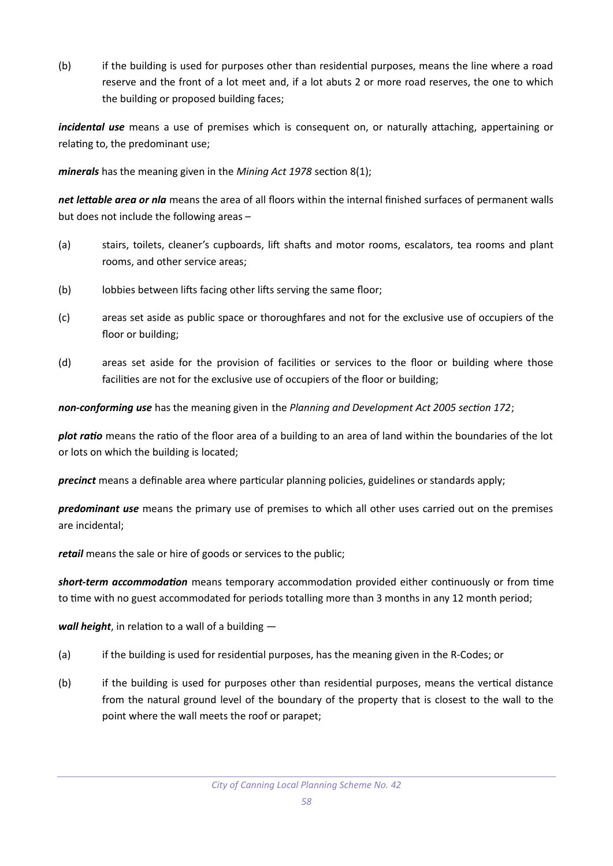(b) if the building is used for purposes other than residential purposes, means the line where a road reserve and the front of a lot meet and, if a lot abuts 2 or more road reserves, the one to which the building or proposed building faces;

*incidental use* means a use of premises which is consequent on, or naturally attaching, appertaining or relating to, the predominant use;

*minerals* has the meaning given in the *Mining Act 1978* section 8(1);

*net lettable area or nla* means the area of all floors within the internal finished surfaces of permanent walls but does not include the following areas –

- (a) stairs, toilets, cleaner's cupboards, lift shafts and motor rooms, escalators, tea rooms and plant rooms, and other service areas;
- (b) lobbies between lifts facing other lifts serving the same floor;
- (c) areas set aside as public space or thoroughfares and not for the exclusive use of occupiers of the floor or building;
- (d) areas set aside for the provision of facilities or services to the floor or building where those facilities are not for the exclusive use of occupiers of the floor or building;

*non-conforming use* has the meaning given in the *Planning and Development Act 2005 section 172*;

*plot ratio* means the ratio of the floor area of a building to an area of land within the boundaries of the lot or lots on which the building is located;

*precinct* means a definable area where particular planning policies, guidelines or standards apply;

*predominant use* means the primary use of premises to which all other uses carried out on the premises are incidental;

*retail* means the sale or hire of goods or services to the public;

*short-term accommodation* means temporary accommodation provided either continuously or from time to time with no guest accommodated for periods totalling more than 3 months in any 12 month period;

*wall height*, in relation to a wall of a building —

- (a) if the building is used for residential purposes, has the meaning given in the R-Codes; or
- (b) if the building is used for purposes other than residential purposes, means the vertical distance from the natural ground level of the boundary of the property that is closest to the wall to the point where the wall meets the roof or parapet;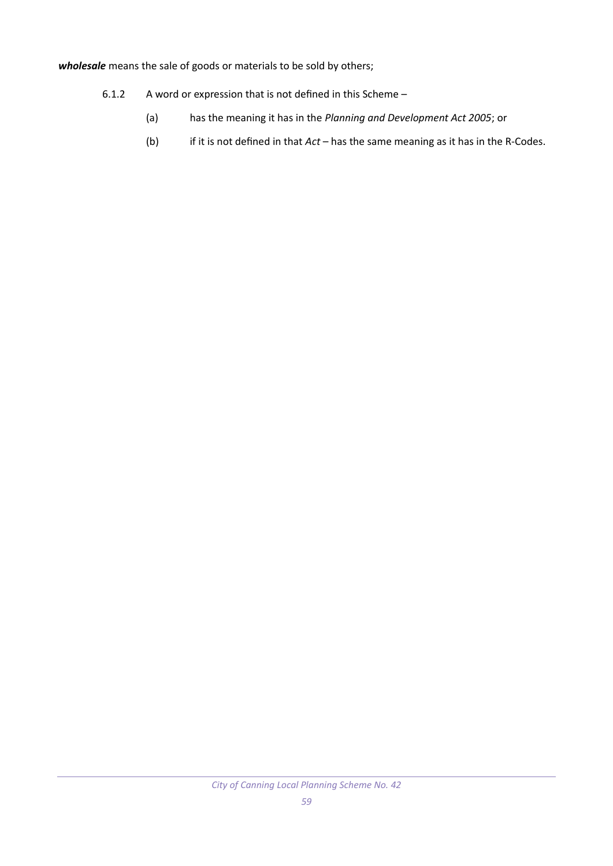*wholesale* means the sale of goods or materials to be sold by others;

- 6.1.2 A word or expression that is not defined in this Scheme
	- (a) has the meaning it has in the *Planning and Development Act 2005*; or
	- (b) if it is not defined in that *Act* has the same meaning as it has in the R-Codes.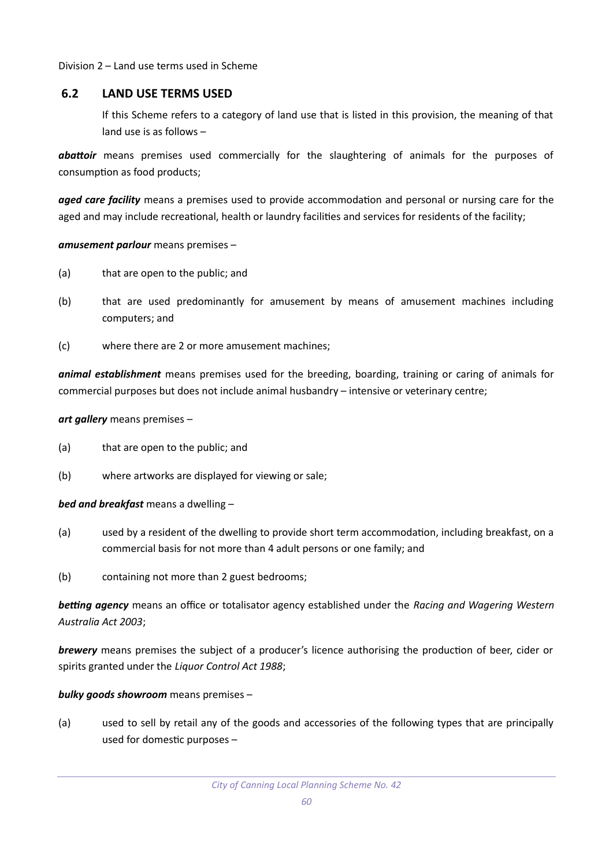Division 2 – Land use terms used in Scheme

# **6.2 LAND USE TERMS USED**

If this Scheme refers to a category of land use that is listed in this provision, the meaning of that land use is as follows –

*abattoir* means premises used commercially for the slaughtering of animals for the purposes of consumption as food products;

aged care facility means a premises used to provide accommodation and personal or nursing care for the aged and may include recreational, health or laundry facilities and services for residents of the facility;

*amusement parlour* means premises –

- (a) that are open to the public; and
- (b) that are used predominantly for amusement by means of amusement machines including computers; and
- (c) where there are 2 or more amusement machines;

*animal establishment* means premises used for the breeding, boarding, training or caring of animals for commercial purposes but does not include animal husbandry – intensive or veterinary centre;

*art gallery* means premises –

- (a) that are open to the public; and
- (b) where artworks are displayed for viewing or sale;

*bed and breakfast* means a dwelling –

- (a) used by a resident of the dwelling to provide short term accommodation, including breakfast, on a commercial basis for not more than 4 adult persons or one family; and
- (b) containing not more than 2 guest bedrooms;

*betting agency* means an office or totalisator agency established under the *Racing and Wagering Western Australia Act 2003*;

*brewery* means premises the subject of a producer's licence authorising the production of beer, cider or spirits granted under the *Liquor Control Act 1988*;

#### *bulky goods showroom* means premises –

(a) used to sell by retail any of the goods and accessories of the following types that are principally used for domestic purposes –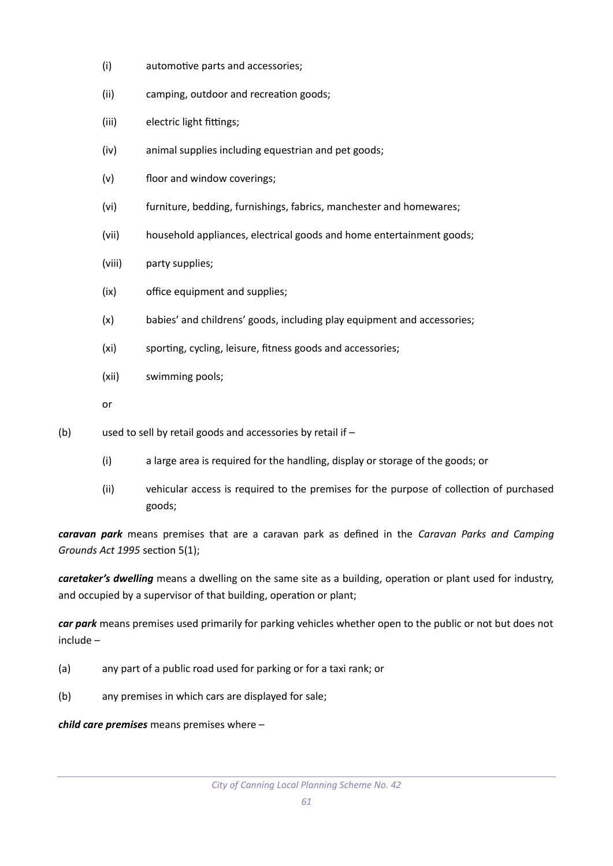- (i) automotive parts and accessories;
- (ii) camping, outdoor and recreation goods;
- (iii) electric light fittings;
- (iv) animal supplies including equestrian and pet goods;
- (v) floor and window coverings;
- (vi) furniture, bedding, furnishings, fabrics, manchester and homewares;
- (vii) household appliances, electrical goods and home entertainment goods;
- (viii) party supplies;
- (ix) office equipment and supplies;
- (x) babies' and childrens' goods, including play equipment and accessories;
- (xi) sporting, cycling, leisure, fitness goods and accessories;
- (xii) swimming pools;
- or
- (b) used to sell by retail goods and accessories by retail if
	- (i) a large area is required for the handling, display or storage of the goods; or
	- (ii) vehicular access is required to the premises for the purpose of collection of purchased goods;

*caravan park* means premises that are a caravan park as defined in the *Caravan Parks and Camping Grounds Act 1995* section 5(1);

*caretaker's dwelling* means a dwelling on the same site as a building, operation or plant used for industry, and occupied by a supervisor of that building, operation or plant;

*car park* means premises used primarily for parking vehicles whether open to the public or not but does not include –

- (a) any part of a public road used for parking or for a taxi rank; or
- (b) any premises in which cars are displayed for sale;

*child care premises* means premises where –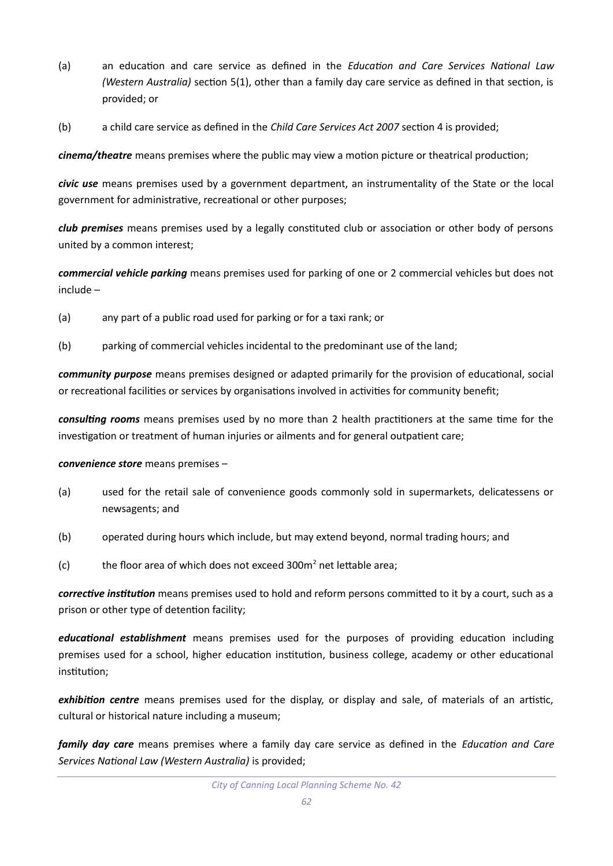- (a) an education and care service as defined in the *Education and Care Services National Law (Western Australia)* section 5(1), other than a family day care service as defined in that section, is provided; or
- (b) a child care service as defined in the *Child Care Services Act 2007* section 4 is provided;

*cinema/theatre* means premises where the public may view a motion picture or theatrical production;

*civic use* means premises used by a government department, an instrumentality of the State or the local government for administrative, recreational or other purposes;

*club premises* means premises used by a legally constituted club or association or other body of persons united by a common interest;

*commercial vehicle parking* means premises used for parking of one or 2 commercial vehicles but does not include –

- (a) any part of a public road used for parking or for a taxi rank; or
- (b) parking of commercial vehicles incidental to the predominant use of the land;

*community purpose* means premises designed or adapted primarily for the provision of educational, social or recreational facilities or services by organisations involved in activities for community benefit;

*consulting rooms* means premises used by no more than 2 health practitioners at the same time for the investigation or treatment of human injuries or ailments and for general outpatient care;

*convenience store* means premises –

- (a) used for the retail sale of convenience goods commonly sold in supermarkets, delicatessens or newsagents; and
- (b) operated during hours which include, but may extend beyond, normal trading hours; and
- (c) the floor area of which does not exceed  $300m^2$  net lettable area;

*corrective institution* means premises used to hold and reform persons committed to it by a court, such as a prison or other type of detention facility;

*educational establishment* means premises used for the purposes of providing education including premises used for a school, higher education institution, business college, academy or other educational institution;

*exhibition centre* means premises used for the display, or display and sale, of materials of an artistic, cultural or historical nature including a museum;

*family day care* means premises where a family day care service as defined in the *Education and Care Services National Law (Western Australia)* is provided;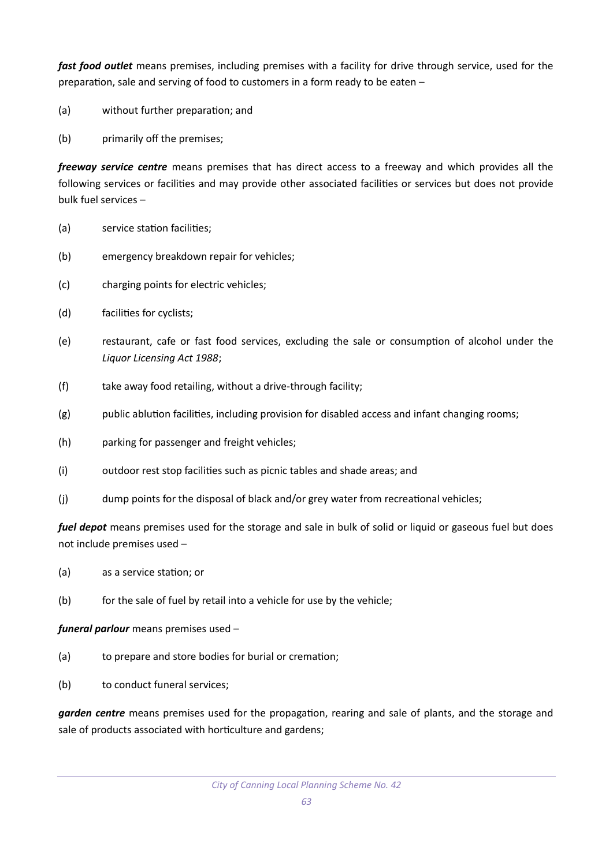*fast food outlet* means premises, including premises with a facility for drive through service, used for the preparation, sale and serving of food to customers in a form ready to be eaten –

- (a) without further preparation; and
- (b) primarily off the premises;

*freeway service centre* means premises that has direct access to a freeway and which provides all the following services or facilities and may provide other associated facilities or services but does not provide bulk fuel services –

- (a) service station facilities;
- (b) emergency breakdown repair for vehicles;
- (c) charging points for electric vehicles;
- (d) facilities for cyclists;
- (e) restaurant, cafe or fast food services, excluding the sale or consumption of alcohol under the *Liquor Licensing Act 1988*;
- (f) take away food retailing, without a drive-through facility;
- (g) public ablution facilities, including provision for disabled access and infant changing rooms;
- (h) parking for passenger and freight vehicles;
- (i) outdoor rest stop facilities such as picnic tables and shade areas; and
- (j) dump points for the disposal of black and/or grey water from recreational vehicles;

*fuel depot* means premises used for the storage and sale in bulk of solid or liquid or gaseous fuel but does not include premises used –

- (a) as a service station; or
- (b) for the sale of fuel by retail into a vehicle for use by the vehicle;

*funeral parlour* means premises used –

- (a) to prepare and store bodies for burial or cremation;
- (b) to conduct funeral services;

*garden centre* means premises used for the propagation, rearing and sale of plants, and the storage and sale of products associated with horticulture and gardens;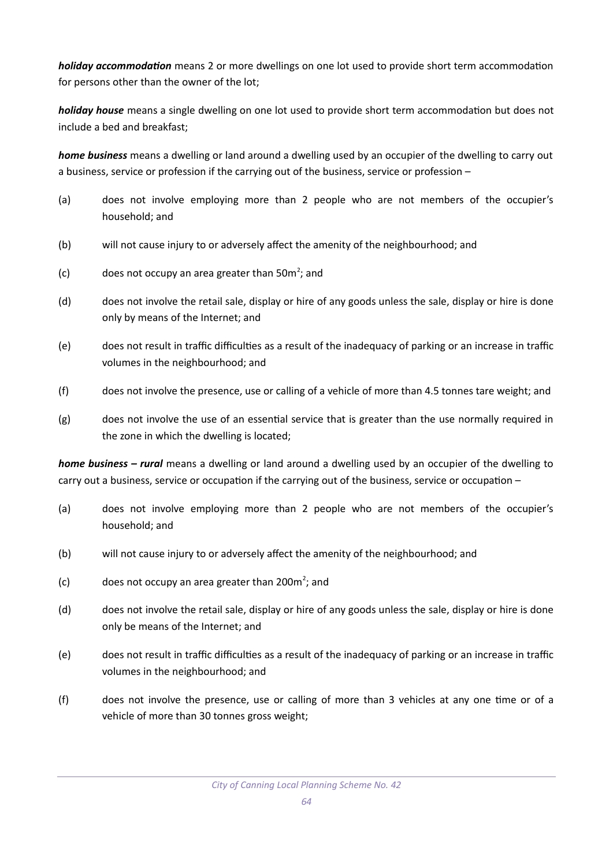*holiday accommodation* means 2 or more dwellings on one lot used to provide short term accommodation for persons other than the owner of the lot;

*holiday house* means a single dwelling on one lot used to provide short term accommodation but does not include a bed and breakfast;

*home business* means a dwelling or land around a dwelling used by an occupier of the dwelling to carry out a business, service or profession if the carrying out of the business, service or profession –

- (a) does not involve employing more than 2 people who are not members of the occupier's household; and
- (b) will not cause injury to or adversely affect the amenity of the neighbourhood; and
- (c) does not occupy an area greater than  $50m^2$ ; and
- (d) does not involve the retail sale, display or hire of any goods unless the sale, display or hire is done only by means of the Internet; and
- (e) does not result in traffic difficulties as a result of the inadequacy of parking or an increase in traffic volumes in the neighbourhood; and
- (f) does not involve the presence, use or calling of a vehicle of more than 4.5 tonnes tare weight; and
- (g) does not involve the use of an essential service that is greater than the use normally required in the zone in which the dwelling is located;

*home business – rural* means a dwelling or land around a dwelling used by an occupier of the dwelling to carry out a business, service or occupation if the carrying out of the business, service or occupation –

- (a) does not involve employing more than 2 people who are not members of the occupier's household; and
- (b) will not cause injury to or adversely affect the amenity of the neighbourhood; and
- (c) does not occupy an area greater than 200 $m^2$ ; and
- (d) does not involve the retail sale, display or hire of any goods unless the sale, display or hire is done only be means of the Internet; and
- (e) does not result in traffic difficulties as a result of the inadequacy of parking or an increase in traffic volumes in the neighbourhood; and
- (f) does not involve the presence, use or calling of more than 3 vehicles at any one time or of a vehicle of more than 30 tonnes gross weight;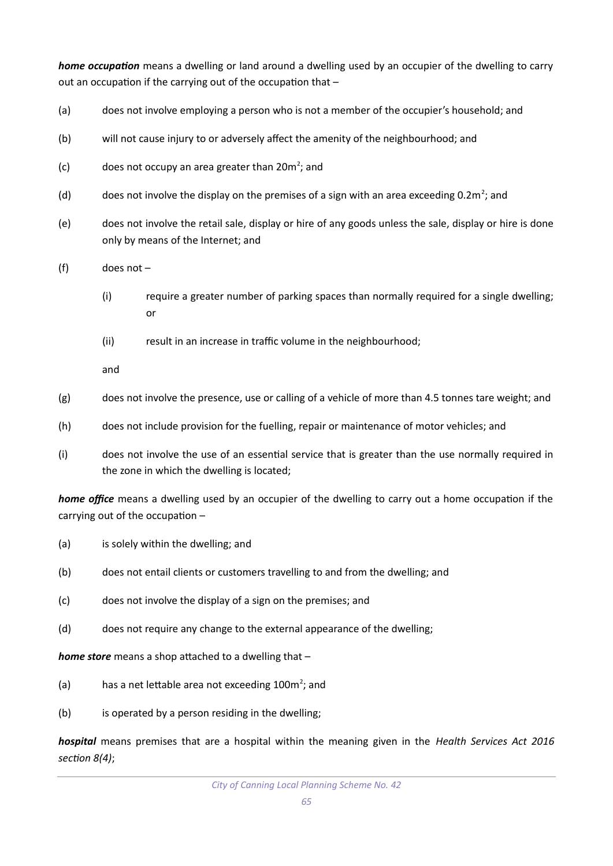*home occupation* means a dwelling or land around a dwelling used by an occupier of the dwelling to carry out an occupation if the carrying out of the occupation that –

- (a) does not involve employing a person who is not a member of the occupier's household; and
- (b) will not cause injury to or adversely affect the amenity of the neighbourhood; and
- (c) does not occupy an area greater than  $20m^2$ ; and
- (d) does not involve the display on the premises of a sign with an area exceeding 0.2m<sup>2</sup>; and
- (e) does not involve the retail sale, display or hire of any goods unless the sale, display or hire is done only by means of the Internet; and
- (f) does not
	- (i) require a greater number of parking spaces than normally required for a single dwelling; or
	- (ii) result in an increase in traffic volume in the neighbourhood;

and

- (g) does not involve the presence, use or calling of a vehicle of more than 4.5 tonnes tare weight; and
- (h) does not include provision for the fuelling, repair or maintenance of motor vehicles; and
- (i) does not involve the use of an essential service that is greater than the use normally required in the zone in which the dwelling is located;

*home office* means a dwelling used by an occupier of the dwelling to carry out a home occupation if the carrying out of the occupation –

- (a) is solely within the dwelling; and
- (b) does not entail clients or customers travelling to and from the dwelling; and
- (c) does not involve the display of a sign on the premises; and
- (d) does not require any change to the external appearance of the dwelling;

*home store* means a shop attached to a dwelling that –

- (a) has a net lettable area not exceeding  $100m^2$ ; and
- (b) is operated by a person residing in the dwelling;

*hospital* means premises that are a hospital within the meaning given in the *Health Services Act 2016 section 8(4)*;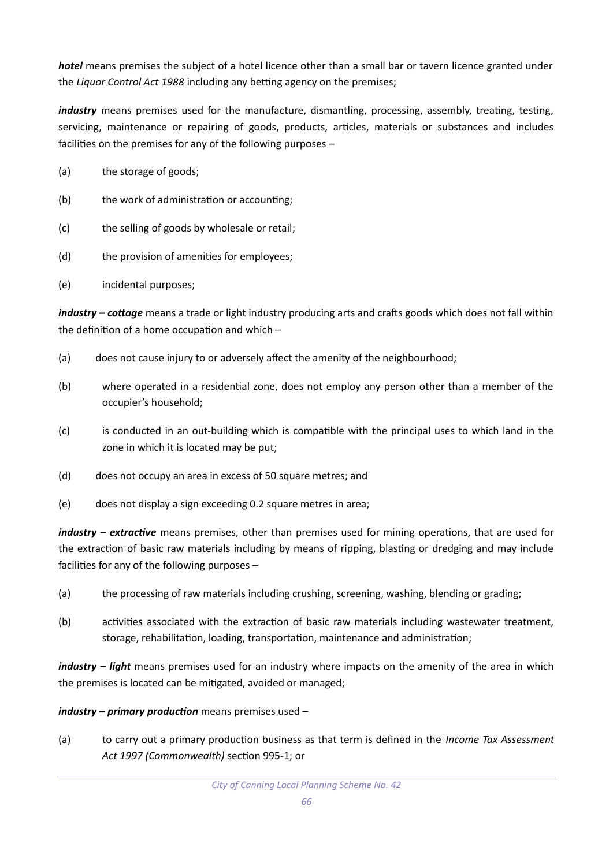*hotel* means premises the subject of a hotel licence other than a small bar or tavern licence granted under the *Liquor Control Act 1988* including any betting agency on the premises;

*industry* means premises used for the manufacture, dismantling, processing, assembly, treating, testing, servicing, maintenance or repairing of goods, products, articles, materials or substances and includes facilities on the premises for any of the following purposes –

- (a) the storage of goods;
- (b) the work of administration or accounting;
- (c) the selling of goods by wholesale or retail;
- (d) the provision of amenities for employees:
- (e) incidental purposes;

*industry – cottage* means a trade or light industry producing arts and crafts goods which does not fall within the definition of a home occupation and which –

- (a) does not cause injury to or adversely affect the amenity of the neighbourhood;
- (b) where operated in a residential zone, does not employ any person other than a member of the occupier's household;
- (c) is conducted in an out-building which is compatible with the principal uses to which land in the zone in which it is located may be put;
- (d) does not occupy an area in excess of 50 square metres; and
- (e) does not display a sign exceeding 0.2 square metres in area;

*industry – extractive* means premises, other than premises used for mining operations, that are used for the extraction of basic raw materials including by means of ripping, blasting or dredging and may include facilities for any of the following purposes –

- (a) the processing of raw materials including crushing, screening, washing, blending or grading;
- (b) activities associated with the extraction of basic raw materials including wastewater treatment, storage, rehabilitation, loading, transportation, maintenance and administration;

*industry – light* means premises used for an industry where impacts on the amenity of the area in which the premises is located can be mitigated, avoided or managed;

## *industry – primary production* means premises used –

(a) to carry out a primary production business as that term is defined in the *Income Tax Assessment Act 1997 (Commonwealth)* section 995-1; or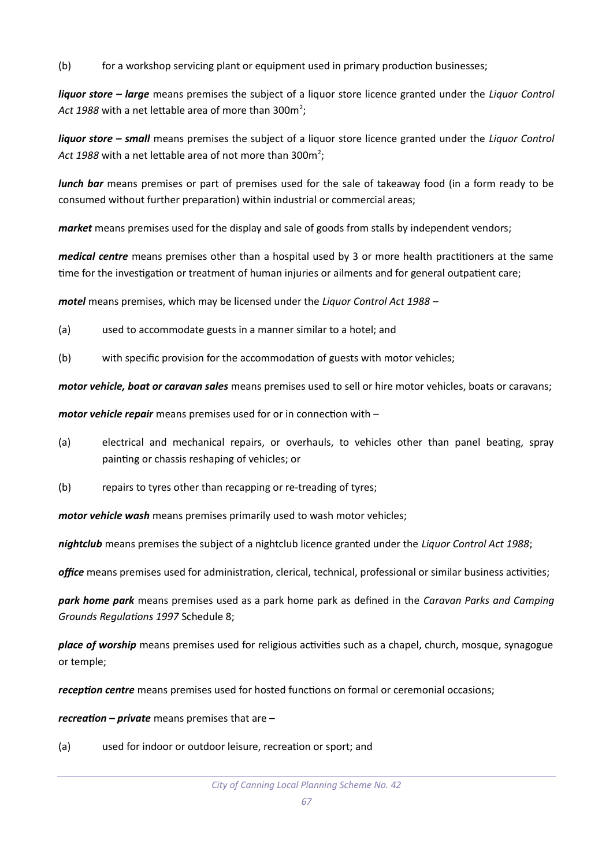(b) for a workshop servicing plant or equipment used in primary production businesses;

*liquor store – large* means premises the subject of a liquor store licence granted under the *Liquor Control* Act 1988 with a net lettable area of more than 300m<sup>2</sup>;

*liquor store – small* means premises the subject of a liquor store licence granted under the *Liquor Control* Act 1988 with a net lettable area of not more than 300m<sup>2</sup>;

*lunch bar* means premises or part of premises used for the sale of takeaway food (in a form ready to be consumed without further preparation) within industrial or commercial areas;

*market* means premises used for the display and sale of goods from stalls by independent vendors;

*medical centre* means premises other than a hospital used by 3 or more health practitioners at the same time for the investigation or treatment of human injuries or ailments and for general outpatient care;

*motel* means premises, which may be licensed under the *Liquor Control Act 1988* –

- (a) used to accommodate guests in a manner similar to a hotel; and
- (b) with specific provision for the accommodation of guests with motor vehicles;

*motor vehicle, boat or caravan sales* means premises used to sell or hire motor vehicles, boats or caravans;

*motor vehicle repair* means premises used for or in connection with –

- (a) electrical and mechanical repairs, or overhauls, to vehicles other than panel beating, spray painting or chassis reshaping of vehicles; or
- (b) repairs to tyres other than recapping or re-treading of tyres;

*motor vehicle wash* means premises primarily used to wash motor vehicles;

*nightclub* means premises the subject of a nightclub licence granted under the *Liquor Control Act 1988*;

*office* means premises used for administration, clerical, technical, professional or similar business activities;

*park home park* means premises used as a park home park as defined in the *Caravan Parks and Camping Grounds Regulations 1997* Schedule 8;

*place of worship* means premises used for religious activities such as a chapel, church, mosque, synagogue or temple;

*reception centre* means premises used for hosted functions on formal or ceremonial occasions;

*recreation – private* means premises that are –

(a) used for indoor or outdoor leisure, recreation or sport; and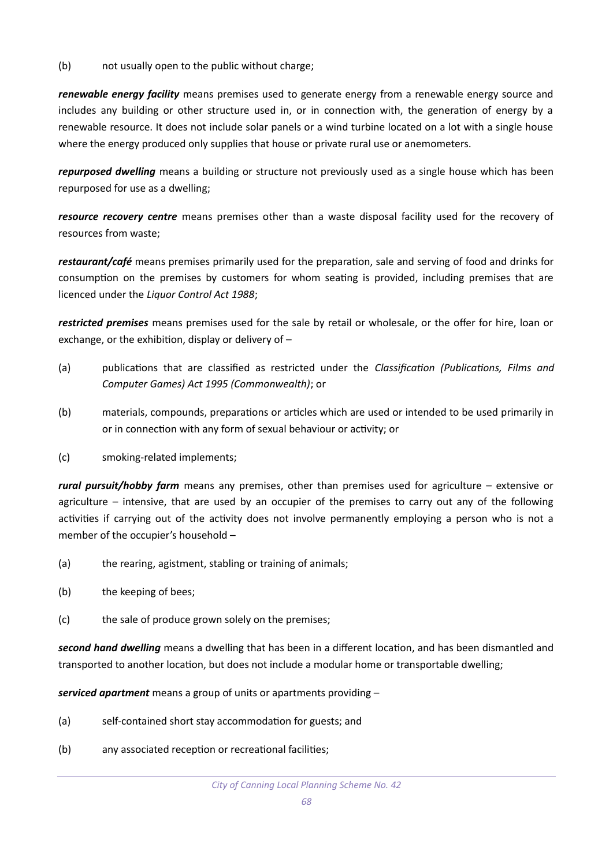(b) not usually open to the public without charge;

*renewable energy facility* means premises used to generate energy from a renewable energy source and includes any building or other structure used in, or in connection with, the generation of energy by a renewable resource. It does not include solar panels or a wind turbine located on a lot with a single house where the energy produced only supplies that house or private rural use or anemometers.

*repurposed dwelling* means a building or structure not previously used as a single house which has been repurposed for use as a dwelling;

*resource recovery centre* means premises other than a waste disposal facility used for the recovery of resources from waste;

*restaurant/café* means premises primarily used for the preparation, sale and serving of food and drinks for consumption on the premises by customers for whom seating is provided, including premises that are licenced under the *Liquor Control Act 1988*;

*restricted premises* means premises used for the sale by retail or wholesale, or the offer for hire, loan or exchange, or the exhibition, display or delivery of –

- (a) publications that are classified as restricted under the *Classification (Publications, Films and Computer Games) Act 1995 (Commonwealth)*; or
- (b) materials, compounds, preparations or articles which are used or intended to be used primarily in or in connection with any form of sexual behaviour or activity; or
- (c) smoking-related implements;

*rural pursuit/hobby farm* means any premises, other than premises used for agriculture – extensive or agriculture – intensive, that are used by an occupier of the premises to carry out any of the following activities if carrying out of the activity does not involve permanently employing a person who is not a member of the occupier's household –

- (a) the rearing, agistment, stabling or training of animals;
- (b) the keeping of bees;
- (c) the sale of produce grown solely on the premises;

*second hand dwelling* means a dwelling that has been in a different location, and has been dismantled and transported to another location, but does not include a modular home or transportable dwelling;

*serviced apartment* means a group of units or apartments providing –

- (a) self-contained short stay accommodation for guests; and
- (b) any associated reception or recreational facilities;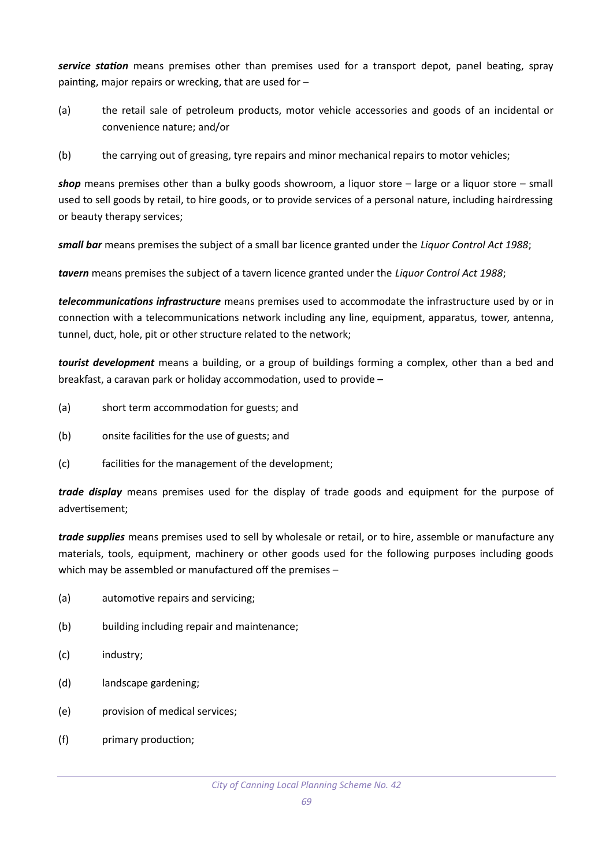*service station* means premises other than premises used for a transport depot, panel beating, spray painting, major repairs or wrecking, that are used for –

- (a) the retail sale of petroleum products, motor vehicle accessories and goods of an incidental or convenience nature; and/or
- (b) the carrying out of greasing, tyre repairs and minor mechanical repairs to motor vehicles;

*shop* means premises other than a bulky goods showroom, a liquor store – large or a liquor store – small used to sell goods by retail, to hire goods, or to provide services of a personal nature, including hairdressing or beauty therapy services;

*small bar* means premises the subject of a small bar licence granted under the *Liquor Control Act 1988*;

*tavern* means premises the subject of a tavern licence granted under the *Liquor Control Act 1988*;

*telecommunications infrastructure* means premises used to accommodate the infrastructure used by or in connection with a telecommunications network including any line, equipment, apparatus, tower, antenna, tunnel, duct, hole, pit or other structure related to the network;

*tourist development* means a building, or a group of buildings forming a complex, other than a bed and breakfast, a caravan park or holiday accommodation, used to provide –

- (a) short term accommodation for guests; and
- (b) onsite facilities for the use of guests; and
- (c) facilities for the management of the development;

*trade display* means premises used for the display of trade goods and equipment for the purpose of advertisement;

*trade supplies* means premises used to sell by wholesale or retail, or to hire, assemble or manufacture any materials, tools, equipment, machinery or other goods used for the following purposes including goods which may be assembled or manufactured off the premises –

- (a) automotive repairs and servicing;
- (b) building including repair and maintenance:
- (c) industry;
- (d) landscape gardening;
- (e) provision of medical services;
- (f) primary production;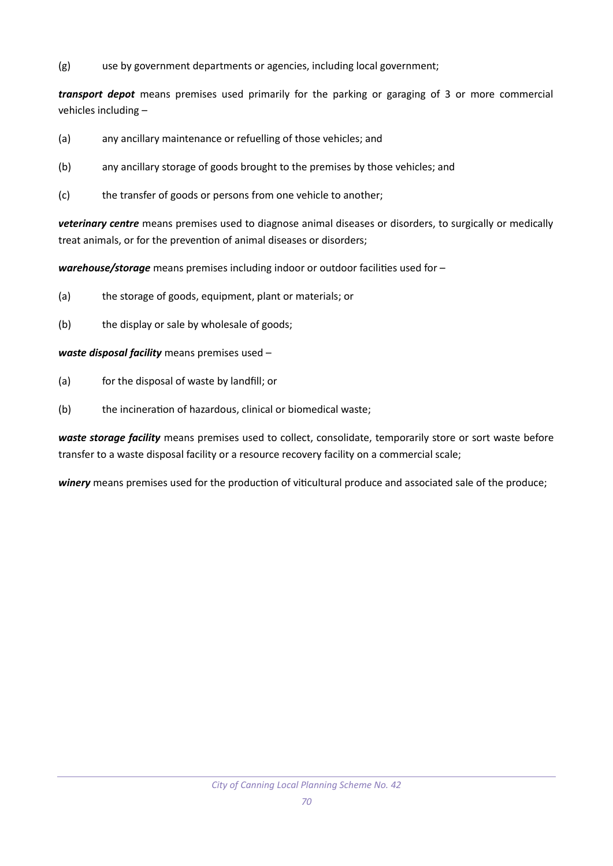(g) use by government departments or agencies, including local government;

*transport depot* means premises used primarily for the parking or garaging of 3 or more commercial vehicles including –

- (a) any ancillary maintenance or refuelling of those vehicles; and
- (b) any ancillary storage of goods brought to the premises by those vehicles; and
- (c) the transfer of goods or persons from one vehicle to another;

*veterinary centre* means premises used to diagnose animal diseases or disorders, to surgically or medically treat animals, or for the prevention of animal diseases or disorders;

*warehouse/storage* means premises including indoor or outdoor facilities used for –

- (a) the storage of goods, equipment, plant or materials; or
- (b) the display or sale by wholesale of goods;

## *waste disposal facility* means premises used –

- (a) for the disposal of waste by landfill; or
- (b) the incineration of hazardous, clinical or biomedical waste;

*waste storage facility* means premises used to collect, consolidate, temporarily store or sort waste before transfer to a waste disposal facility or a resource recovery facility on a commercial scale;

*winery* means premises used for the production of viticultural produce and associated sale of the produce;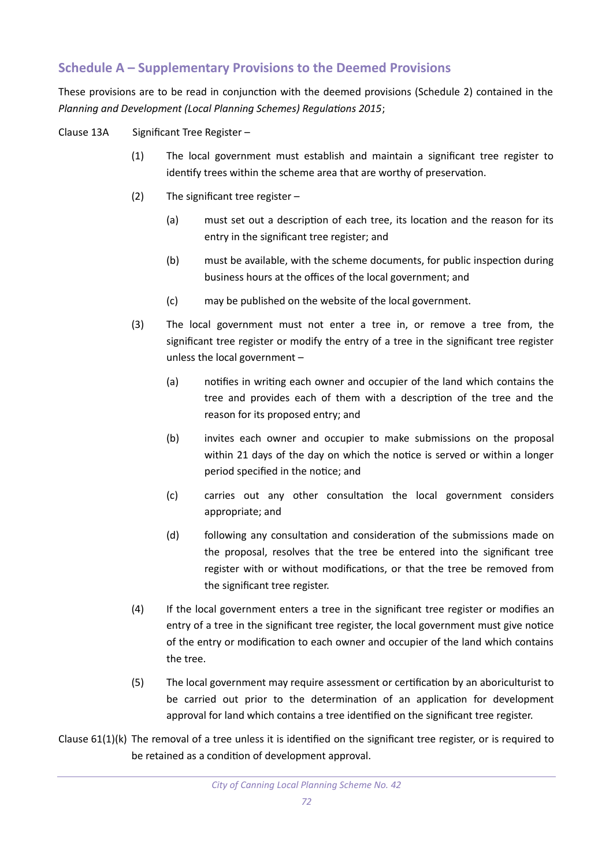## **Schedule A – Supplementary Provisions to the Deemed Provisions**

These provisions are to be read in conjunction with the deemed provisions (Schedule 2) contained in the *Planning and Development (Local Planning Schemes) Regulations 2015*;

Clause 13A Significant Tree Register –

- (1) The local government must establish and maintain a significant tree register to identify trees within the scheme area that are worthy of preservation.
- (2) The significant tree register
	- (a) must set out a description of each tree, its location and the reason for its entry in the significant tree register; and
	- (b) must be available, with the scheme documents, for public inspection during business hours at the offices of the local government; and
	- (c) may be published on the website of the local government.
- (3) The local government must not enter a tree in, or remove a tree from, the significant tree register or modify the entry of a tree in the significant tree register unless the local government –
	- (a) notifies in writing each owner and occupier of the land which contains the tree and provides each of them with a description of the tree and the reason for its proposed entry; and
	- (b) invites each owner and occupier to make submissions on the proposal within 21 days of the day on which the notice is served or within a longer period specified in the notice; and
	- (c) carries out any other consultation the local government considers appropriate; and
	- (d) following any consultation and consideration of the submissions made on the proposal, resolves that the tree be entered into the significant tree register with or without modifications, or that the tree be removed from the significant tree register.
- (4) If the local government enters a tree in the significant tree register or modifies an entry of a tree in the significant tree register, the local government must give notice of the entry or modification to each owner and occupier of the land which contains the tree.
- (5) The local government may require assessment or certification by an aboriculturist to be carried out prior to the determination of an application for development approval for land which contains a tree identified on the significant tree register.
- Clause 61(1)(k) The removal of a tree unless it is identified on the significant tree register, or is required to be retained as a condition of development approval.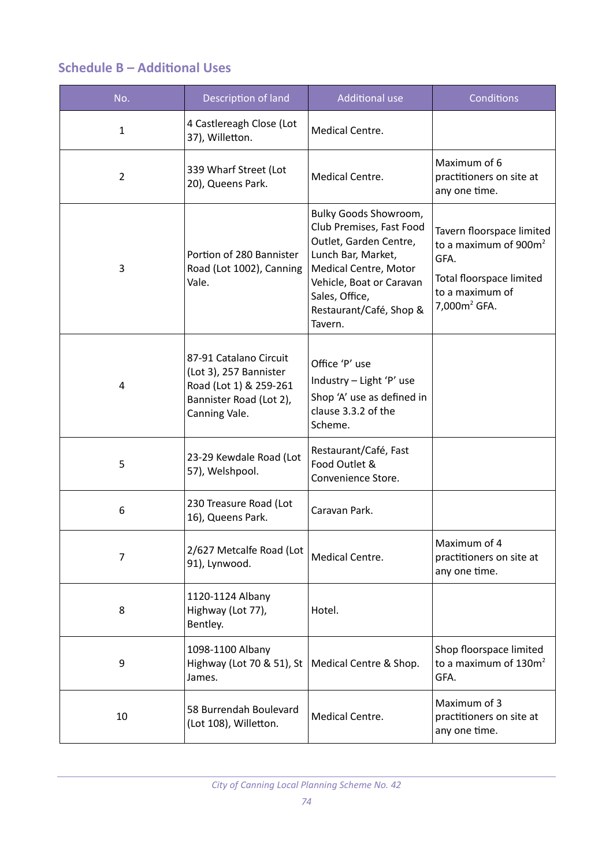# **Schedule B – Additional Uses**

| No.            | Description of land                                                                                                    | <b>Additional use</b>                                                                                                                                                                                          | Conditions                                                                                                                               |
|----------------|------------------------------------------------------------------------------------------------------------------------|----------------------------------------------------------------------------------------------------------------------------------------------------------------------------------------------------------------|------------------------------------------------------------------------------------------------------------------------------------------|
| $\mathbf{1}$   | 4 Castlereagh Close (Lot<br>37), Willetton.                                                                            | Medical Centre.                                                                                                                                                                                                |                                                                                                                                          |
| $\overline{2}$ | 339 Wharf Street (Lot<br>20), Queens Park.                                                                             | Medical Centre.                                                                                                                                                                                                | Maximum of 6<br>practitioners on site at<br>any one time.                                                                                |
| 3              | Portion of 280 Bannister<br>Road (Lot 1002), Canning<br>Vale.                                                          | Bulky Goods Showroom,<br>Club Premises, Fast Food<br>Outlet, Garden Centre,<br>Lunch Bar, Market,<br>Medical Centre, Motor<br>Vehicle, Boat or Caravan<br>Sales, Office,<br>Restaurant/Café, Shop &<br>Tavern. | Tavern floorspace limited<br>to a maximum of $900m^2$<br>GFA.<br>Total floorspace limited<br>to a maximum of<br>7,000m <sup>2</sup> GFA. |
| 4              | 87-91 Catalano Circuit<br>(Lot 3), 257 Bannister<br>Road (Lot 1) & 259-261<br>Bannister Road (Lot 2),<br>Canning Vale. | Office 'P' use<br>Industry - Light 'P' use<br>Shop 'A' use as defined in<br>clause 3.3.2 of the<br>Scheme.                                                                                                     |                                                                                                                                          |
| 5              | 23-29 Kewdale Road (Lot<br>57), Welshpool.                                                                             | Restaurant/Café, Fast<br>Food Outlet &<br>Convenience Store.                                                                                                                                                   |                                                                                                                                          |
| 6              | 230 Treasure Road (Lot<br>16), Queens Park.                                                                            | Caravan Park.                                                                                                                                                                                                  |                                                                                                                                          |
| $\overline{7}$ | 2/627 Metcalfe Road (Lot<br>91), Lynwood.                                                                              | Medical Centre.                                                                                                                                                                                                | Maximum of 4<br>practitioners on site at<br>any one time.                                                                                |
| 8              | 1120-1124 Albany<br>Highway (Lot 77),<br>Bentley.                                                                      | Hotel.                                                                                                                                                                                                         |                                                                                                                                          |
| 9              | 1098-1100 Albany<br>Highway (Lot 70 & 51), St<br>James.                                                                | Medical Centre & Shop.                                                                                                                                                                                         | Shop floorspace limited<br>to a maximum of $130m^2$<br>GFA.                                                                              |
| 10             | 58 Burrendah Boulevard<br>(Lot 108), Willetton.                                                                        | Medical Centre.                                                                                                                                                                                                | Maximum of 3<br>practitioners on site at<br>any one time.                                                                                |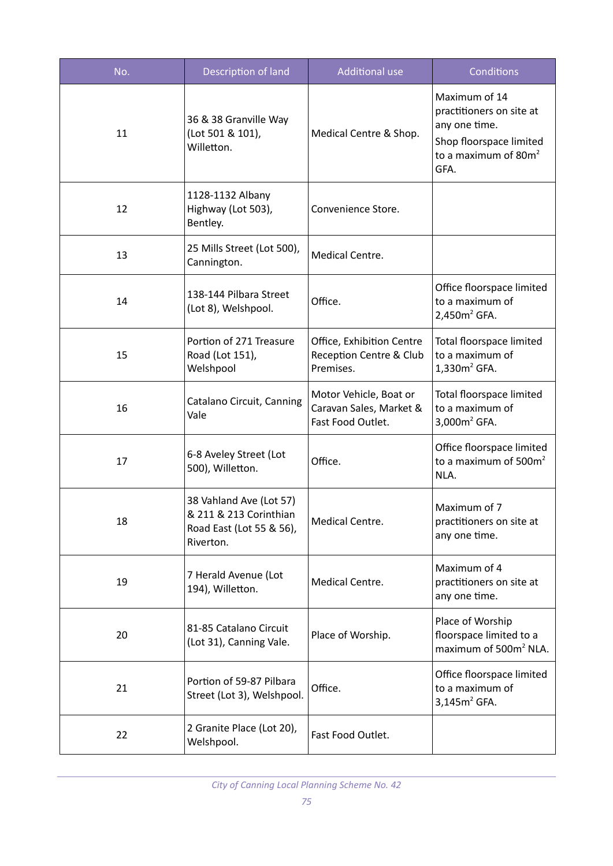| No. | Description of land                                                                        | <b>Additional use</b>                                                  | <b>Conditions</b>                                                                                                        |
|-----|--------------------------------------------------------------------------------------------|------------------------------------------------------------------------|--------------------------------------------------------------------------------------------------------------------------|
| 11  | 36 & 38 Granville Way<br>(Lot 501 & 101),<br>Willetton.                                    | Medical Centre & Shop.                                                 | Maximum of 14<br>practitioners on site at<br>any one time.<br>Shop floorspace limited<br>to a maximum of $80m^2$<br>GFA. |
| 12  | 1128-1132 Albany<br>Highway (Lot 503),<br>Bentley.                                         | Convenience Store.                                                     |                                                                                                                          |
| 13  | 25 Mills Street (Lot 500),<br>Cannington.                                                  | Medical Centre.                                                        |                                                                                                                          |
| 14  | 138-144 Pilbara Street<br>(Lot 8), Welshpool.                                              | Office.                                                                | Office floorspace limited<br>to a maximum of<br>$2,450m2$ GFA.                                                           |
| 15  | Portion of 271 Treasure<br>Road (Lot 151),<br>Welshpool                                    | Office, Exhibition Centre<br>Reception Centre & Club<br>Premises.      | Total floorspace limited<br>to a maximum of<br>$1,330m2$ GFA.                                                            |
| 16  | Catalano Circuit, Canning<br>Vale                                                          | Motor Vehicle, Boat or<br>Caravan Sales, Market &<br>Fast Food Outlet. | Total floorspace limited<br>to a maximum of<br>3,000 $m2$ GFA.                                                           |
| 17  | 6-8 Aveley Street (Lot<br>500), Willetton.                                                 | Office.                                                                | Office floorspace limited<br>to a maximum of $500m^2$<br>NLA.                                                            |
| 18  | 38 Vahland Ave (Lot 57)<br>& 211 & 213 Corinthian<br>Road East (Lot 55 & 56),<br>Riverton. | Medical Centre.                                                        | Maximum of 7<br>practitioners on site at<br>any one time.                                                                |
| 19  | 7 Herald Avenue (Lot<br>194), Willetton.                                                   | Medical Centre.                                                        | Maximum of 4<br>practitioners on site at<br>any one time.                                                                |
| 20  | 81-85 Catalano Circuit<br>(Lot 31), Canning Vale.                                          | Place of Worship.                                                      | Place of Worship<br>floorspace limited to a<br>maximum of 500m <sup>2</sup> NLA.                                         |
| 21  | Portion of 59-87 Pilbara<br>Street (Lot 3), Welshpool.                                     | Office.                                                                | Office floorspace limited<br>to a maximum of<br>$3,145m2$ GFA.                                                           |
| 22  | 2 Granite Place (Lot 20),<br>Welshpool.                                                    | Fast Food Outlet.                                                      |                                                                                                                          |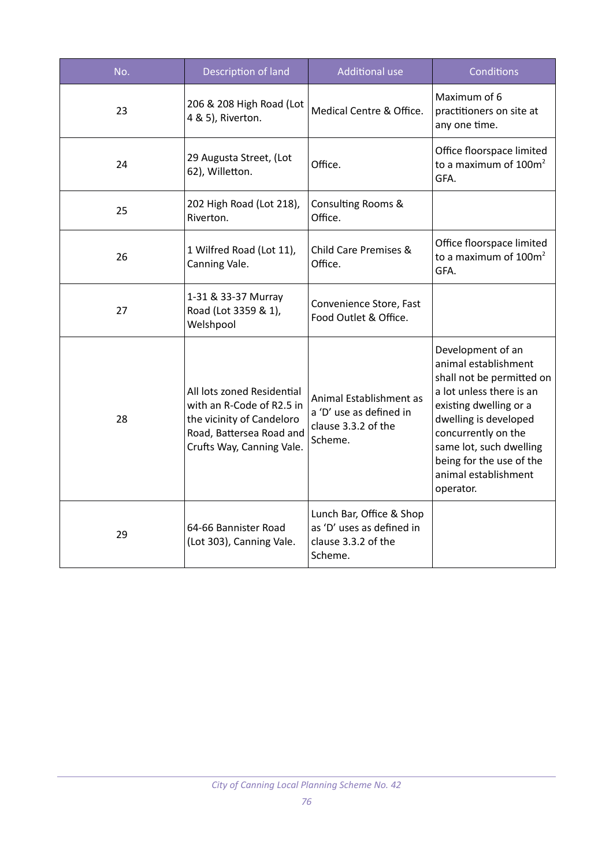| No. | Description of land                                                                                                                           | <b>Additional use</b>                                                                   | Conditions                                                                                                                                                                                                                                                               |
|-----|-----------------------------------------------------------------------------------------------------------------------------------------------|-----------------------------------------------------------------------------------------|--------------------------------------------------------------------------------------------------------------------------------------------------------------------------------------------------------------------------------------------------------------------------|
| 23  | 206 & 208 High Road (Lot<br>4 & 5), Riverton.                                                                                                 | Medical Centre & Office.                                                                | Maximum of 6<br>practitioners on site at<br>any one time.                                                                                                                                                                                                                |
| 24  | 29 Augusta Street, (Lot<br>62), Willetton.                                                                                                    | Office.                                                                                 | Office floorspace limited<br>to a maximum of $100m^2$<br>GFA.                                                                                                                                                                                                            |
| 25  | 202 High Road (Lot 218),<br>Riverton.                                                                                                         | Consulting Rooms &<br>Office.                                                           |                                                                                                                                                                                                                                                                          |
| 26  | 1 Wilfred Road (Lot 11),<br>Canning Vale.                                                                                                     | Child Care Premises &<br>Office.                                                        | Office floorspace limited<br>to a maximum of $100m^2$<br>GFA.                                                                                                                                                                                                            |
| 27  | 1-31 & 33-37 Murray<br>Road (Lot 3359 & 1),<br>Welshpool                                                                                      | Convenience Store, Fast<br>Food Outlet & Office.                                        |                                                                                                                                                                                                                                                                          |
| 28  | All lots zoned Residential<br>with an R-Code of R2.5 in<br>the vicinity of Candeloro<br>Road, Battersea Road and<br>Crufts Way, Canning Vale. | Animal Establishment as<br>a 'D' use as defined in<br>clause 3.3.2 of the<br>Scheme.    | Development of an<br>animal establishment<br>shall not be permitted on<br>a lot unless there is an<br>existing dwelling or a<br>dwelling is developed<br>concurrently on the<br>same lot, such dwelling<br>being for the use of the<br>animal establishment<br>operator. |
| 29  | 64-66 Bannister Road<br>(Lot 303), Canning Vale.                                                                                              | Lunch Bar, Office & Shop<br>as 'D' uses as defined in<br>clause 3.3.2 of the<br>Scheme. |                                                                                                                                                                                                                                                                          |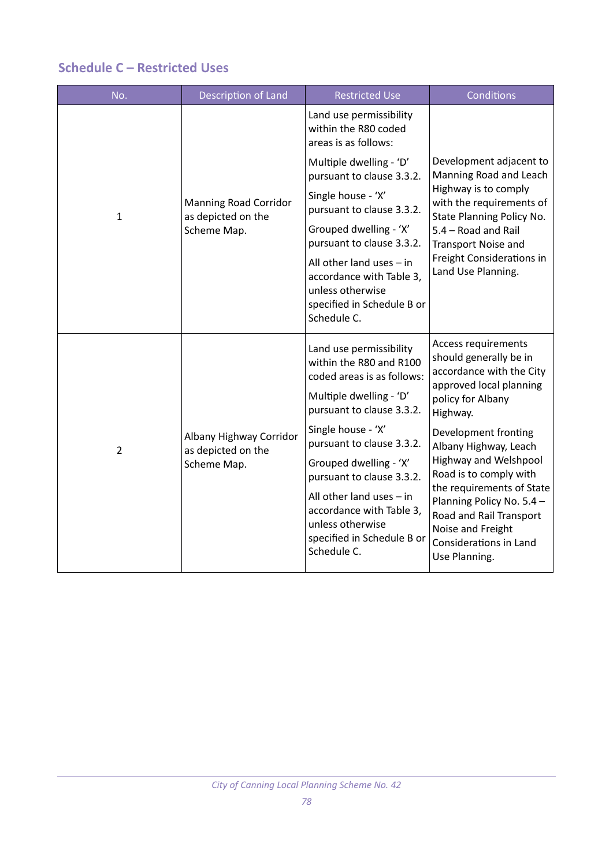## **Schedule C – Restricted Uses**

| No.            | <b>Description of Land</b>                                        | <b>Restricted Use</b>                                                                                                                                                                                                                                                                                                                                                         | Conditions                                                                                                                                                                                                                                                                                                                                                                                            |
|----------------|-------------------------------------------------------------------|-------------------------------------------------------------------------------------------------------------------------------------------------------------------------------------------------------------------------------------------------------------------------------------------------------------------------------------------------------------------------------|-------------------------------------------------------------------------------------------------------------------------------------------------------------------------------------------------------------------------------------------------------------------------------------------------------------------------------------------------------------------------------------------------------|
|                |                                                                   | Land use permissibility<br>within the R80 coded<br>areas is as follows:                                                                                                                                                                                                                                                                                                       |                                                                                                                                                                                                                                                                                                                                                                                                       |
| $\mathbf{1}$   | <b>Manning Road Corridor</b><br>as depicted on the<br>Scheme Map. | Multiple dwelling - 'D'<br>pursuant to clause 3.3.2.<br>Single house - 'X'<br>pursuant to clause 3.3.2.<br>Grouped dwelling - 'X'<br>pursuant to clause 3.3.2.<br>All other land uses $-$ in<br>accordance with Table 3,<br>unless otherwise<br>specified in Schedule B or<br>Schedule C.                                                                                     | Development adjacent to<br>Manning Road and Leach<br>Highway is to comply<br>with the requirements of<br>State Planning Policy No.<br>5.4 - Road and Rail<br><b>Transport Noise and</b><br>Freight Considerations in<br>Land Use Planning.                                                                                                                                                            |
| $\overline{2}$ | Albany Highway Corridor<br>as depicted on the<br>Scheme Map.      | Land use permissibility<br>within the R80 and R100<br>coded areas is as follows:<br>Multiple dwelling - 'D'<br>pursuant to clause 3.3.2.<br>Single house - 'X'<br>pursuant to clause 3.3.2.<br>Grouped dwelling - 'X'<br>pursuant to clause 3.3.2.<br>All other land uses $-$ in<br>accordance with Table 3,<br>unless otherwise<br>specified in Schedule B or<br>Schedule C. | Access requirements<br>should generally be in<br>accordance with the City<br>approved local planning<br>policy for Albany<br>Highway.<br>Development fronting<br>Albany Highway, Leach<br><b>Highway and Welshpool</b><br>Road is to comply with<br>the requirements of State<br>Planning Policy No. 5.4 -<br>Road and Rail Transport<br>Noise and Freight<br>Considerations in Land<br>Use Planning. |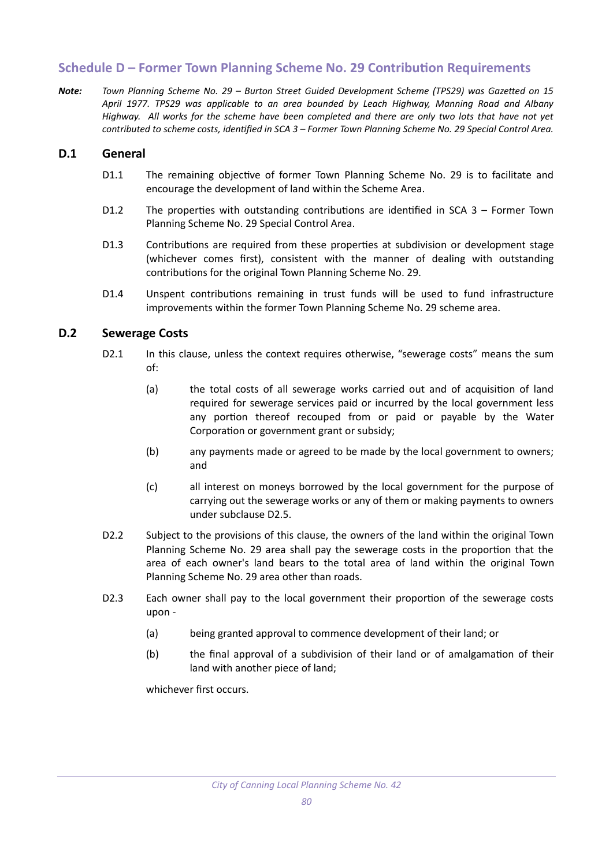## **Schedule D – Former Town Planning Scheme No. 29 Contribution Requirements**

*Note: Town Planning Scheme No. 29 – Burton Street Guided Development Scheme (TPS29) was Gazetted on 15 April 1977. TPS29 was applicable to an area bounded by Leach Highway, Manning Road and Albany Highway. All works for the scheme have been completed and there are only two lots that have not yet contributed to scheme costs, identified in SCA 3 – Former Town Planning Scheme No. 29 Special Control Area.*

#### **D.1 General**

- D1.1 The remaining objective of former Town Planning Scheme No. 29 is to facilitate and encourage the development of land within the Scheme Area.
- D1.2 The properties with outstanding contributions are identified in SCA 3 Former Town Planning Scheme No. 29 Special Control Area.
- D1.3 Contributions are required from these properties at subdivision or development stage (whichever comes first), consistent with the manner of dealing with outstanding contributions for the original Town Planning Scheme No. 29.
- D1.4 Unspent contributions remaining in trust funds will be used to fund infrastructure improvements within the former Town Planning Scheme No. 29 scheme area.

## **D.2 Sewerage Costs**

- D2.1 In this clause, unless the context requires otherwise, "sewerage costs" means the sum of:
	- (a) the total costs of all sewerage works carried out and of acquisition of land required for sewerage services paid or incurred by the local government less any portion thereof recouped from or paid or payable by the Water Corporation or government grant or subsidy;
	- (b) any payments made or agreed to be made by the local government to owners; and
	- (c) all interest on moneys borrowed by the local government for the purpose of carrying out the sewerage works or any of them or making payments to owners under subclause D2.5.
- D2.2 Subject to the provisions of this clause, the owners of the land within the original Town Planning Scheme No. 29 area shall pay the sewerage costs in the proportion that the area of each owner's land bears to the total area of land within the original Town Planning Scheme No. 29 area other than roads.
- D2.3 Each owner shall pay to the local government their proportion of the sewerage costs upon -
	- (a) being granted approval to commence development of their land; or
	- (b) the final approval of a subdivision of their land or of amalgamation of their land with another piece of land;

whichever first occurs.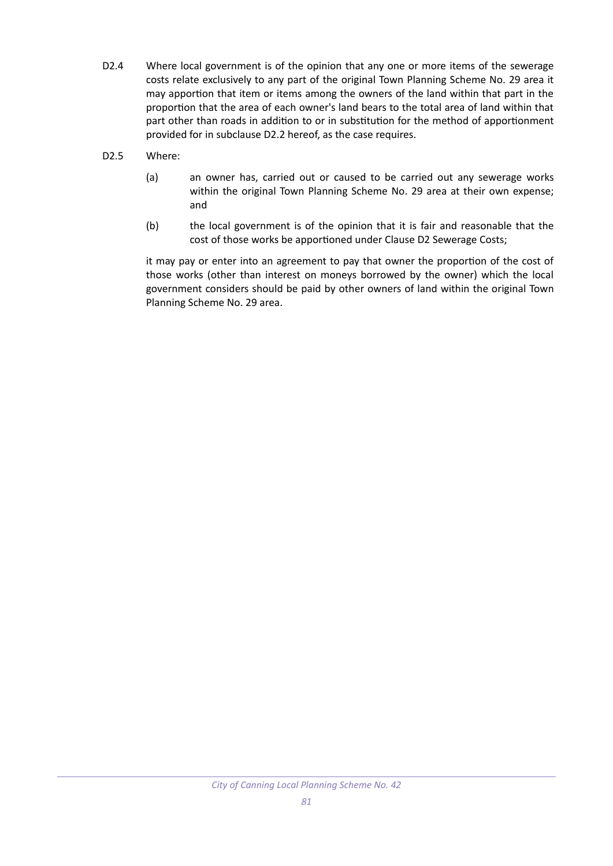- D2.4 Where local government is of the opinion that any one or more items of the sewerage costs relate exclusively to any part of the original Town Planning Scheme No. 29 area it may apportion that item or items among the owners of the land within that part in the proportion that the area of each owner's land bears to the total area of land within that part other than roads in addition to or in substitution for the method of apportionment provided for in subclause D2.2 hereof, as the case requires.
- D2.5 Where:
	- (a) an owner has, carried out or caused to be carried out any sewerage works within the original Town Planning Scheme No. 29 area at their own expense; and
	- (b) the local government is of the opinion that it is fair and reasonable that the cost of those works be apportioned under Clause D2 Sewerage Costs;

it may pay or enter into an agreement to pay that owner the proportion of the cost of those works (other than interest on moneys borrowed by the owner) which the local government considers should be paid by other owners of land within the original Town Planning Scheme No. 29 area.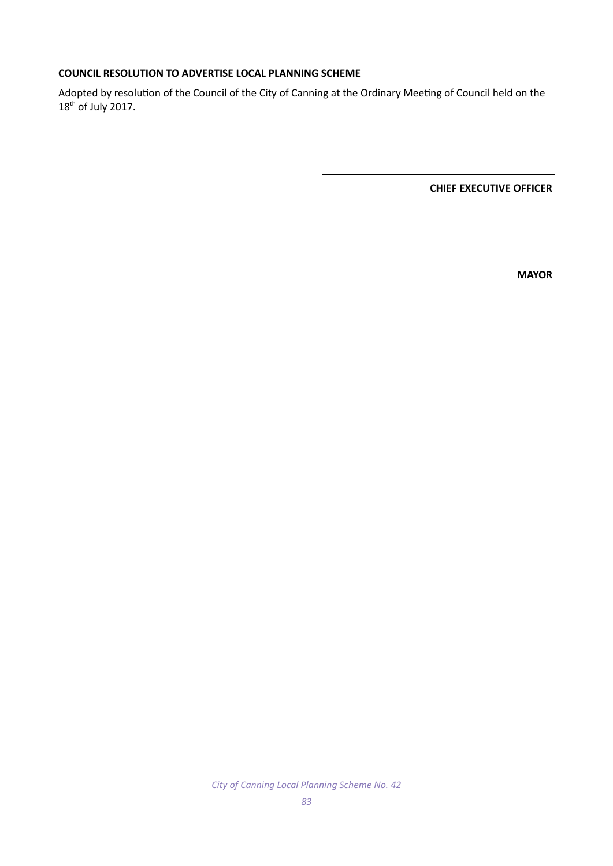### **COUNCIL RESOLUTION TO ADVERTISE LOCAL PLANNING SCHEME**

Adopted by resolution of the Council of the City of Canning at the Ordinary Meeting of Council held on the  $18^{th}$  of July 2017.

**CHIEF EXECUTIVE OFFICER**

**MAYOR**